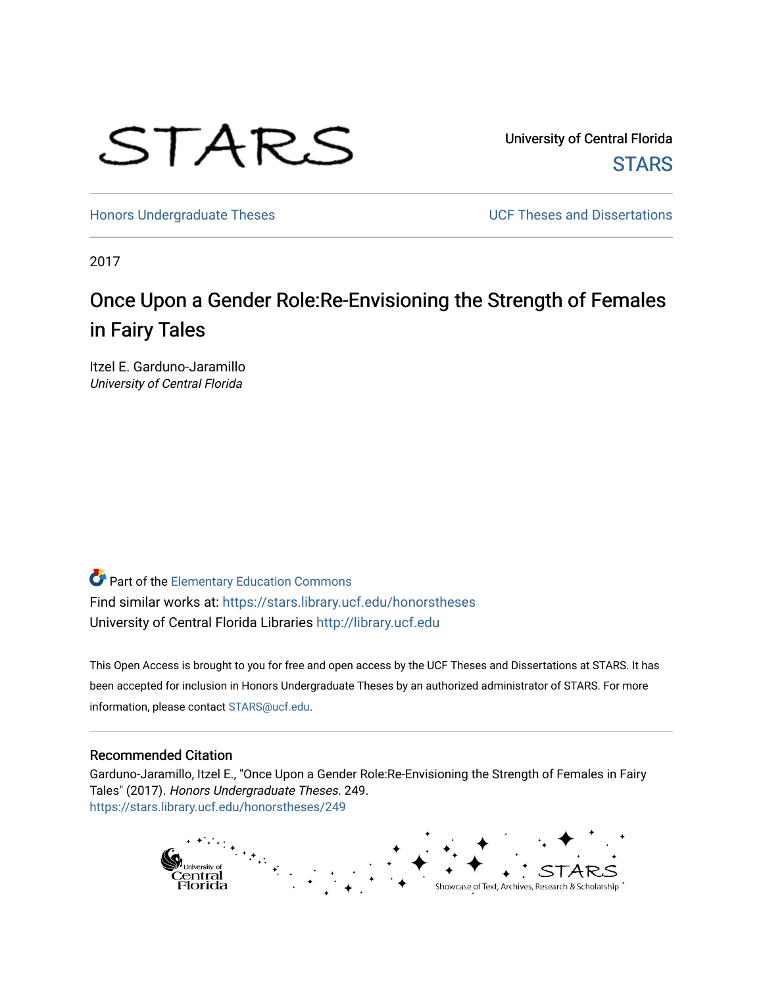

University of Central Florida **STARS** 

[Honors Undergraduate Theses](https://stars.library.ucf.edu/honorstheses) **No. 2018** UCF Theses and Dissertations

2017

# Once Upon a Gender Role:Re-Envisioning the Strength of Females in Fairy Tales

Itzel E. Garduno-Jaramillo University of Central Florida

Part of the [Elementary Education Commons](http://network.bepress.com/hgg/discipline/1378?utm_source=stars.library.ucf.edu%2Fhonorstheses%2F249&utm_medium=PDF&utm_campaign=PDFCoverPages)  Find similar works at: <https://stars.library.ucf.edu/honorstheses> University of Central Florida Libraries [http://library.ucf.edu](http://library.ucf.edu/) 

This Open Access is brought to you for free and open access by the UCF Theses and Dissertations at STARS. It has been accepted for inclusion in Honors Undergraduate Theses by an authorized administrator of STARS. For more information, please contact [STARS@ucf.edu.](mailto:STARS@ucf.edu)

#### Recommended Citation

Garduno-Jaramillo, Itzel E., "Once Upon a Gender Role:Re-Envisioning the Strength of Females in Fairy Tales" (2017). Honors Undergraduate Theses. 249. [https://stars.library.ucf.edu/honorstheses/249](https://stars.library.ucf.edu/honorstheses/249?utm_source=stars.library.ucf.edu%2Fhonorstheses%2F249&utm_medium=PDF&utm_campaign=PDFCoverPages) 

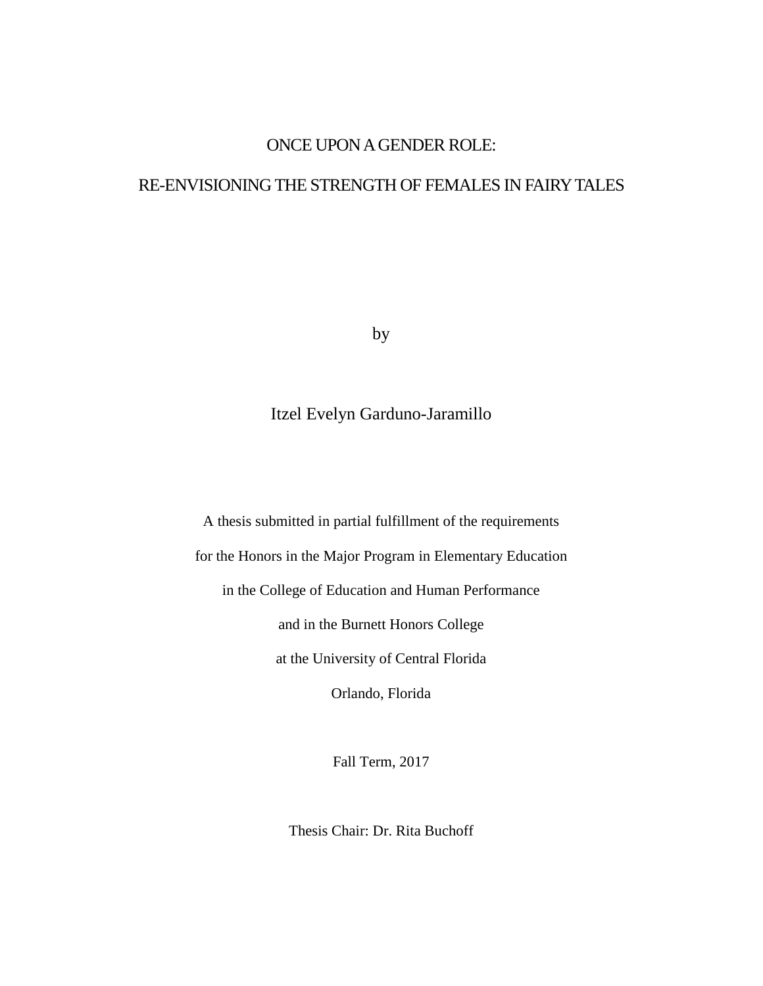## ONCE UPON A GENDER ROLE:

## RE-ENVISIONING THE STRENGTH OF FEMALES IN FAIRY TALES

by

Itzel Evelyn Garduno-Jaramillo

A thesis submitted in partial fulfillment of the requirements for the Honors in the Major Program in Elementary Education in the College of Education and Human Performance and in the Burnett Honors College at the University of Central Florida Orlando, Florida

Fall Term, 2017

Thesis Chair: Dr. Rita Buchoff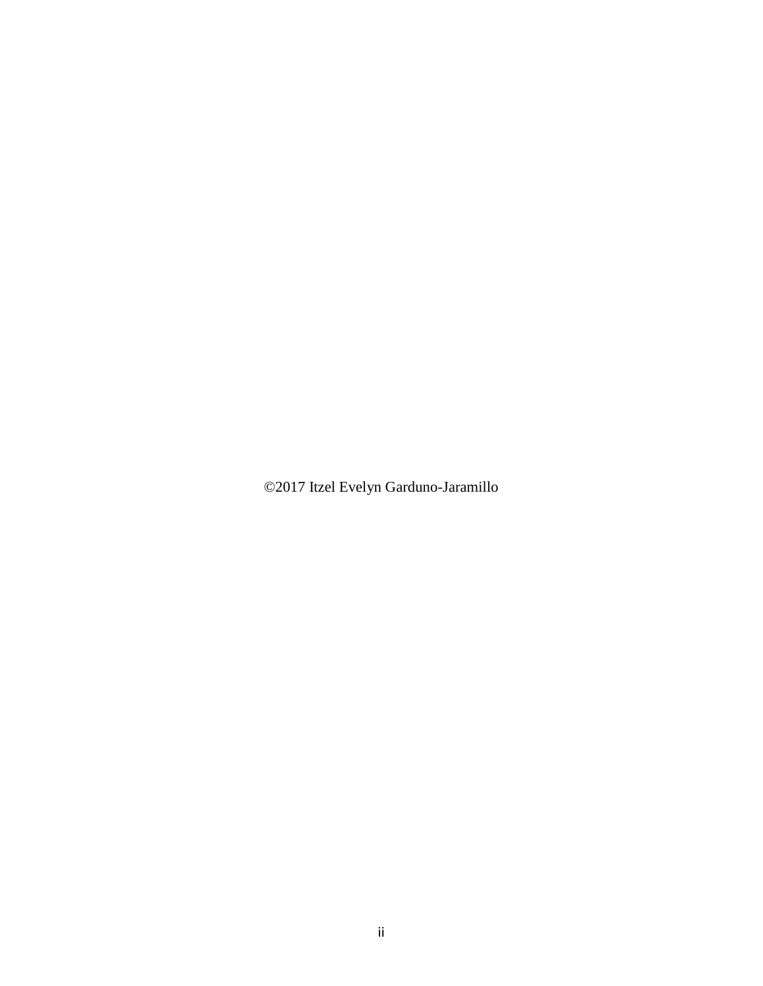©2017 Itzel Evelyn Garduno-Jaramillo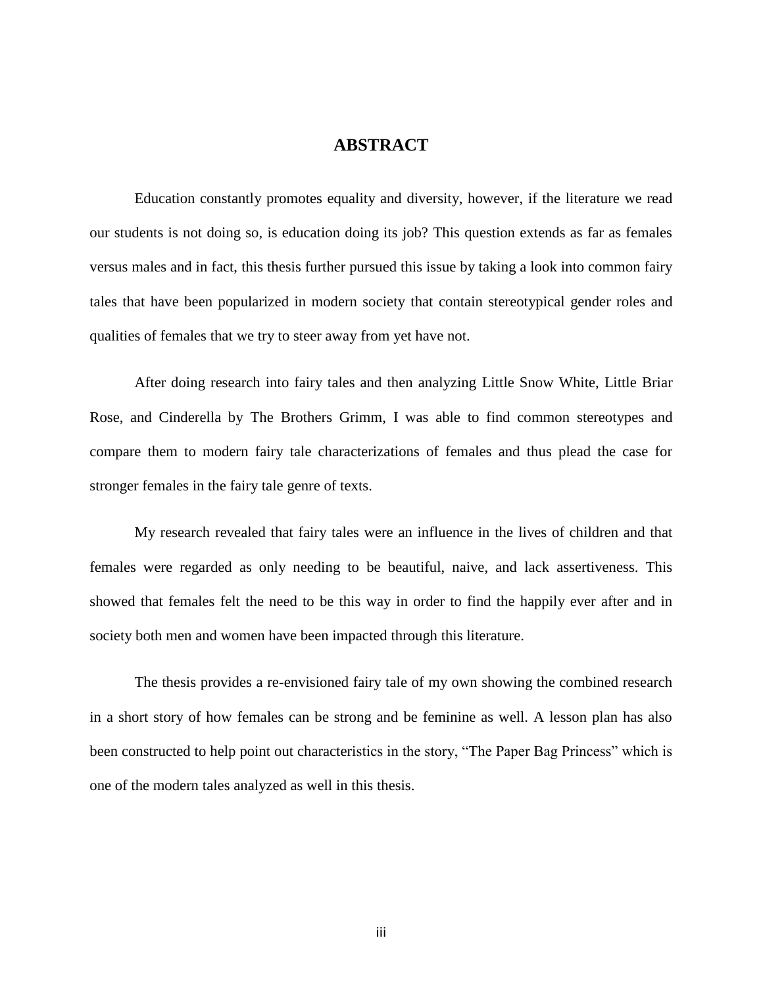## **ABSTRACT**

Education constantly promotes equality and diversity, however, if the literature we read our students is not doing so, is education doing its job? This question extends as far as females versus males and in fact, this thesis further pursued this issue by taking a look into common fairy tales that have been popularized in modern society that contain stereotypical gender roles and qualities of females that we try to steer away from yet have not.

After doing research into fairy tales and then analyzing Little Snow White, Little Briar Rose, and Cinderella by The Brothers Grimm, I was able to find common stereotypes and compare them to modern fairy tale characterizations of females and thus plead the case for stronger females in the fairy tale genre of texts.

My research revealed that fairy tales were an influence in the lives of children and that females were regarded as only needing to be beautiful, naive, and lack assertiveness. This showed that females felt the need to be this way in order to find the happily ever after and in society both men and women have been impacted through this literature.

The thesis provides a re-envisioned fairy tale of my own showing the combined research in a short story of how females can be strong and be feminine as well. A lesson plan has also been constructed to help point out characteristics in the story, "The Paper Bag Princess" which is one of the modern tales analyzed as well in this thesis.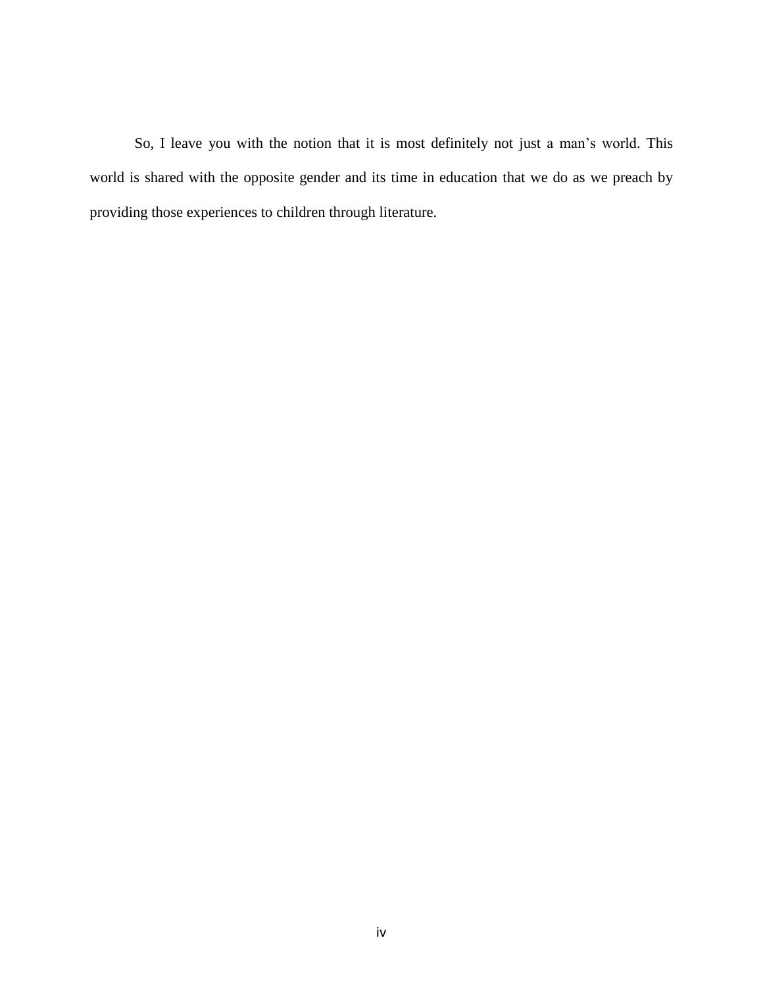So, I leave you with the notion that it is most definitely not just a man's world. This world is shared with the opposite gender and its time in education that we do as we preach by providing those experiences to children through literature.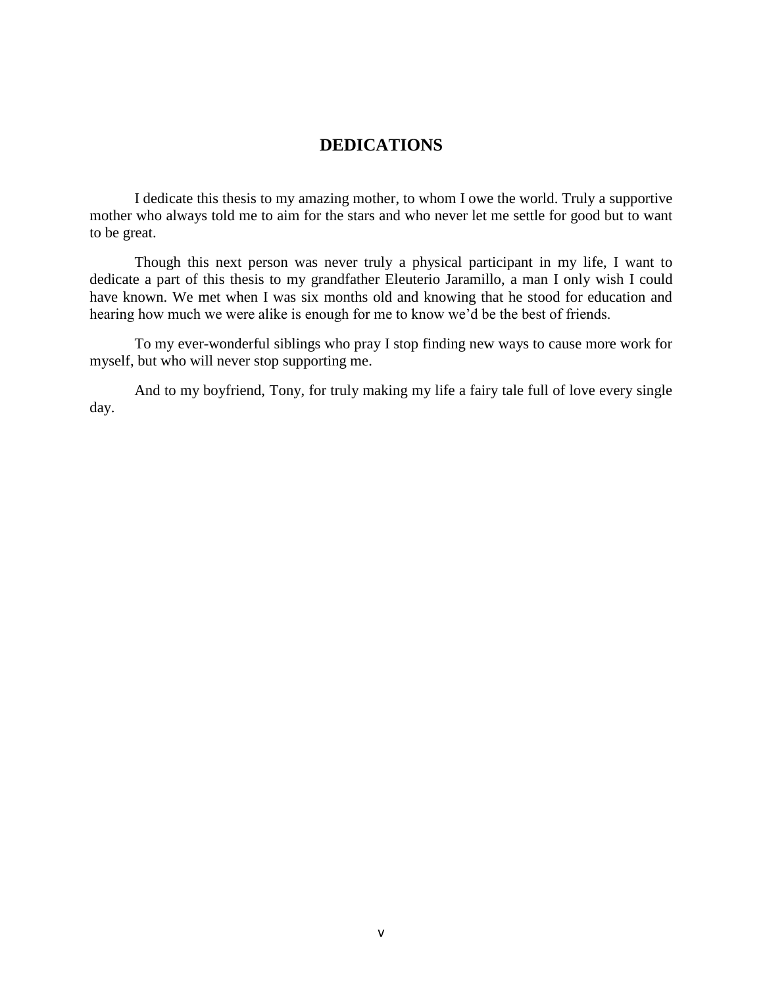## **DEDICATIONS**

I dedicate this thesis to my amazing mother, to whom I owe the world. Truly a supportive mother who always told me to aim for the stars and who never let me settle for good but to want to be great.

Though this next person was never truly a physical participant in my life, I want to dedicate a part of this thesis to my grandfather Eleuterio Jaramillo, a man I only wish I could have known. We met when I was six months old and knowing that he stood for education and hearing how much we were alike is enough for me to know we'd be the best of friends.

To my ever-wonderful siblings who pray I stop finding new ways to cause more work for myself, but who will never stop supporting me.

And to my boyfriend, Tony, for truly making my life a fairy tale full of love every single day.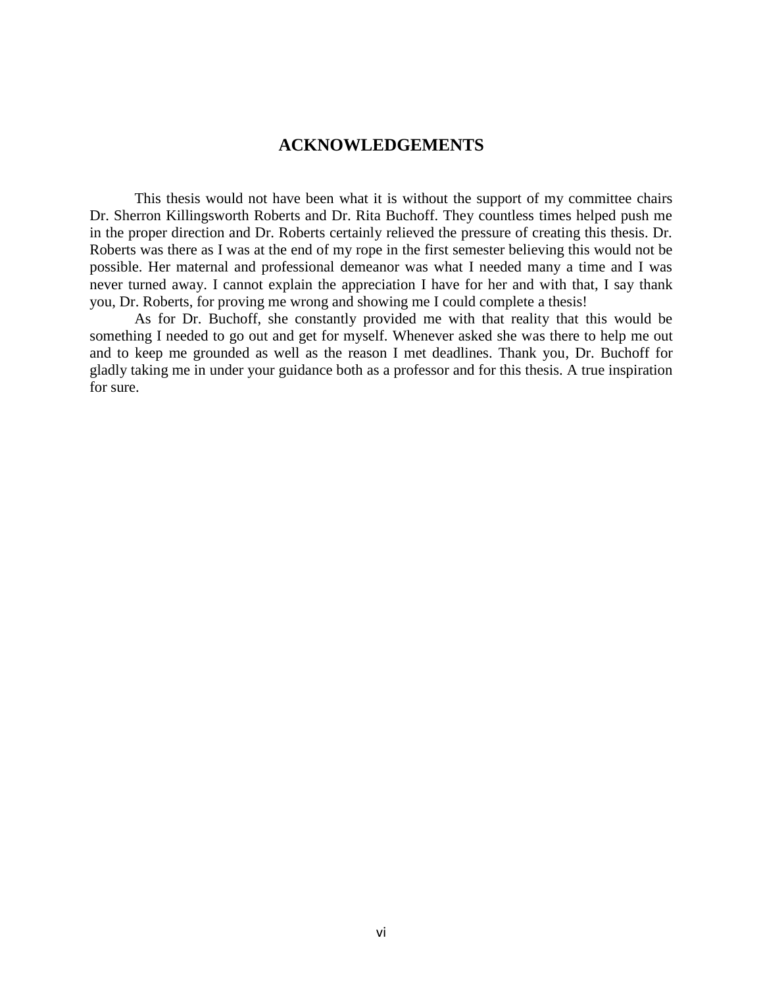## **ACKNOWLEDGEMENTS**

This thesis would not have been what it is without the support of my committee chairs Dr. Sherron Killingsworth Roberts and Dr. Rita Buchoff. They countless times helped push me in the proper direction and Dr. Roberts certainly relieved the pressure of creating this thesis. Dr. Roberts was there as I was at the end of my rope in the first semester believing this would not be possible. Her maternal and professional demeanor was what I needed many a time and I was never turned away. I cannot explain the appreciation I have for her and with that, I say thank you, Dr. Roberts, for proving me wrong and showing me I could complete a thesis!

As for Dr. Buchoff, she constantly provided me with that reality that this would be something I needed to go out and get for myself. Whenever asked she was there to help me out and to keep me grounded as well as the reason I met deadlines. Thank you, Dr. Buchoff for gladly taking me in under your guidance both as a professor and for this thesis. A true inspiration for sure.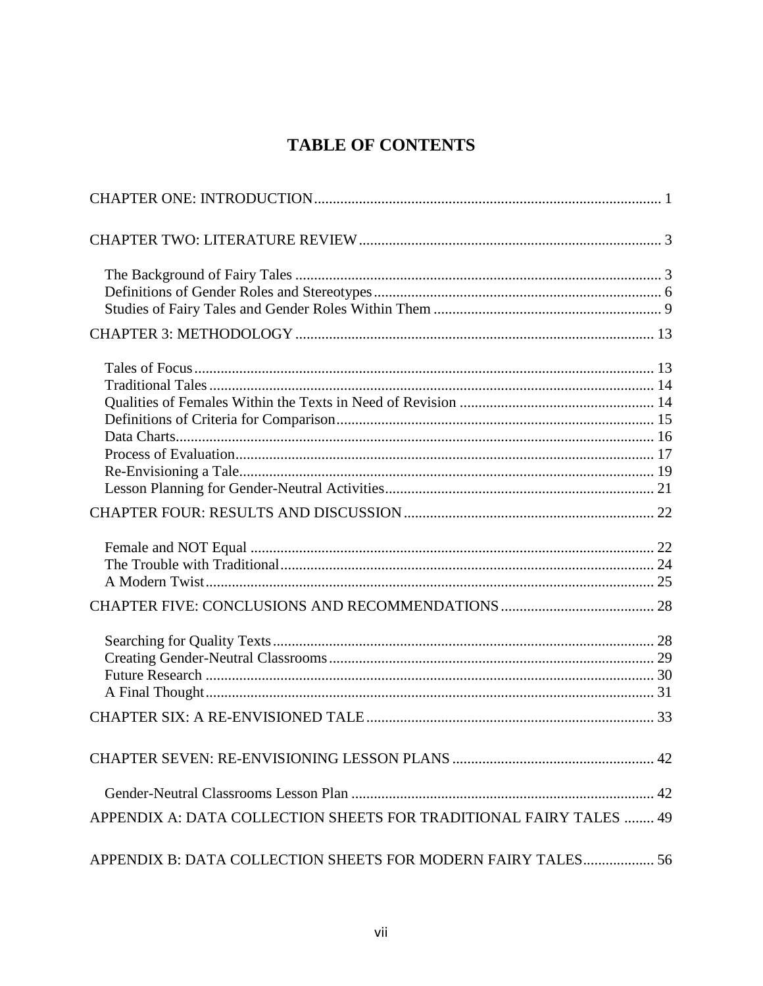## **TABLE OF CONTENTS**

| APPENDIX A: DATA COLLECTION SHEETS FOR TRADITIONAL FAIRY TALES  49 |  |
|--------------------------------------------------------------------|--|
| APPENDIX B: DATA COLLECTION SHEETS FOR MODERN FAIRY TALES 56       |  |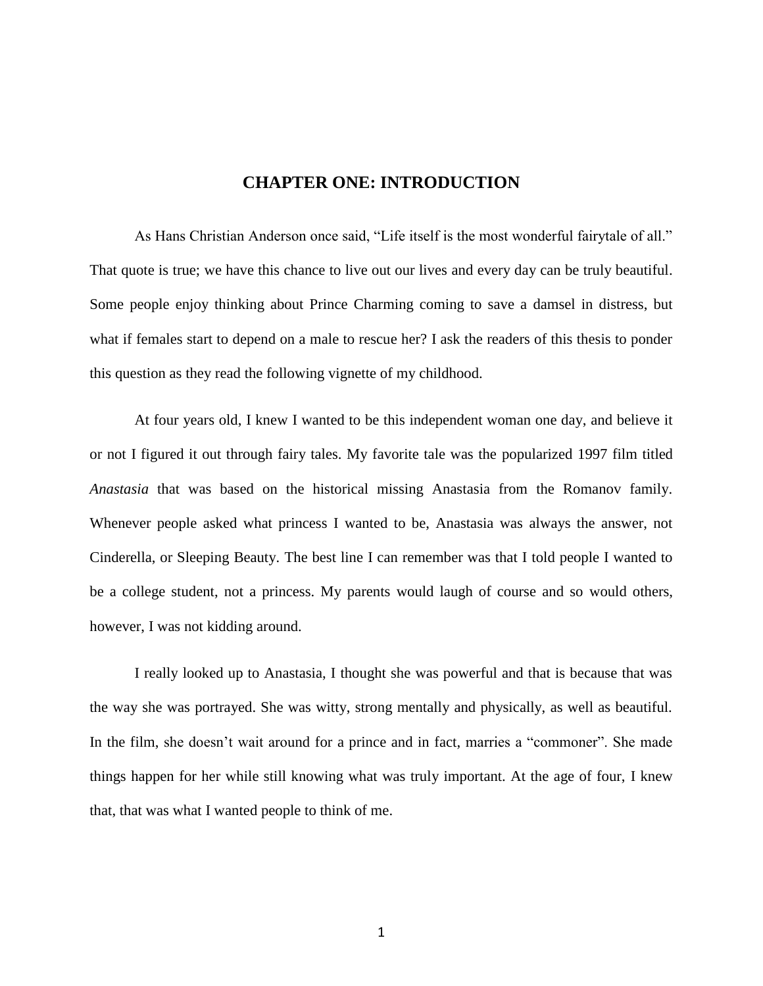#### **CHAPTER ONE: INTRODUCTION**

<span id="page-9-0"></span>As Hans Christian Anderson once said, "Life itself is the most wonderful fairytale of all." That quote is true; we have this chance to live out our lives and every day can be truly beautiful. Some people enjoy thinking about Prince Charming coming to save a damsel in distress, but what if females start to depend on a male to rescue her? I ask the readers of this thesis to ponder this question as they read the following vignette of my childhood.

At four years old, I knew I wanted to be this independent woman one day, and believe it or not I figured it out through fairy tales. My favorite tale was the popularized 1997 film titled *Anastasia* that was based on the historical missing Anastasia from the Romanov family. Whenever people asked what princess I wanted to be, Anastasia was always the answer, not Cinderella, or Sleeping Beauty. The best line I can remember was that I told people I wanted to be a college student, not a princess. My parents would laugh of course and so would others, however, I was not kidding around.

I really looked up to Anastasia, I thought she was powerful and that is because that was the way she was portrayed. She was witty, strong mentally and physically, as well as beautiful. In the film, she doesn't wait around for a prince and in fact, marries a "commoner". She made things happen for her while still knowing what was truly important. At the age of four, I knew that, that was what I wanted people to think of me.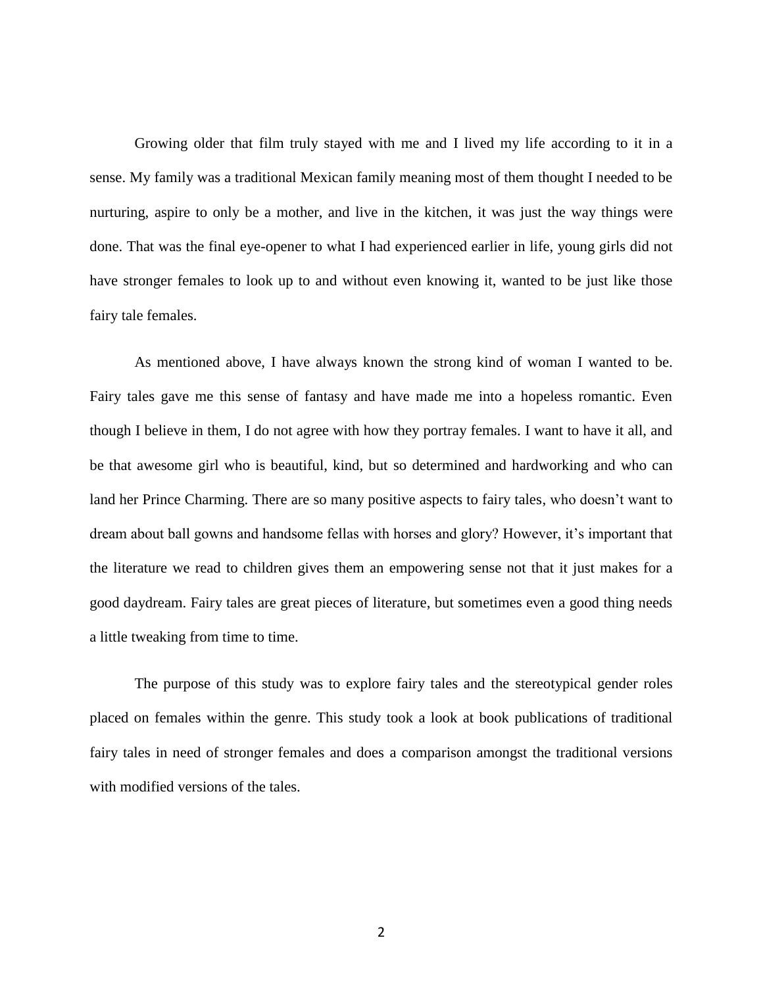Growing older that film truly stayed with me and I lived my life according to it in a sense. My family was a traditional Mexican family meaning most of them thought I needed to be nurturing, aspire to only be a mother, and live in the kitchen, it was just the way things were done. That was the final eye-opener to what I had experienced earlier in life, young girls did not have stronger females to look up to and without even knowing it, wanted to be just like those fairy tale females.

As mentioned above, I have always known the strong kind of woman I wanted to be. Fairy tales gave me this sense of fantasy and have made me into a hopeless romantic. Even though I believe in them, I do not agree with how they portray females. I want to have it all, and be that awesome girl who is beautiful, kind, but so determined and hardworking and who can land her Prince Charming. There are so many positive aspects to fairy tales, who doesn't want to dream about ball gowns and handsome fellas with horses and glory? However, it's important that the literature we read to children gives them an empowering sense not that it just makes for a good daydream. Fairy tales are great pieces of literature, but sometimes even a good thing needs a little tweaking from time to time.

The purpose of this study was to explore fairy tales and the stereotypical gender roles placed on females within the genre. This study took a look at book publications of traditional fairy tales in need of stronger females and does a comparison amongst the traditional versions with modified versions of the tales.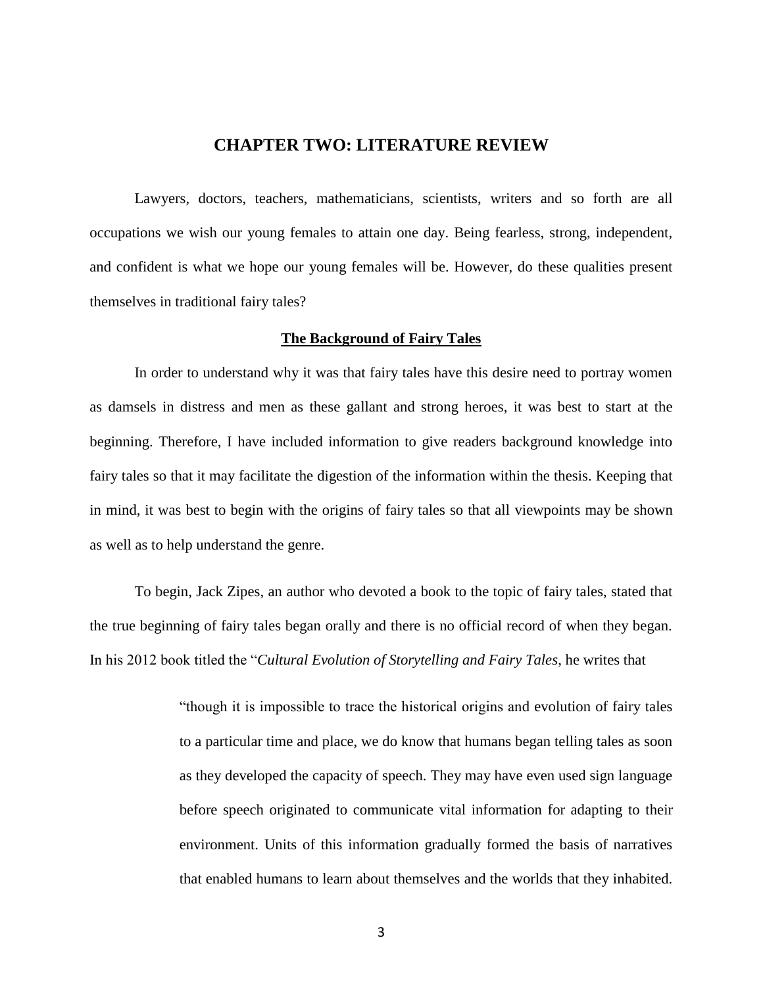## **CHAPTER TWO: LITERATURE REVIEW**

<span id="page-11-0"></span>Lawyers, doctors, teachers, mathematicians, scientists, writers and so forth are all occupations we wish our young females to attain one day. Being fearless, strong, independent, and confident is what we hope our young females will be. However, do these qualities present themselves in traditional fairy tales?

#### **The Background of Fairy Tales**

<span id="page-11-1"></span>In order to understand why it was that fairy tales have this desire need to portray women as damsels in distress and men as these gallant and strong heroes, it was best to start at the beginning. Therefore, I have included information to give readers background knowledge into fairy tales so that it may facilitate the digestion of the information within the thesis. Keeping that in mind, it was best to begin with the origins of fairy tales so that all viewpoints may be shown as well as to help understand the genre.

To begin, Jack Zipes, an author who devoted a book to the topic of fairy tales, stated that the true beginning of fairy tales began orally and there is no official record of when they began. In his 2012 book titled the "*Cultural Evolution of Storytelling and Fairy Tales*, he writes that

> "though it is impossible to trace the historical origins and evolution of fairy tales to a particular time and place, we do know that humans began telling tales as soon as they developed the capacity of speech. They may have even used sign language before speech originated to communicate vital information for adapting to their environment. Units of this information gradually formed the basis of narratives that enabled humans to learn about themselves and the worlds that they inhabited.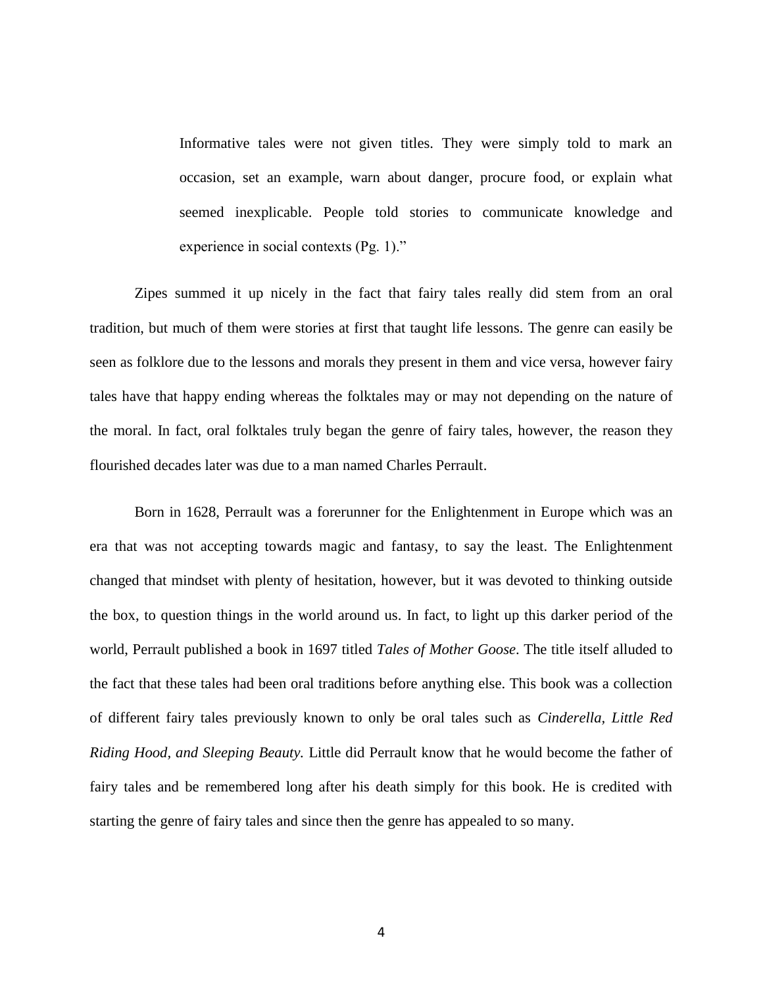Informative tales were not given titles. They were simply told to mark an occasion, set an example, warn about danger, procure food, or explain what seemed inexplicable. People told stories to communicate knowledge and experience in social contexts (Pg. 1)."

Zipes summed it up nicely in the fact that fairy tales really did stem from an oral tradition, but much of them were stories at first that taught life lessons. The genre can easily be seen as folklore due to the lessons and morals they present in them and vice versa, however fairy tales have that happy ending whereas the folktales may or may not depending on the nature of the moral. In fact, oral folktales truly began the genre of fairy tales, however, the reason they flourished decades later was due to a man named Charles Perrault.

Born in 1628, Perrault was a forerunner for the Enlightenment in Europe which was an era that was not accepting towards magic and fantasy, to say the least. The Enlightenment changed that mindset with plenty of hesitation, however, but it was devoted to thinking outside the box, to question things in the world around us. In fact, to light up this darker period of the world, Perrault published a book in 1697 titled *Tales of Mother Goose*. The title itself alluded to the fact that these tales had been oral traditions before anything else. This book was a collection of different fairy tales previously known to only be oral tales such as *Cinderella, Little Red Riding Hood, and Sleeping Beauty.* Little did Perrault know that he would become the father of fairy tales and be remembered long after his death simply for this book. He is credited with starting the genre of fairy tales and since then the genre has appealed to so many.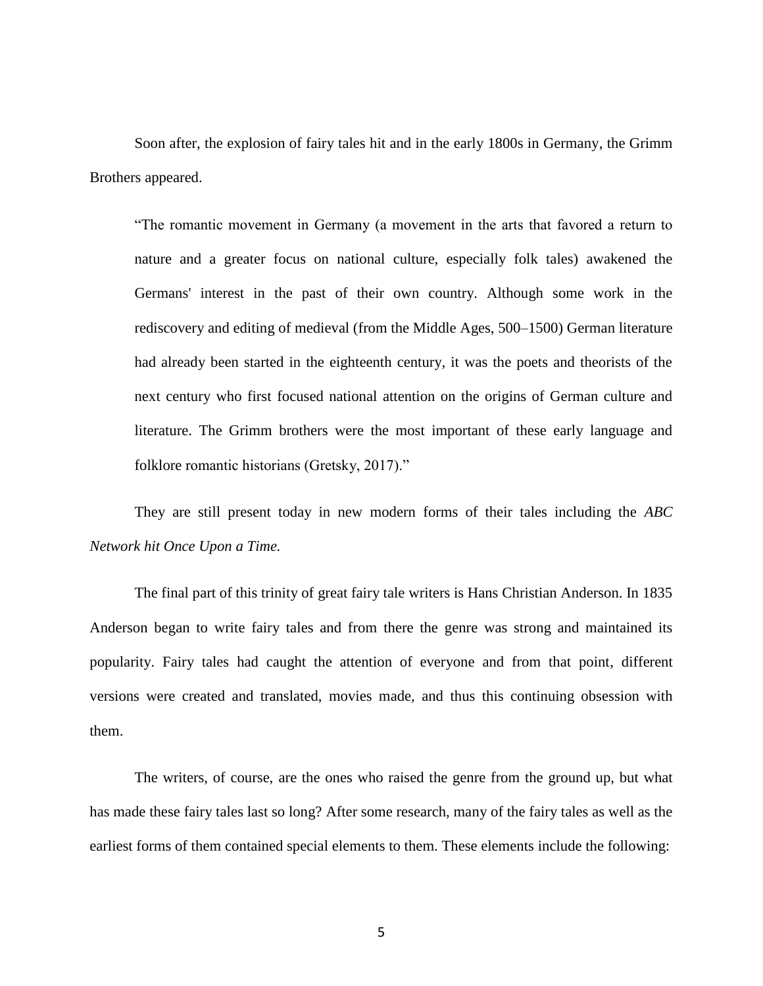Soon after, the explosion of fairy tales hit and in the early 1800s in Germany, the Grimm Brothers appeared.

"The romantic movement in Germany (a movement in the arts that favored a return to nature and a greater focus on national culture, especially folk tales) awakened the Germans' interest in the past of their own country. Although some work in the rediscovery and editing of medieval (from the Middle Ages, 500–1500) German literature had already been started in the eighteenth century, it was the poets and theorists of the next century who first focused national attention on the origins of German culture and literature. The Grimm brothers were the most important of these early language and folklore romantic historians (Gretsky, 2017)."

They are still present today in new modern forms of their tales including the *ABC Network hit Once Upon a Time.*

The final part of this trinity of great fairy tale writers is Hans Christian Anderson. In 1835 Anderson began to write fairy tales and from there the genre was strong and maintained its popularity. Fairy tales had caught the attention of everyone and from that point, different versions were created and translated, movies made, and thus this continuing obsession with them.

The writers, of course, are the ones who raised the genre from the ground up, but what has made these fairy tales last so long? After some research, many of the fairy tales as well as the earliest forms of them contained special elements to them. These elements include the following: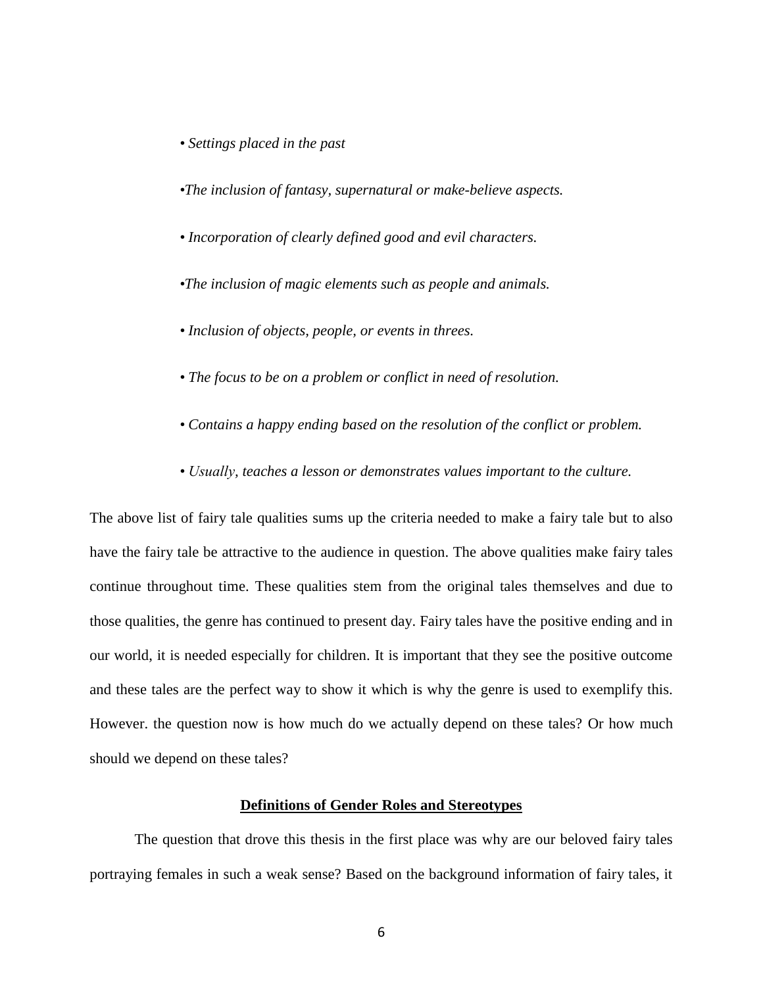*• Settings placed in the past*

*•The inclusion of fantasy, supernatural or make-believe aspects.*

*• Incorporation of clearly defined good and evil characters.*

*•The inclusion of magic elements such as people and animals.*

- *Inclusion of objects, people, or events in threes.*
- *The focus to be on a problem or conflict in need of resolution.*
- *Contains a happy ending based on the resolution of the conflict or problem.*
- *Usually, teaches a lesson or demonstrates values important to the culture.*

The above list of fairy tale qualities sums up the criteria needed to make a fairy tale but to also have the fairy tale be attractive to the audience in question. The above qualities make fairy tales continue throughout time. These qualities stem from the original tales themselves and due to those qualities, the genre has continued to present day. Fairy tales have the positive ending and in our world, it is needed especially for children. It is important that they see the positive outcome and these tales are the perfect way to show it which is why the genre is used to exemplify this. However. the question now is how much do we actually depend on these tales? Or how much should we depend on these tales?

#### **Definitions of Gender Roles and Stereotypes**

<span id="page-14-0"></span>The question that drove this thesis in the first place was why are our beloved fairy tales portraying females in such a weak sense? Based on the background information of fairy tales, it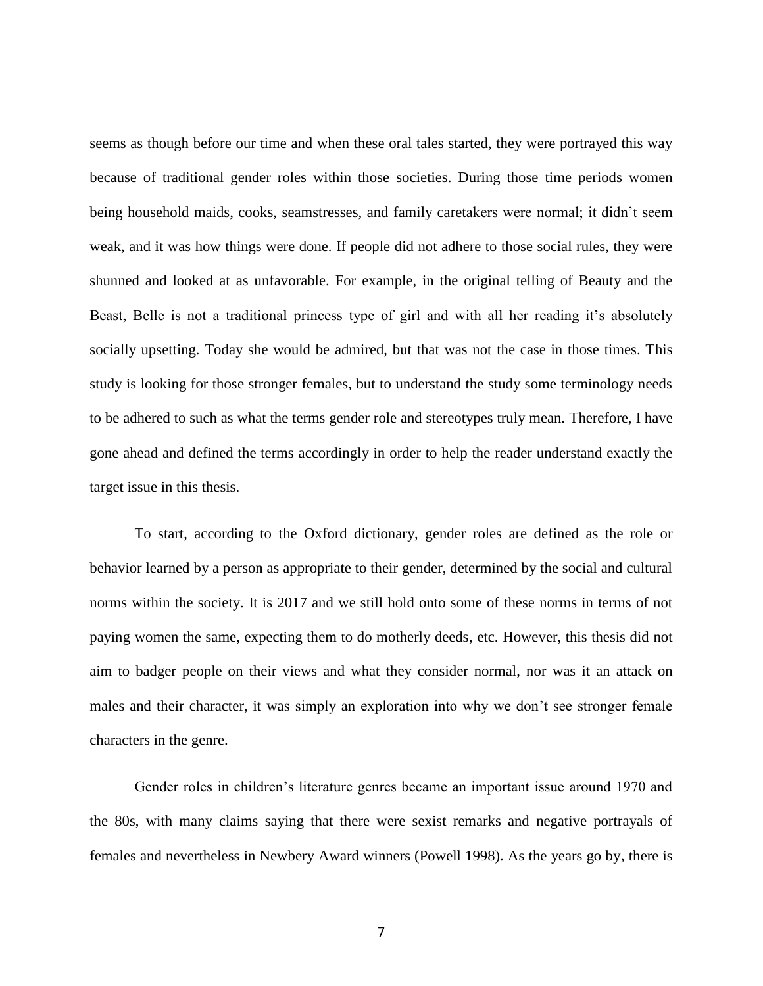seems as though before our time and when these oral tales started, they were portrayed this way because of traditional gender roles within those societies. During those time periods women being household maids, cooks, seamstresses, and family caretakers were normal; it didn't seem weak, and it was how things were done. If people did not adhere to those social rules, they were shunned and looked at as unfavorable. For example, in the original telling of Beauty and the Beast, Belle is not a traditional princess type of girl and with all her reading it's absolutely socially upsetting. Today she would be admired, but that was not the case in those times. This study is looking for those stronger females, but to understand the study some terminology needs to be adhered to such as what the terms gender role and stereotypes truly mean. Therefore, I have gone ahead and defined the terms accordingly in order to help the reader understand exactly the target issue in this thesis.

To start, according to the Oxford dictionary, gender roles are defined as the role or behavior learned by a person as appropriate to their gender, determined by the social and cultural norms within the society. It is 2017 and we still hold onto some of these norms in terms of not paying women the same, expecting them to do motherly deeds, etc. However, this thesis did not aim to badger people on their views and what they consider normal, nor was it an attack on males and their character, it was simply an exploration into why we don't see stronger female characters in the genre.

Gender roles in children's literature genres became an important issue around 1970 and the 80s, with many claims saying that there were sexist remarks and negative portrayals of females and nevertheless in Newbery Award winners (Powell 1998). As the years go by, there is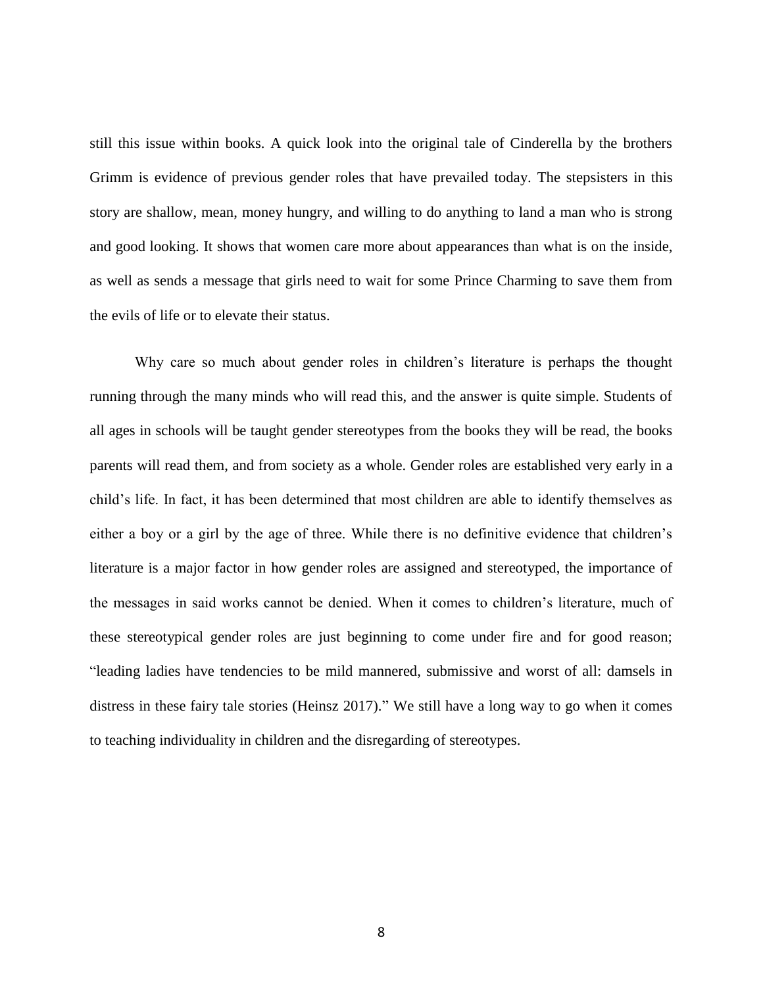still this issue within books. A quick look into the original tale of Cinderella by the brothers Grimm is evidence of previous gender roles that have prevailed today. The stepsisters in this story are shallow, mean, money hungry, and willing to do anything to land a man who is strong and good looking. It shows that women care more about appearances than what is on the inside, as well as sends a message that girls need to wait for some Prince Charming to save them from the evils of life or to elevate their status.

Why care so much about gender roles in children's literature is perhaps the thought running through the many minds who will read this, and the answer is quite simple. Students of all ages in schools will be taught gender stereotypes from the books they will be read, the books parents will read them, and from society as a whole. Gender roles are established very early in a child's life. In fact, it has been determined that most children are able to identify themselves as either a boy or a girl by the age of three. While there is no definitive evidence that children's literature is a major factor in how gender roles are assigned and stereotyped, the importance of the messages in said works cannot be denied. When it comes to children's literature, much of these stereotypical gender roles are just beginning to come under fire and for good reason; "leading ladies have tendencies to be mild mannered, submissive and worst of all: damsels in distress in these fairy tale stories (Heinsz 2017)." We still have a long way to go when it comes to teaching individuality in children and the disregarding of stereotypes.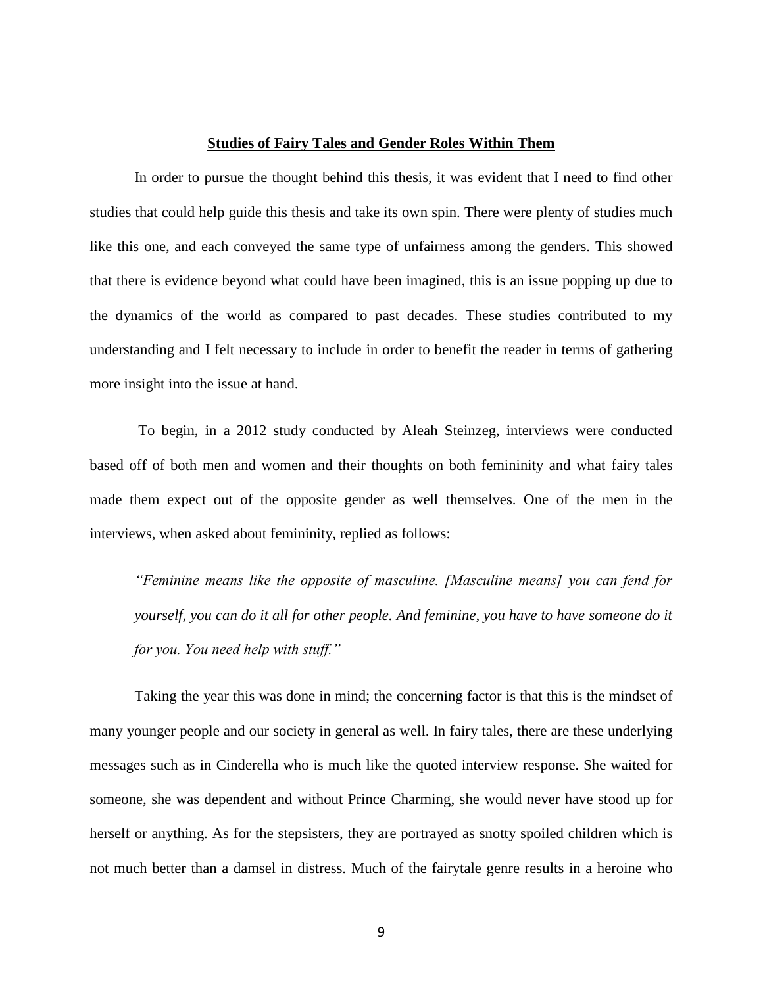#### **Studies of Fairy Tales and Gender Roles Within Them**

<span id="page-17-0"></span>In order to pursue the thought behind this thesis, it was evident that I need to find other studies that could help guide this thesis and take its own spin. There were plenty of studies much like this one, and each conveyed the same type of unfairness among the genders. This showed that there is evidence beyond what could have been imagined, this is an issue popping up due to the dynamics of the world as compared to past decades. These studies contributed to my understanding and I felt necessary to include in order to benefit the reader in terms of gathering more insight into the issue at hand.

To begin, in a 2012 study conducted by Aleah Steinzeg, interviews were conducted based off of both men and women and their thoughts on both femininity and what fairy tales made them expect out of the opposite gender as well themselves. One of the men in the interviews, when asked about femininity, replied as follows:

*"Feminine means like the opposite of masculine. [Masculine means] you can fend for yourself, you can do it all for other people. And feminine, you have to have someone do it for you. You need help with stuff."*

Taking the year this was done in mind; the concerning factor is that this is the mindset of many younger people and our society in general as well. In fairy tales, there are these underlying messages such as in Cinderella who is much like the quoted interview response. She waited for someone, she was dependent and without Prince Charming, she would never have stood up for herself or anything. As for the stepsisters, they are portrayed as snotty spoiled children which is not much better than a damsel in distress. Much of the fairytale genre results in a heroine who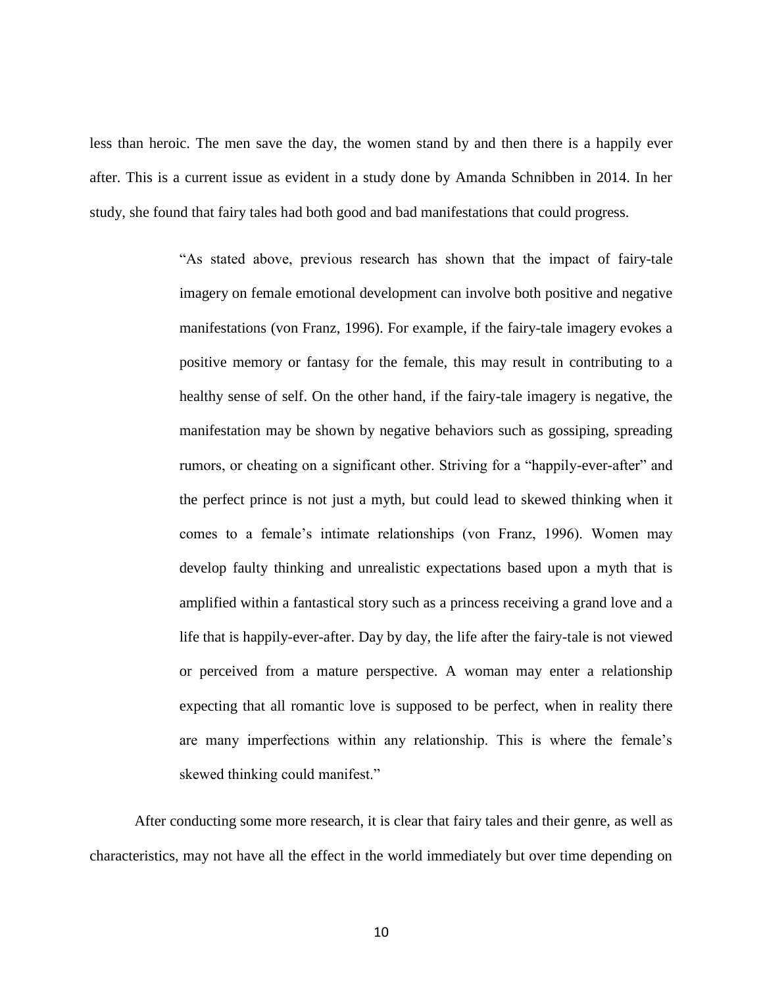less than heroic. The men save the day, the women stand by and then there is a happily ever after. This is a current issue as evident in a study done by Amanda Schnibben in 2014. In her study, she found that fairy tales had both good and bad manifestations that could progress.

> "As stated above, previous research has shown that the impact of fairy-tale imagery on female emotional development can involve both positive and negative manifestations (von Franz, 1996). For example, if the fairy-tale imagery evokes a positive memory or fantasy for the female, this may result in contributing to a healthy sense of self. On the other hand, if the fairy-tale imagery is negative, the manifestation may be shown by negative behaviors such as gossiping, spreading rumors, or cheating on a significant other. Striving for a "happily-ever-after" and the perfect prince is not just a myth, but could lead to skewed thinking when it comes to a female's intimate relationships (von Franz, 1996). Women may develop faulty thinking and unrealistic expectations based upon a myth that is amplified within a fantastical story such as a princess receiving a grand love and a life that is happily-ever-after. Day by day, the life after the fairy-tale is not viewed or perceived from a mature perspective. A woman may enter a relationship expecting that all romantic love is supposed to be perfect, when in reality there are many imperfections within any relationship. This is where the female's skewed thinking could manifest."

After conducting some more research, it is clear that fairy tales and their genre, as well as characteristics, may not have all the effect in the world immediately but over time depending on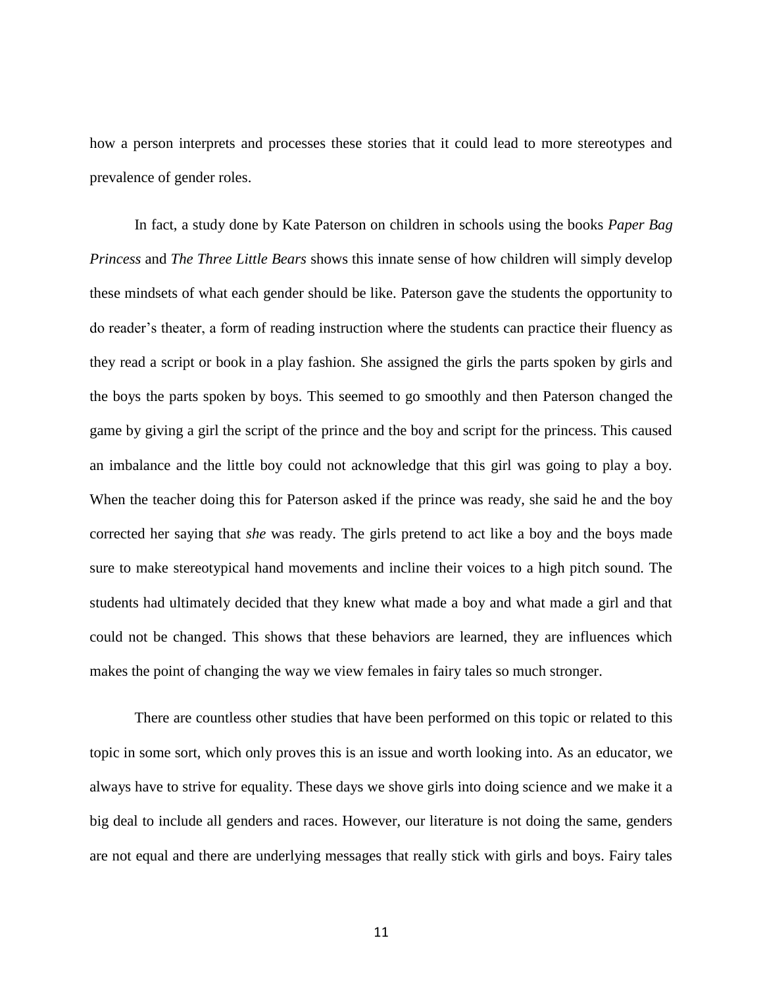how a person interprets and processes these stories that it could lead to more stereotypes and prevalence of gender roles.

In fact, a study done by Kate Paterson on children in schools using the books *Paper Bag Princess* and *The Three Little Bears* shows this innate sense of how children will simply develop these mindsets of what each gender should be like. Paterson gave the students the opportunity to do reader's theater, a form of reading instruction where the students can practice their fluency as they read a script or book in a play fashion. She assigned the girls the parts spoken by girls and the boys the parts spoken by boys. This seemed to go smoothly and then Paterson changed the game by giving a girl the script of the prince and the boy and script for the princess. This caused an imbalance and the little boy could not acknowledge that this girl was going to play a boy. When the teacher doing this for Paterson asked if the prince was ready, she said he and the boy corrected her saying that *she* was ready. The girls pretend to act like a boy and the boys made sure to make stereotypical hand movements and incline their voices to a high pitch sound. The students had ultimately decided that they knew what made a boy and what made a girl and that could not be changed. This shows that these behaviors are learned, they are influences which makes the point of changing the way we view females in fairy tales so much stronger.

There are countless other studies that have been performed on this topic or related to this topic in some sort, which only proves this is an issue and worth looking into. As an educator, we always have to strive for equality. These days we shove girls into doing science and we make it a big deal to include all genders and races. However, our literature is not doing the same, genders are not equal and there are underlying messages that really stick with girls and boys. Fairy tales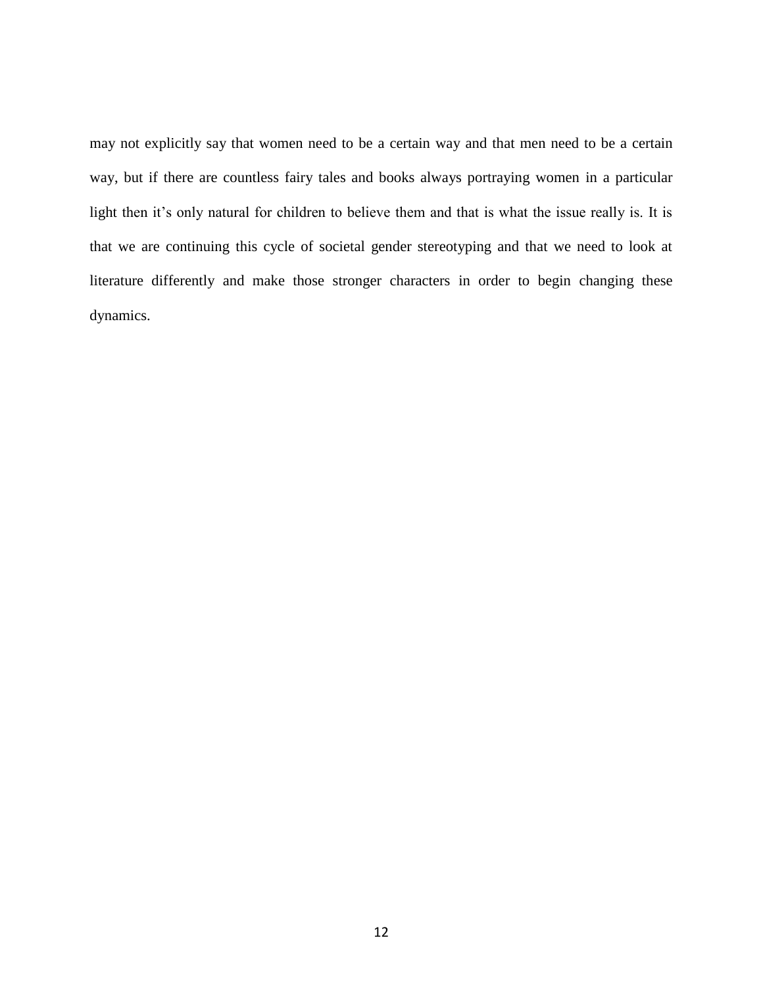may not explicitly say that women need to be a certain way and that men need to be a certain way, but if there are countless fairy tales and books always portraying women in a particular light then it's only natural for children to believe them and that is what the issue really is. It is that we are continuing this cycle of societal gender stereotyping and that we need to look at literature differently and make those stronger characters in order to begin changing these dynamics.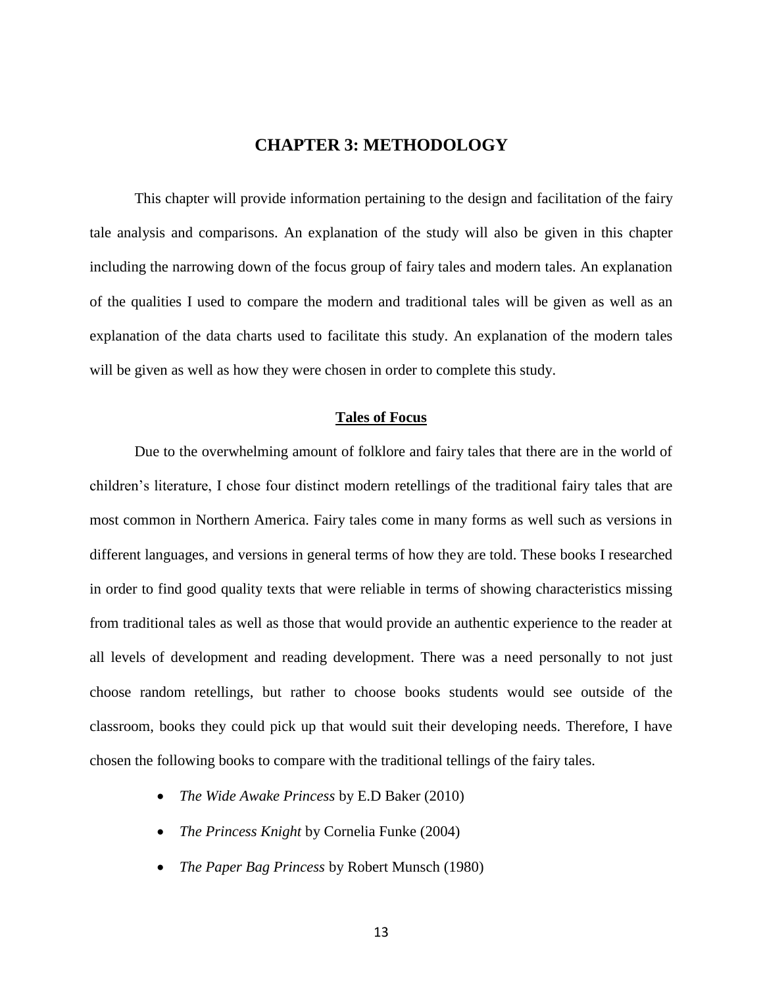## **CHAPTER 3: METHODOLOGY**

<span id="page-21-0"></span>This chapter will provide information pertaining to the design and facilitation of the fairy tale analysis and comparisons. An explanation of the study will also be given in this chapter including the narrowing down of the focus group of fairy tales and modern tales. An explanation of the qualities I used to compare the modern and traditional tales will be given as well as an explanation of the data charts used to facilitate this study. An explanation of the modern tales will be given as well as how they were chosen in order to complete this study.

#### **Tales of Focus**

<span id="page-21-1"></span>Due to the overwhelming amount of folklore and fairy tales that there are in the world of children's literature, I chose four distinct modern retellings of the traditional fairy tales that are most common in Northern America. Fairy tales come in many forms as well such as versions in different languages, and versions in general terms of how they are told. These books I researched in order to find good quality texts that were reliable in terms of showing characteristics missing from traditional tales as well as those that would provide an authentic experience to the reader at all levels of development and reading development. There was a need personally to not just choose random retellings, but rather to choose books students would see outside of the classroom, books they could pick up that would suit their developing needs. Therefore, I have chosen the following books to compare with the traditional tellings of the fairy tales.

- *The Wide Awake Princess* by E.D Baker (2010)
- *The Princess Knight* by Cornelia Funke (2004)
- *The Paper Bag Princess* by Robert Munsch (1980)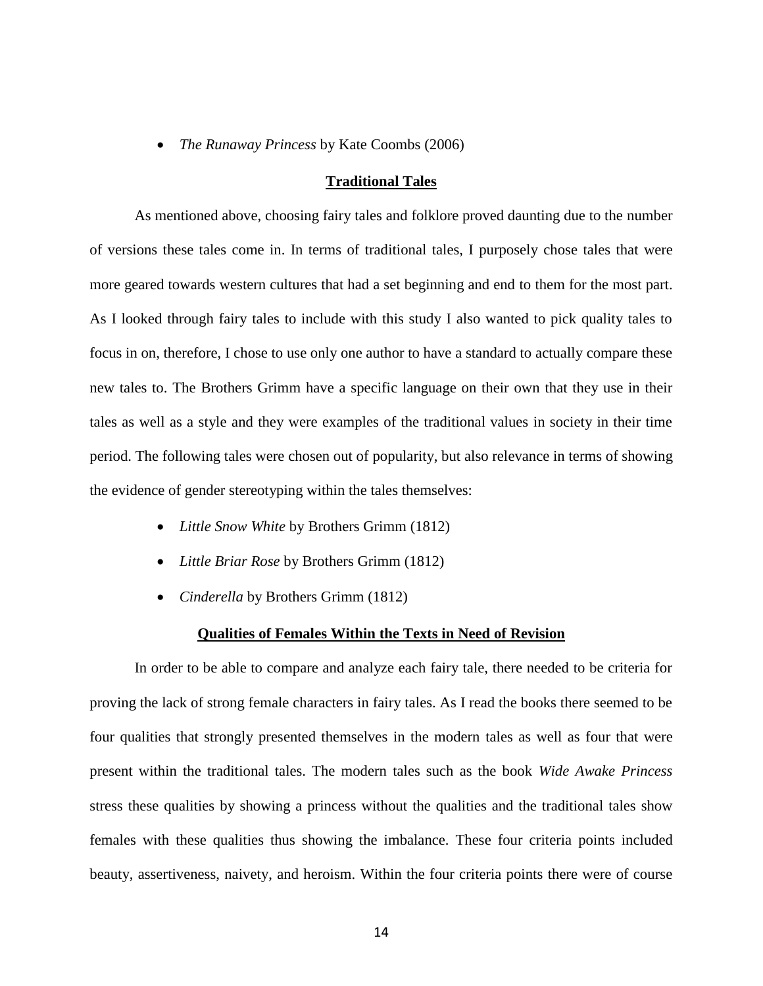• *The Runaway Princess* by Kate Coombs (2006)

#### **Traditional Tales**

<span id="page-22-0"></span>As mentioned above, choosing fairy tales and folklore proved daunting due to the number of versions these tales come in. In terms of traditional tales, I purposely chose tales that were more geared towards western cultures that had a set beginning and end to them for the most part. As I looked through fairy tales to include with this study I also wanted to pick quality tales to focus in on, therefore, I chose to use only one author to have a standard to actually compare these new tales to. The Brothers Grimm have a specific language on their own that they use in their tales as well as a style and they were examples of the traditional values in society in their time period. The following tales were chosen out of popularity, but also relevance in terms of showing the evidence of gender stereotyping within the tales themselves:

- *Little Snow White* by Brothers Grimm (1812)
- *Little Briar Rose* by Brothers Grimm (1812)
- *Cinderella* by Brothers Grimm (1812)

#### **Qualities of Females Within the Texts in Need of Revision**

<span id="page-22-1"></span>In order to be able to compare and analyze each fairy tale, there needed to be criteria for proving the lack of strong female characters in fairy tales. As I read the books there seemed to be four qualities that strongly presented themselves in the modern tales as well as four that were present within the traditional tales. The modern tales such as the book *Wide Awake Princess* stress these qualities by showing a princess without the qualities and the traditional tales show females with these qualities thus showing the imbalance. These four criteria points included beauty, assertiveness, naivety, and heroism. Within the four criteria points there were of course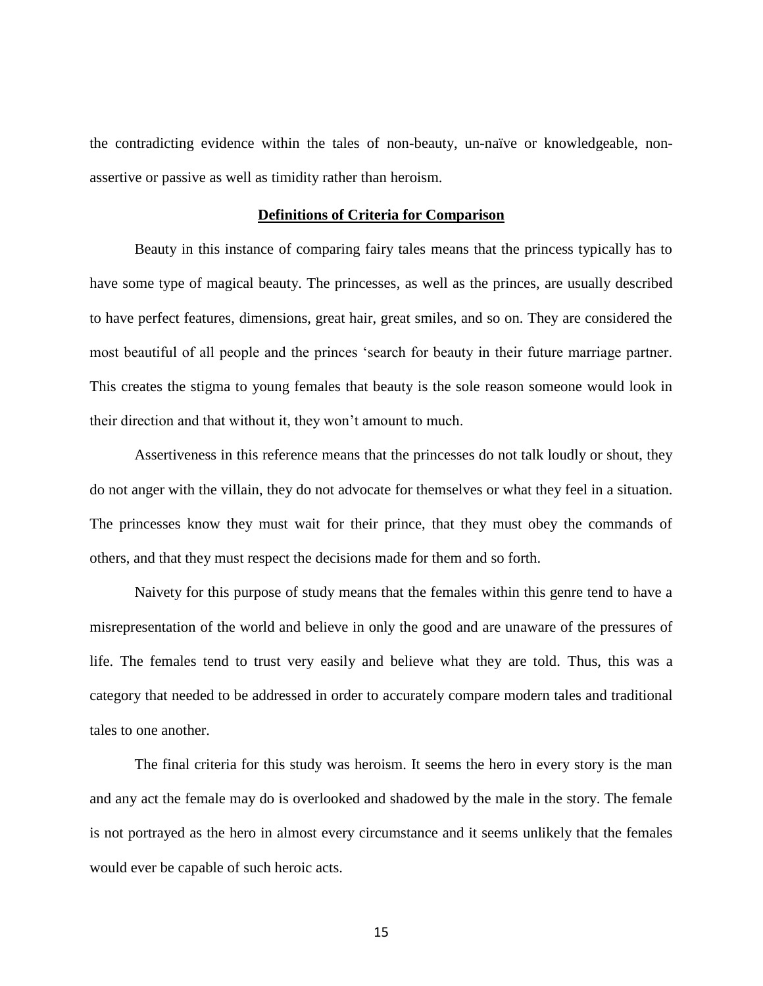the contradicting evidence within the tales of non-beauty, un-naïve or knowledgeable, nonassertive or passive as well as timidity rather than heroism.

#### **Definitions of Criteria for Comparison**

<span id="page-23-0"></span>Beauty in this instance of comparing fairy tales means that the princess typically has to have some type of magical beauty. The princesses, as well as the princes, are usually described to have perfect features, dimensions, great hair, great smiles, and so on. They are considered the most beautiful of all people and the princes 'search for beauty in their future marriage partner. This creates the stigma to young females that beauty is the sole reason someone would look in their direction and that without it, they won't amount to much.

Assertiveness in this reference means that the princesses do not talk loudly or shout, they do not anger with the villain, they do not advocate for themselves or what they feel in a situation. The princesses know they must wait for their prince, that they must obey the commands of others, and that they must respect the decisions made for them and so forth.

Naivety for this purpose of study means that the females within this genre tend to have a misrepresentation of the world and believe in only the good and are unaware of the pressures of life. The females tend to trust very easily and believe what they are told. Thus, this was a category that needed to be addressed in order to accurately compare modern tales and traditional tales to one another.

The final criteria for this study was heroism. It seems the hero in every story is the man and any act the female may do is overlooked and shadowed by the male in the story. The female is not portrayed as the hero in almost every circumstance and it seems unlikely that the females would ever be capable of such heroic acts.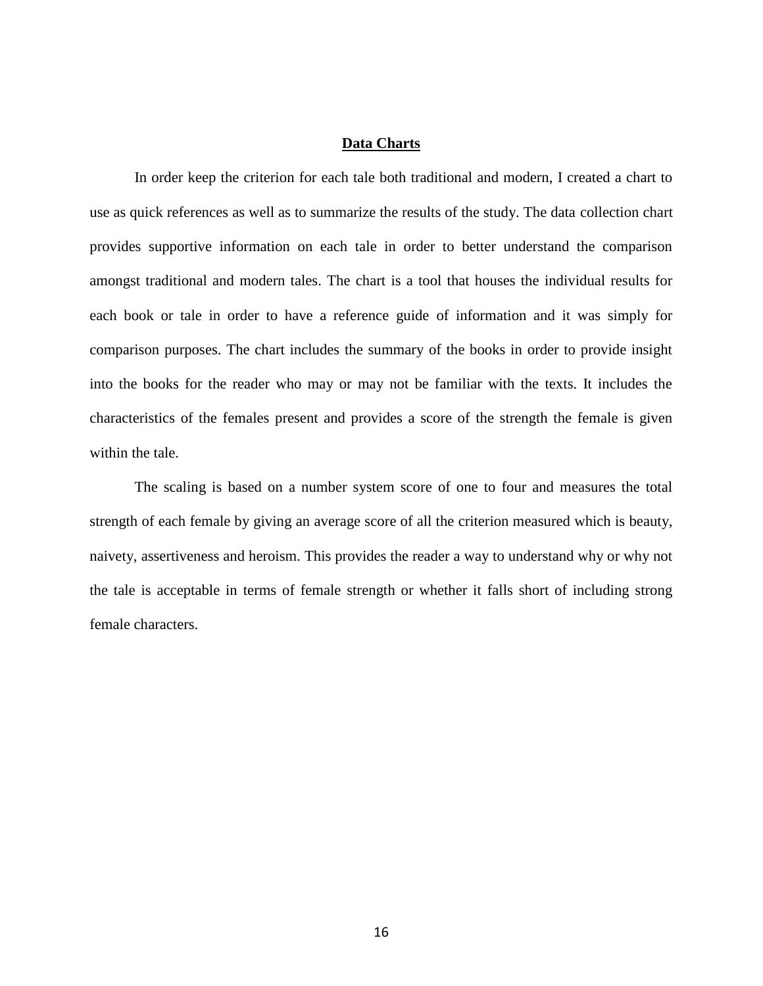#### **Data Charts**

<span id="page-24-0"></span>In order keep the criterion for each tale both traditional and modern, I created a chart to use as quick references as well as to summarize the results of the study. The data collection chart provides supportive information on each tale in order to better understand the comparison amongst traditional and modern tales. The chart is a tool that houses the individual results for each book or tale in order to have a reference guide of information and it was simply for comparison purposes. The chart includes the summary of the books in order to provide insight into the books for the reader who may or may not be familiar with the texts. It includes the characteristics of the females present and provides a score of the strength the female is given within the tale.

The scaling is based on a number system score of one to four and measures the total strength of each female by giving an average score of all the criterion measured which is beauty, naivety, assertiveness and heroism. This provides the reader a way to understand why or why not the tale is acceptable in terms of female strength or whether it falls short of including strong female characters.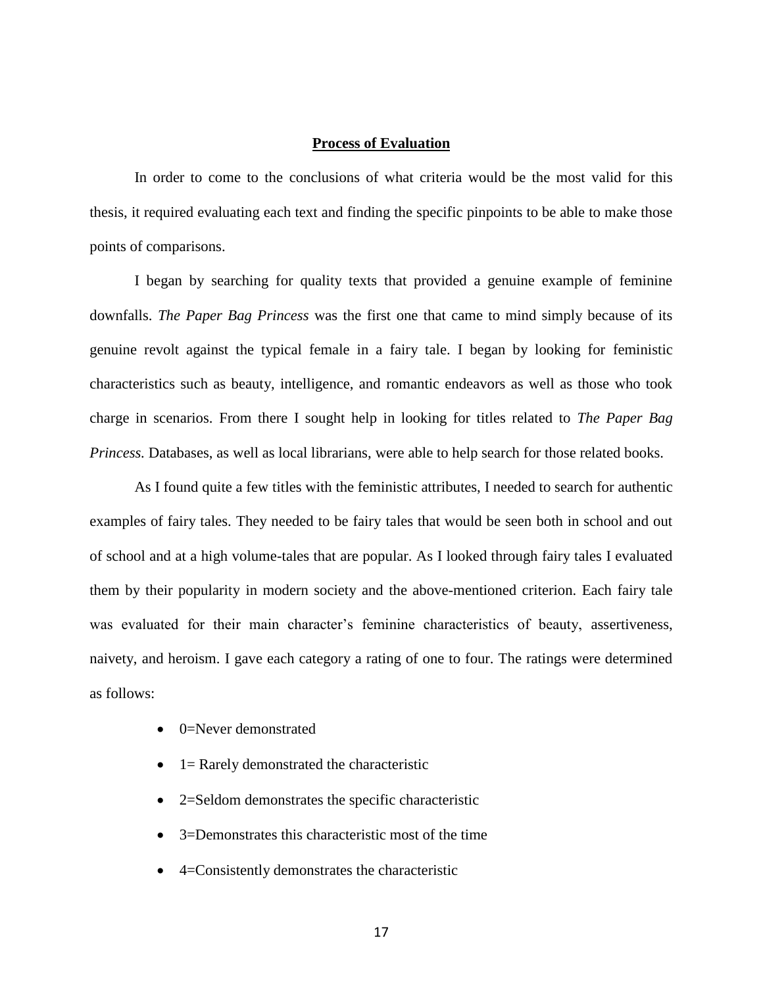#### **Process of Evaluation**

<span id="page-25-0"></span>In order to come to the conclusions of what criteria would be the most valid for this thesis, it required evaluating each text and finding the specific pinpoints to be able to make those points of comparisons.

I began by searching for quality texts that provided a genuine example of feminine downfalls. *The Paper Bag Princess* was the first one that came to mind simply because of its genuine revolt against the typical female in a fairy tale. I began by looking for feministic characteristics such as beauty, intelligence, and romantic endeavors as well as those who took charge in scenarios. From there I sought help in looking for titles related to *The Paper Bag Princess.* Databases, as well as local librarians, were able to help search for those related books.

As I found quite a few titles with the feministic attributes, I needed to search for authentic examples of fairy tales. They needed to be fairy tales that would be seen both in school and out of school and at a high volume-tales that are popular. As I looked through fairy tales I evaluated them by their popularity in modern society and the above-mentioned criterion. Each fairy tale was evaluated for their main character's feminine characteristics of beauty, assertiveness, naivety, and heroism. I gave each category a rating of one to four. The ratings were determined as follows:

- 0=Never demonstrated
- $\bullet$  1 = Rarely demonstrated the characteristic
- 2=Seldom demonstrates the specific characteristic
- 3=Demonstrates this characteristic most of the time
- 4=Consistently demonstrates the characteristic

17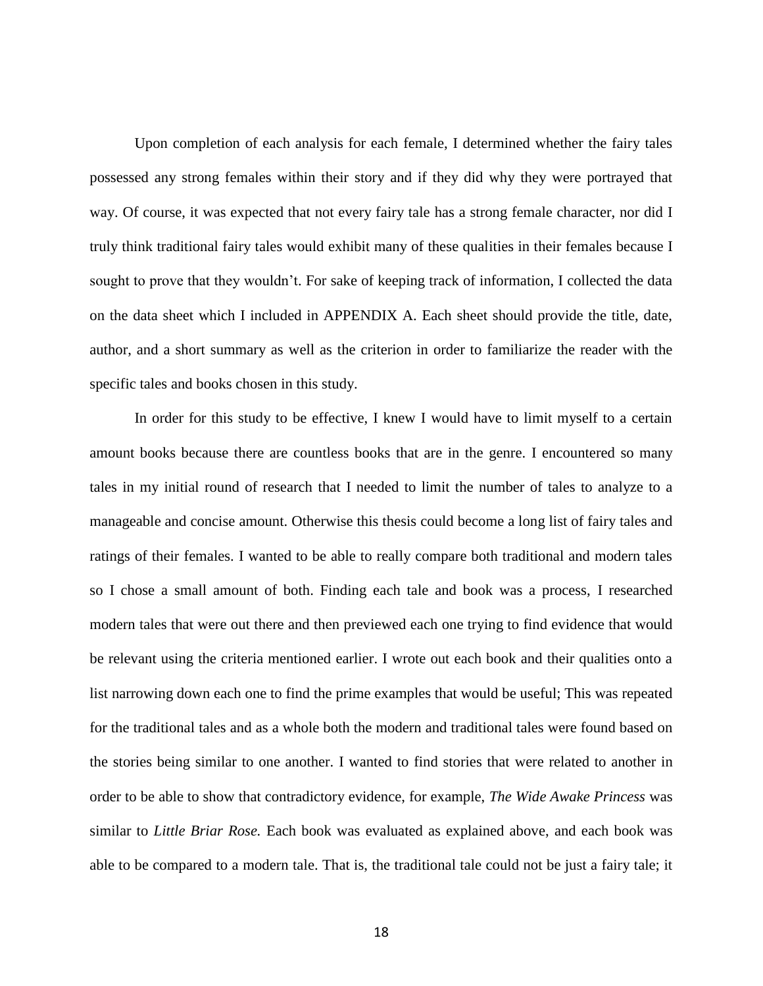Upon completion of each analysis for each female, I determined whether the fairy tales possessed any strong females within their story and if they did why they were portrayed that way. Of course, it was expected that not every fairy tale has a strong female character, nor did I truly think traditional fairy tales would exhibit many of these qualities in their females because I sought to prove that they wouldn't. For sake of keeping track of information, I collected the data on the data sheet which I included in APPENDIX A. Each sheet should provide the title, date, author, and a short summary as well as the criterion in order to familiarize the reader with the specific tales and books chosen in this study.

In order for this study to be effective, I knew I would have to limit myself to a certain amount books because there are countless books that are in the genre. I encountered so many tales in my initial round of research that I needed to limit the number of tales to analyze to a manageable and concise amount. Otherwise this thesis could become a long list of fairy tales and ratings of their females. I wanted to be able to really compare both traditional and modern tales so I chose a small amount of both. Finding each tale and book was a process, I researched modern tales that were out there and then previewed each one trying to find evidence that would be relevant using the criteria mentioned earlier. I wrote out each book and their qualities onto a list narrowing down each one to find the prime examples that would be useful; This was repeated for the traditional tales and as a whole both the modern and traditional tales were found based on the stories being similar to one another. I wanted to find stories that were related to another in order to be able to show that contradictory evidence, for example, *The Wide Awake Princess* was similar to *Little Briar Rose.* Each book was evaluated as explained above, and each book was able to be compared to a modern tale. That is, the traditional tale could not be just a fairy tale; it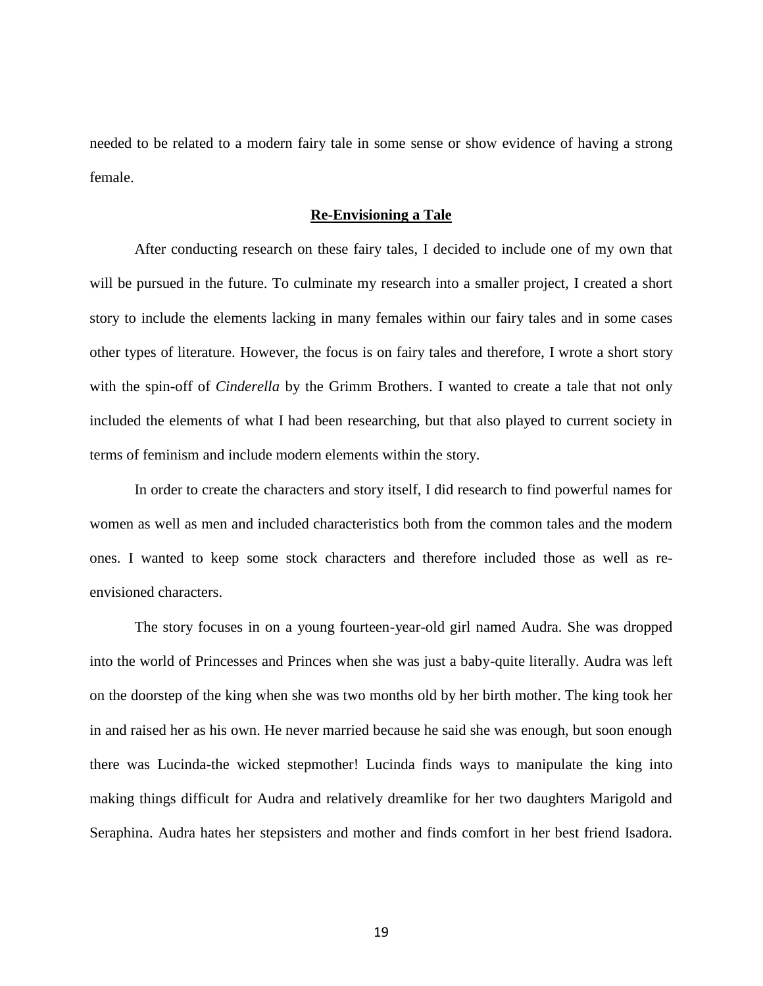needed to be related to a modern fairy tale in some sense or show evidence of having a strong female.

#### **Re-Envisioning a Tale**

<span id="page-27-0"></span>After conducting research on these fairy tales, I decided to include one of my own that will be pursued in the future. To culminate my research into a smaller project, I created a short story to include the elements lacking in many females within our fairy tales and in some cases other types of literature. However, the focus is on fairy tales and therefore, I wrote a short story with the spin-off of *Cinderella* by the Grimm Brothers. I wanted to create a tale that not only included the elements of what I had been researching, but that also played to current society in terms of feminism and include modern elements within the story.

In order to create the characters and story itself, I did research to find powerful names for women as well as men and included characteristics both from the common tales and the modern ones. I wanted to keep some stock characters and therefore included those as well as reenvisioned characters.

The story focuses in on a young fourteen-year-old girl named Audra. She was dropped into the world of Princesses and Princes when she was just a baby-quite literally. Audra was left on the doorstep of the king when she was two months old by her birth mother. The king took her in and raised her as his own. He never married because he said she was enough, but soon enough there was Lucinda-the wicked stepmother! Lucinda finds ways to manipulate the king into making things difficult for Audra and relatively dreamlike for her two daughters Marigold and Seraphina. Audra hates her stepsisters and mother and finds comfort in her best friend Isadora.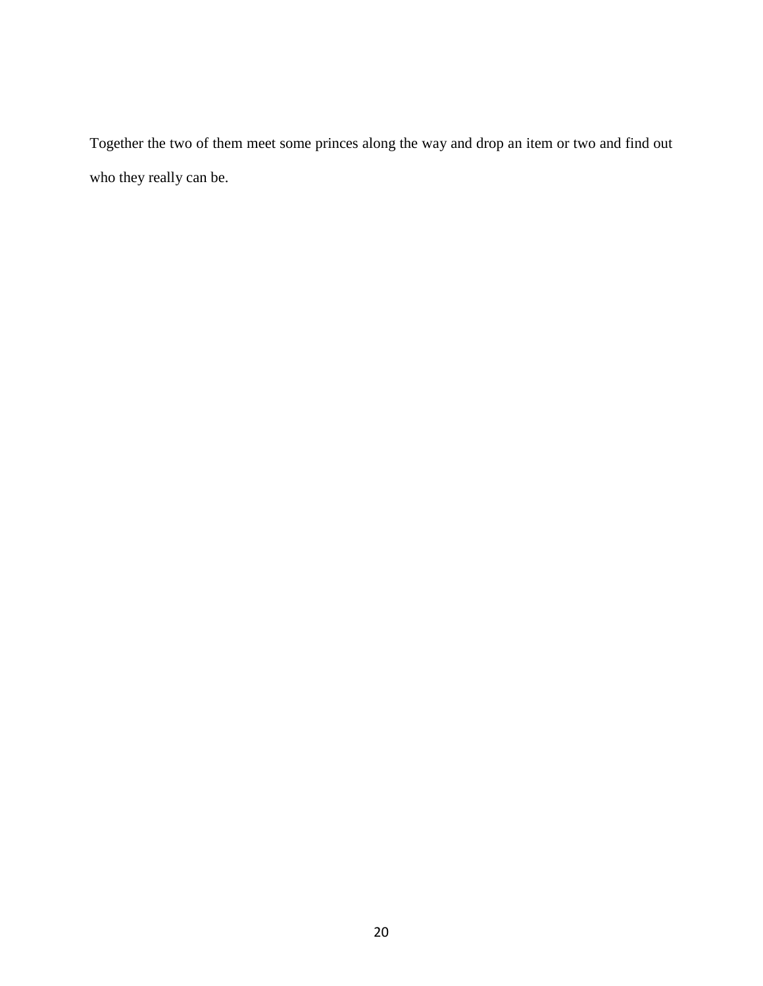Together the two of them meet some princes along the way and drop an item or two and find out who they really can be.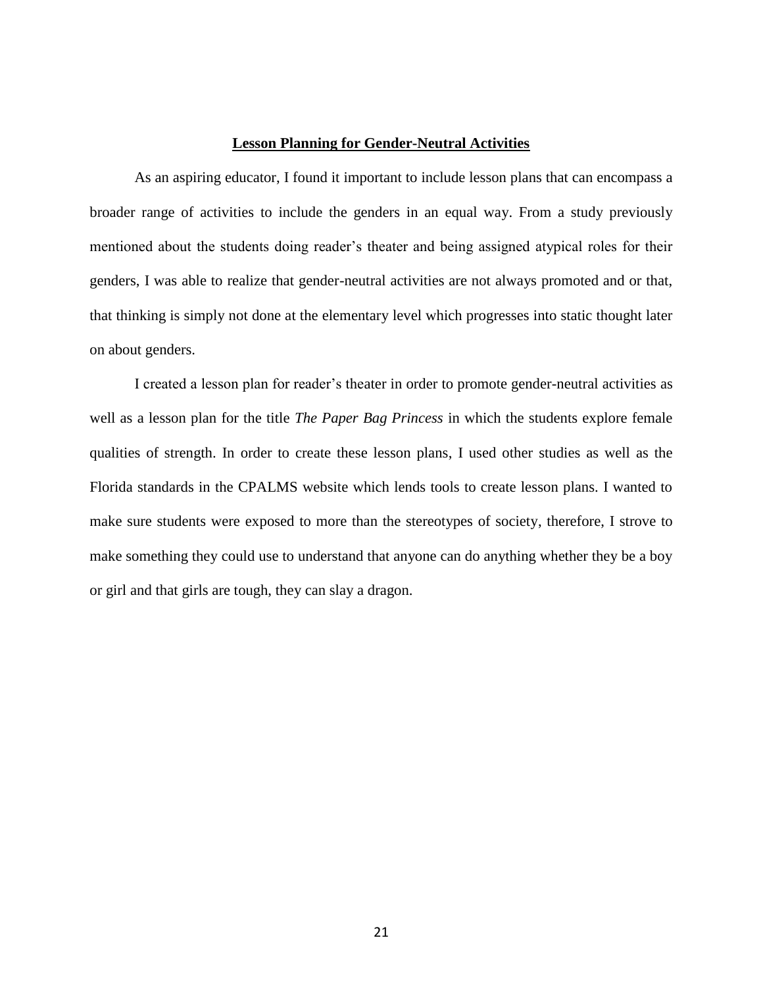## **Lesson Planning for Gender-Neutral Activities**

<span id="page-29-0"></span>As an aspiring educator, I found it important to include lesson plans that can encompass a broader range of activities to include the genders in an equal way. From a study previously mentioned about the students doing reader's theater and being assigned atypical roles for their genders, I was able to realize that gender-neutral activities are not always promoted and or that, that thinking is simply not done at the elementary level which progresses into static thought later on about genders.

I created a lesson plan for reader's theater in order to promote gender-neutral activities as well as a lesson plan for the title *The Paper Bag Princess* in which the students explore female qualities of strength. In order to create these lesson plans, I used other studies as well as the Florida standards in the CPALMS website which lends tools to create lesson plans. I wanted to make sure students were exposed to more than the stereotypes of society, therefore, I strove to make something they could use to understand that anyone can do anything whether they be a boy or girl and that girls are tough, they can slay a dragon.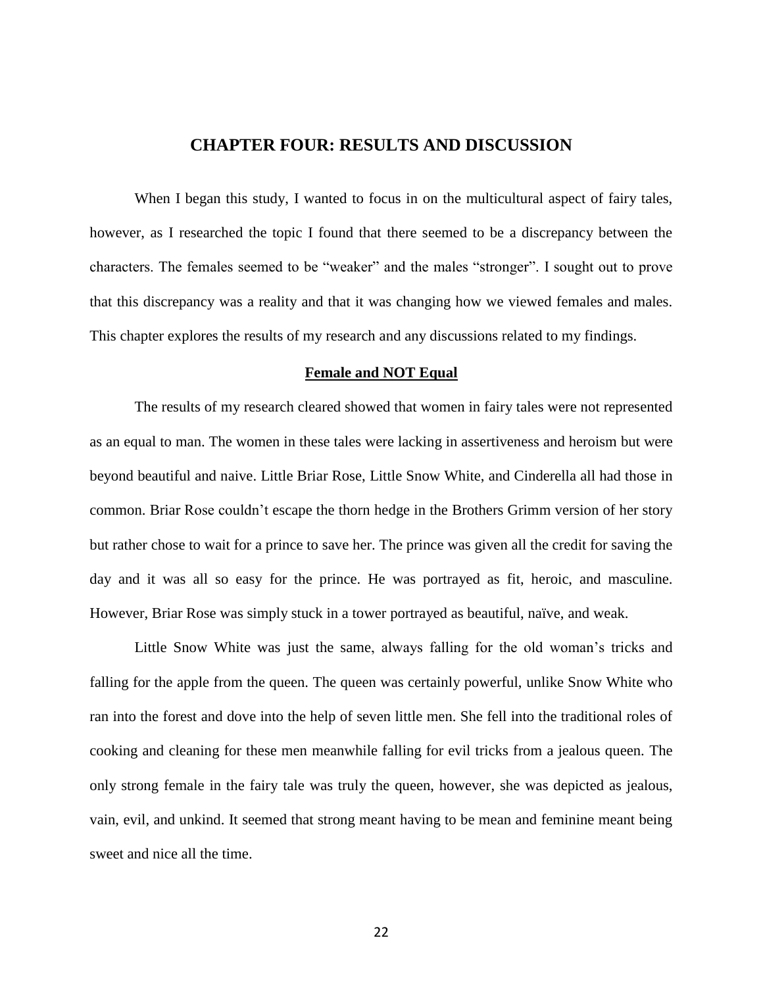## **CHAPTER FOUR: RESULTS AND DISCUSSION**

<span id="page-30-0"></span>When I began this study, I wanted to focus in on the multicultural aspect of fairy tales, however, as I researched the topic I found that there seemed to be a discrepancy between the characters. The females seemed to be "weaker" and the males "stronger". I sought out to prove that this discrepancy was a reality and that it was changing how we viewed females and males. This chapter explores the results of my research and any discussions related to my findings.

#### **Female and NOT Equal**

<span id="page-30-1"></span>The results of my research cleared showed that women in fairy tales were not represented as an equal to man. The women in these tales were lacking in assertiveness and heroism but were beyond beautiful and naive. Little Briar Rose, Little Snow White, and Cinderella all had those in common. Briar Rose couldn't escape the thorn hedge in the Brothers Grimm version of her story but rather chose to wait for a prince to save her. The prince was given all the credit for saving the day and it was all so easy for the prince. He was portrayed as fit, heroic, and masculine. However, Briar Rose was simply stuck in a tower portrayed as beautiful, naïve, and weak.

Little Snow White was just the same, always falling for the old woman's tricks and falling for the apple from the queen. The queen was certainly powerful, unlike Snow White who ran into the forest and dove into the help of seven little men. She fell into the traditional roles of cooking and cleaning for these men meanwhile falling for evil tricks from a jealous queen. The only strong female in the fairy tale was truly the queen, however, she was depicted as jealous, vain, evil, and unkind. It seemed that strong meant having to be mean and feminine meant being sweet and nice all the time.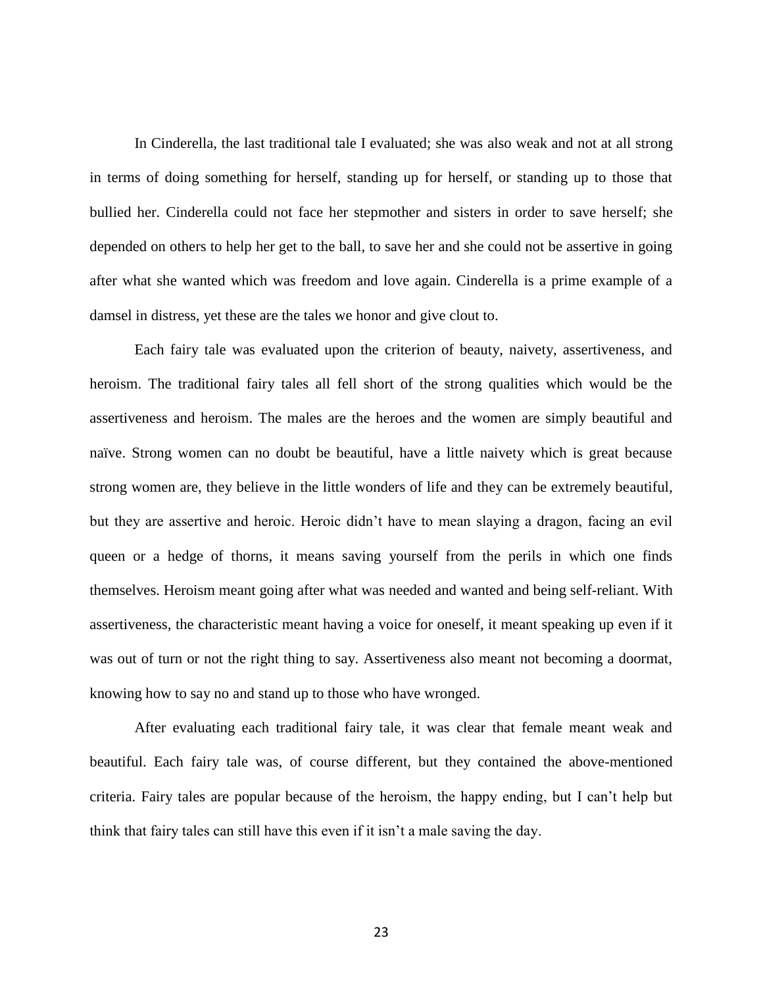In Cinderella, the last traditional tale I evaluated; she was also weak and not at all strong in terms of doing something for herself, standing up for herself, or standing up to those that bullied her. Cinderella could not face her stepmother and sisters in order to save herself; she depended on others to help her get to the ball, to save her and she could not be assertive in going after what she wanted which was freedom and love again. Cinderella is a prime example of a damsel in distress, yet these are the tales we honor and give clout to.

Each fairy tale was evaluated upon the criterion of beauty, naivety, assertiveness, and heroism. The traditional fairy tales all fell short of the strong qualities which would be the assertiveness and heroism. The males are the heroes and the women are simply beautiful and naïve. Strong women can no doubt be beautiful, have a little naivety which is great because strong women are, they believe in the little wonders of life and they can be extremely beautiful, but they are assertive and heroic. Heroic didn't have to mean slaying a dragon, facing an evil queen or a hedge of thorns, it means saving yourself from the perils in which one finds themselves. Heroism meant going after what was needed and wanted and being self-reliant. With assertiveness, the characteristic meant having a voice for oneself, it meant speaking up even if it was out of turn or not the right thing to say. Assertiveness also meant not becoming a doormat, knowing how to say no and stand up to those who have wronged.

After evaluating each traditional fairy tale, it was clear that female meant weak and beautiful. Each fairy tale was, of course different, but they contained the above-mentioned criteria. Fairy tales are popular because of the heroism, the happy ending, but I can't help but think that fairy tales can still have this even if it isn't a male saving the day.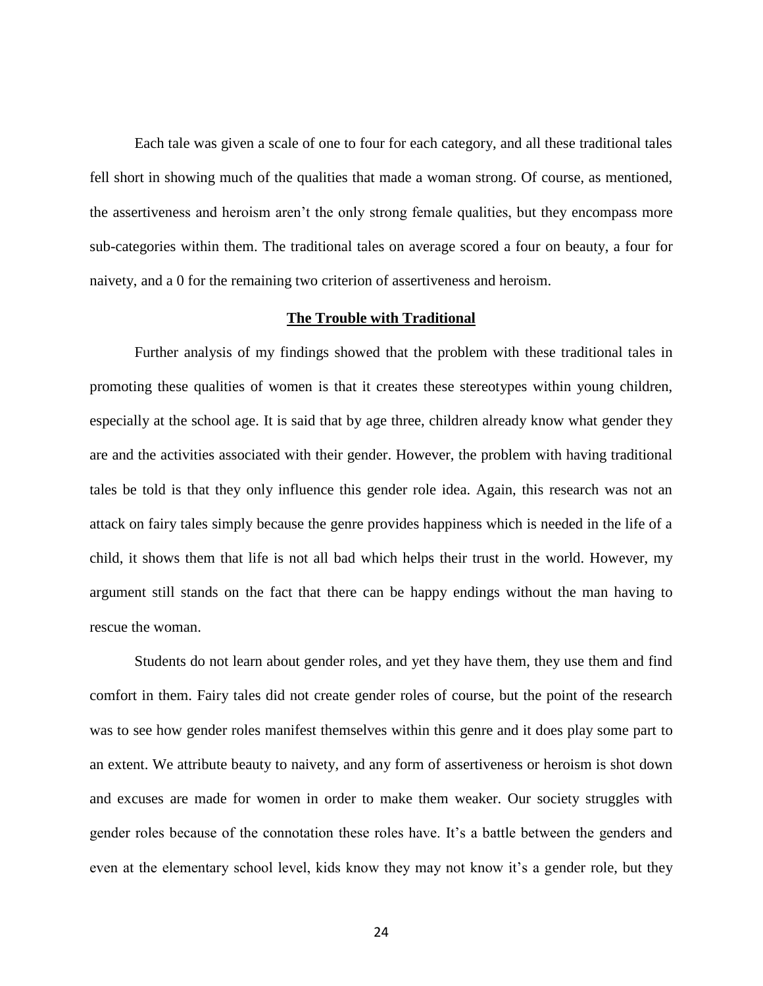Each tale was given a scale of one to four for each category, and all these traditional tales fell short in showing much of the qualities that made a woman strong. Of course, as mentioned, the assertiveness and heroism aren't the only strong female qualities, but they encompass more sub-categories within them. The traditional tales on average scored a four on beauty, a four for naivety, and a 0 for the remaining two criterion of assertiveness and heroism.

#### **The Trouble with Traditional**

<span id="page-32-0"></span>Further analysis of my findings showed that the problem with these traditional tales in promoting these qualities of women is that it creates these stereotypes within young children, especially at the school age. It is said that by age three, children already know what gender they are and the activities associated with their gender. However, the problem with having traditional tales be told is that they only influence this gender role idea. Again, this research was not an attack on fairy tales simply because the genre provides happiness which is needed in the life of a child, it shows them that life is not all bad which helps their trust in the world. However, my argument still stands on the fact that there can be happy endings without the man having to rescue the woman.

Students do not learn about gender roles, and yet they have them, they use them and find comfort in them. Fairy tales did not create gender roles of course, but the point of the research was to see how gender roles manifest themselves within this genre and it does play some part to an extent. We attribute beauty to naivety, and any form of assertiveness or heroism is shot down and excuses are made for women in order to make them weaker. Our society struggles with gender roles because of the connotation these roles have. It's a battle between the genders and even at the elementary school level, kids know they may not know it's a gender role, but they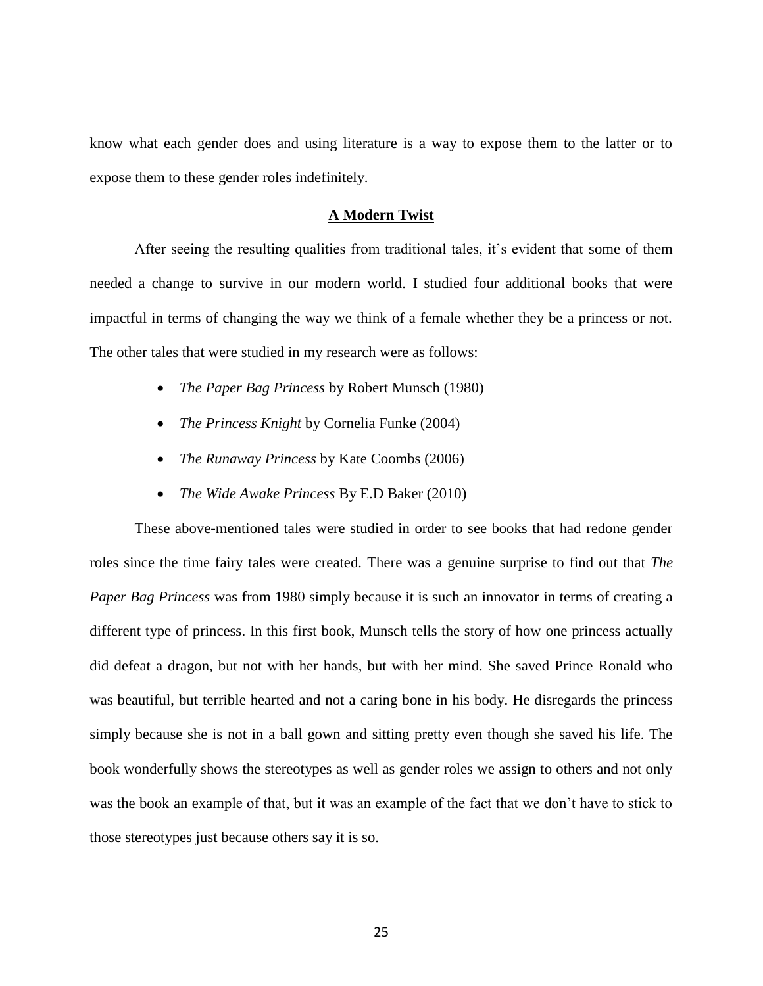know what each gender does and using literature is a way to expose them to the latter or to expose them to these gender roles indefinitely.

#### **A Modern Twist**

<span id="page-33-0"></span>After seeing the resulting qualities from traditional tales, it's evident that some of them needed a change to survive in our modern world. I studied four additional books that were impactful in terms of changing the way we think of a female whether they be a princess or not. The other tales that were studied in my research were as follows:

- *The Paper Bag Princess* by Robert Munsch (1980)
- *The Princess Knight* by Cornelia Funke (2004)
- *The Runaway Princess* by Kate Coombs (2006)
- *The Wide Awake Princess* By E.D Baker (2010)

These above-mentioned tales were studied in order to see books that had redone gender roles since the time fairy tales were created. There was a genuine surprise to find out that *The Paper Bag Princess* was from 1980 simply because it is such an innovator in terms of creating a different type of princess. In this first book, Munsch tells the story of how one princess actually did defeat a dragon, but not with her hands, but with her mind. She saved Prince Ronald who was beautiful, but terrible hearted and not a caring bone in his body. He disregards the princess simply because she is not in a ball gown and sitting pretty even though she saved his life. The book wonderfully shows the stereotypes as well as gender roles we assign to others and not only was the book an example of that, but it was an example of the fact that we don't have to stick to those stereotypes just because others say it is so.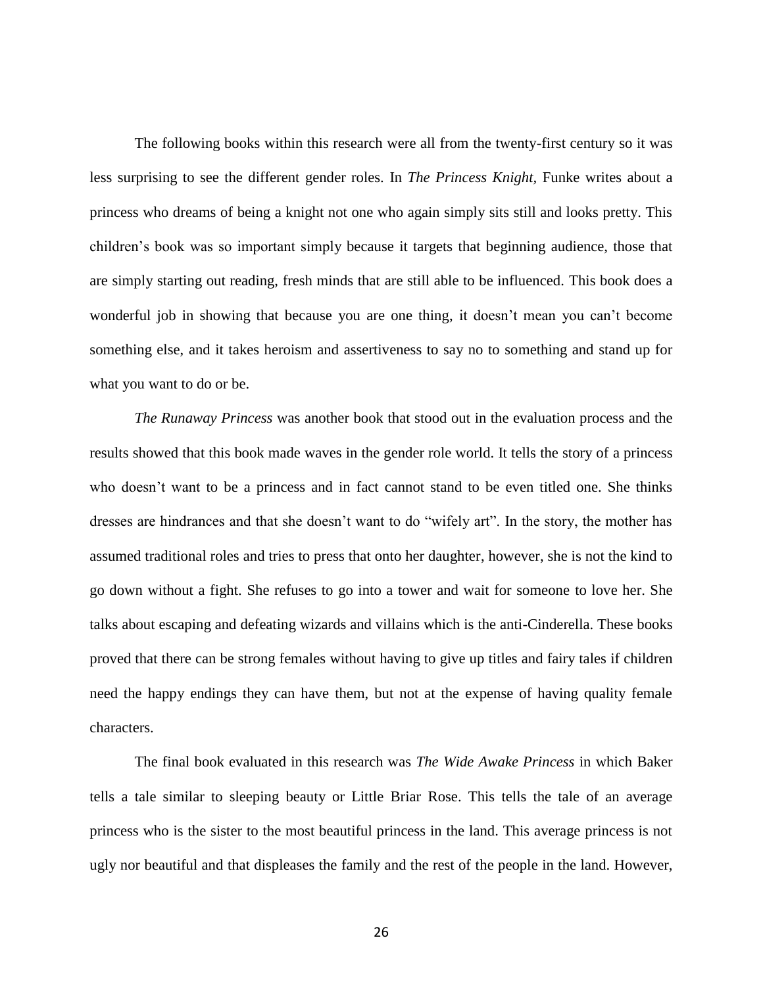The following books within this research were all from the twenty-first century so it was less surprising to see the different gender roles. In *The Princess Knight,* Funke writes about a princess who dreams of being a knight not one who again simply sits still and looks pretty. This children's book was so important simply because it targets that beginning audience, those that are simply starting out reading, fresh minds that are still able to be influenced. This book does a wonderful job in showing that because you are one thing, it doesn't mean you can't become something else, and it takes heroism and assertiveness to say no to something and stand up for what you want to do or be.

*The Runaway Princess* was another book that stood out in the evaluation process and the results showed that this book made waves in the gender role world. It tells the story of a princess who doesn't want to be a princess and in fact cannot stand to be even titled one. She thinks dresses are hindrances and that she doesn't want to do "wifely art". In the story, the mother has assumed traditional roles and tries to press that onto her daughter, however, she is not the kind to go down without a fight. She refuses to go into a tower and wait for someone to love her. She talks about escaping and defeating wizards and villains which is the anti-Cinderella. These books proved that there can be strong females without having to give up titles and fairy tales if children need the happy endings they can have them, but not at the expense of having quality female characters.

The final book evaluated in this research was *The Wide Awake Princess* in which Baker tells a tale similar to sleeping beauty or Little Briar Rose. This tells the tale of an average princess who is the sister to the most beautiful princess in the land. This average princess is not ugly nor beautiful and that displeases the family and the rest of the people in the land. However,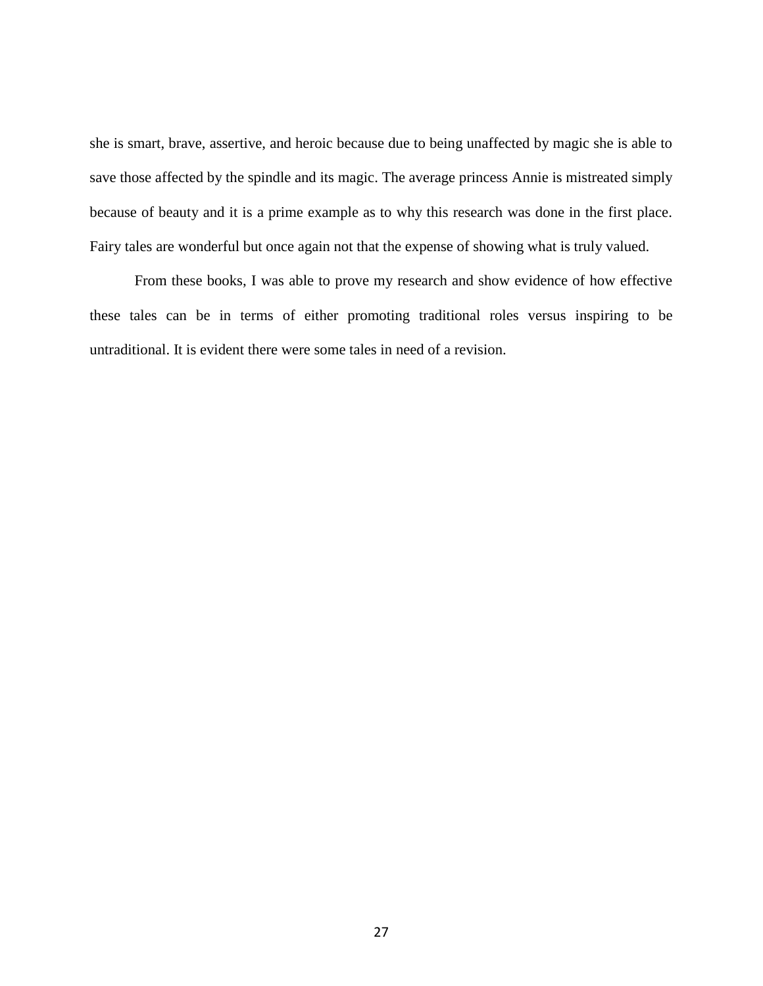she is smart, brave, assertive, and heroic because due to being unaffected by magic she is able to save those affected by the spindle and its magic. The average princess Annie is mistreated simply because of beauty and it is a prime example as to why this research was done in the first place. Fairy tales are wonderful but once again not that the expense of showing what is truly valued.

From these books, I was able to prove my research and show evidence of how effective these tales can be in terms of either promoting traditional roles versus inspiring to be untraditional. It is evident there were some tales in need of a revision.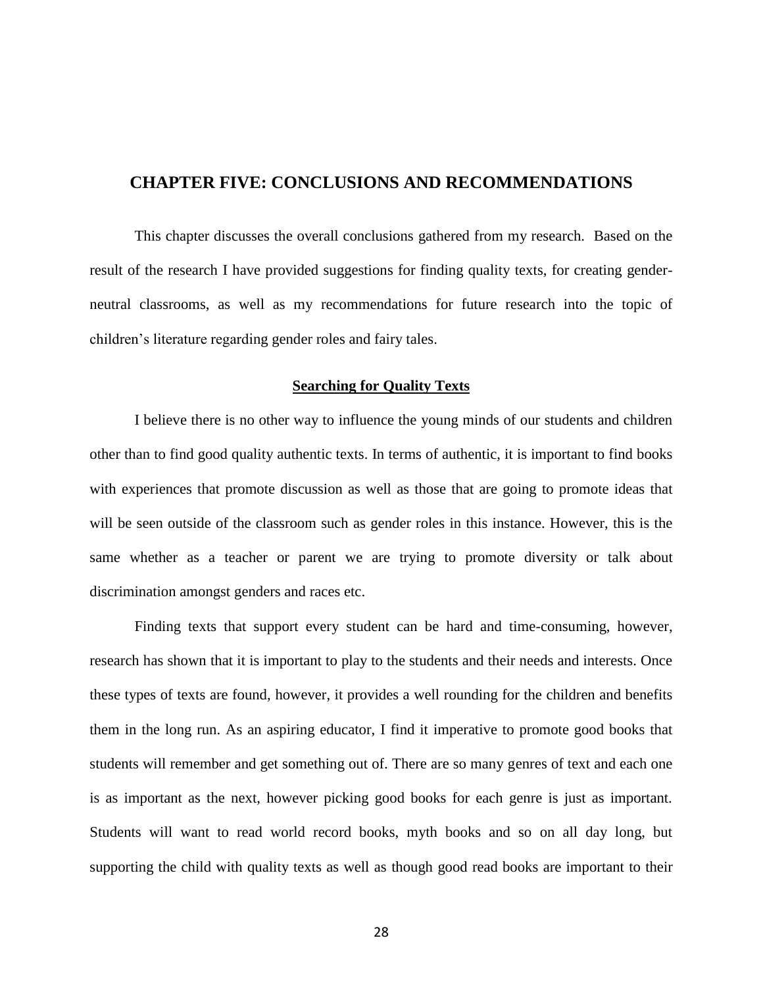### **CHAPTER FIVE: CONCLUSIONS AND RECOMMENDATIONS**

This chapter discusses the overall conclusions gathered from my research. Based on the result of the research I have provided suggestions for finding quality texts, for creating genderneutral classrooms, as well as my recommendations for future research into the topic of children's literature regarding gender roles and fairy tales.

#### **Searching for Quality Texts**

I believe there is no other way to influence the young minds of our students and children other than to find good quality authentic texts. In terms of authentic, it is important to find books with experiences that promote discussion as well as those that are going to promote ideas that will be seen outside of the classroom such as gender roles in this instance. However, this is the same whether as a teacher or parent we are trying to promote diversity or talk about discrimination amongst genders and races etc.

Finding texts that support every student can be hard and time-consuming, however, research has shown that it is important to play to the students and their needs and interests. Once these types of texts are found, however, it provides a well rounding for the children and benefits them in the long run. As an aspiring educator, I find it imperative to promote good books that students will remember and get something out of. There are so many genres of text and each one is as important as the next, however picking good books for each genre is just as important. Students will want to read world record books, myth books and so on all day long, but supporting the child with quality texts as well as though good read books are important to their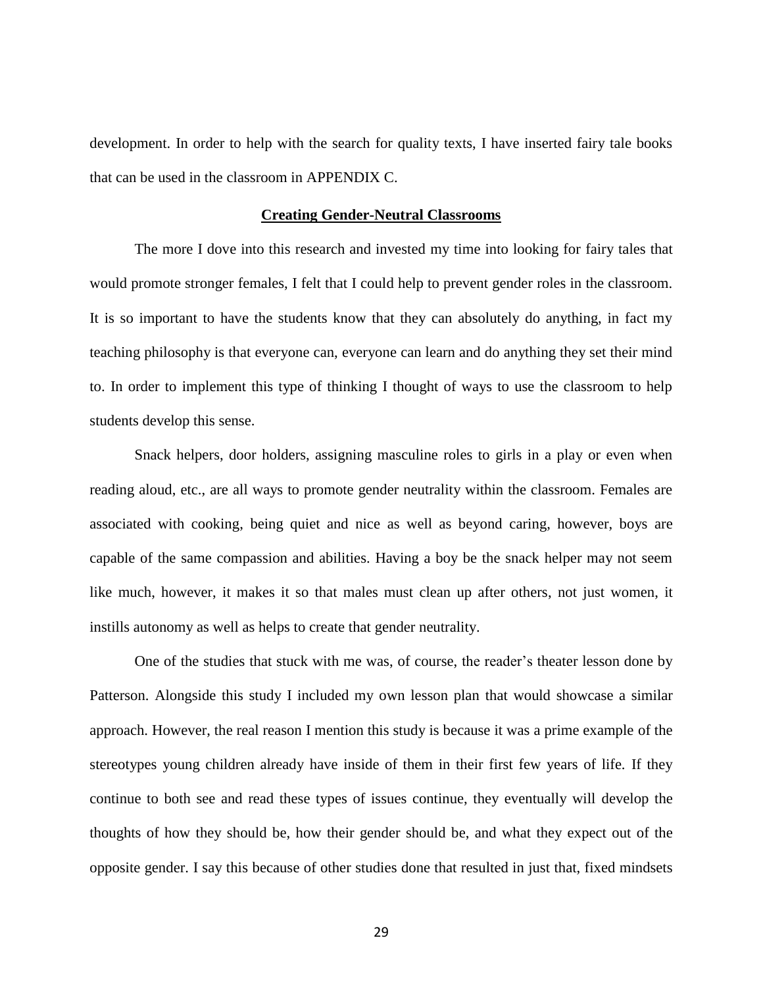development. In order to help with the search for quality texts, I have inserted fairy tale books that can be used in the classroom in APPENDIX C.

#### **Creating Gender-Neutral Classrooms**

The more I dove into this research and invested my time into looking for fairy tales that would promote stronger females, I felt that I could help to prevent gender roles in the classroom. It is so important to have the students know that they can absolutely do anything, in fact my teaching philosophy is that everyone can, everyone can learn and do anything they set their mind to. In order to implement this type of thinking I thought of ways to use the classroom to help students develop this sense.

Snack helpers, door holders, assigning masculine roles to girls in a play or even when reading aloud, etc., are all ways to promote gender neutrality within the classroom. Females are associated with cooking, being quiet and nice as well as beyond caring, however, boys are capable of the same compassion and abilities. Having a boy be the snack helper may not seem like much, however, it makes it so that males must clean up after others, not just women, it instills autonomy as well as helps to create that gender neutrality.

One of the studies that stuck with me was, of course, the reader's theater lesson done by Patterson. Alongside this study I included my own lesson plan that would showcase a similar approach. However, the real reason I mention this study is because it was a prime example of the stereotypes young children already have inside of them in their first few years of life. If they continue to both see and read these types of issues continue, they eventually will develop the thoughts of how they should be, how their gender should be, and what they expect out of the opposite gender. I say this because of other studies done that resulted in just that, fixed mindsets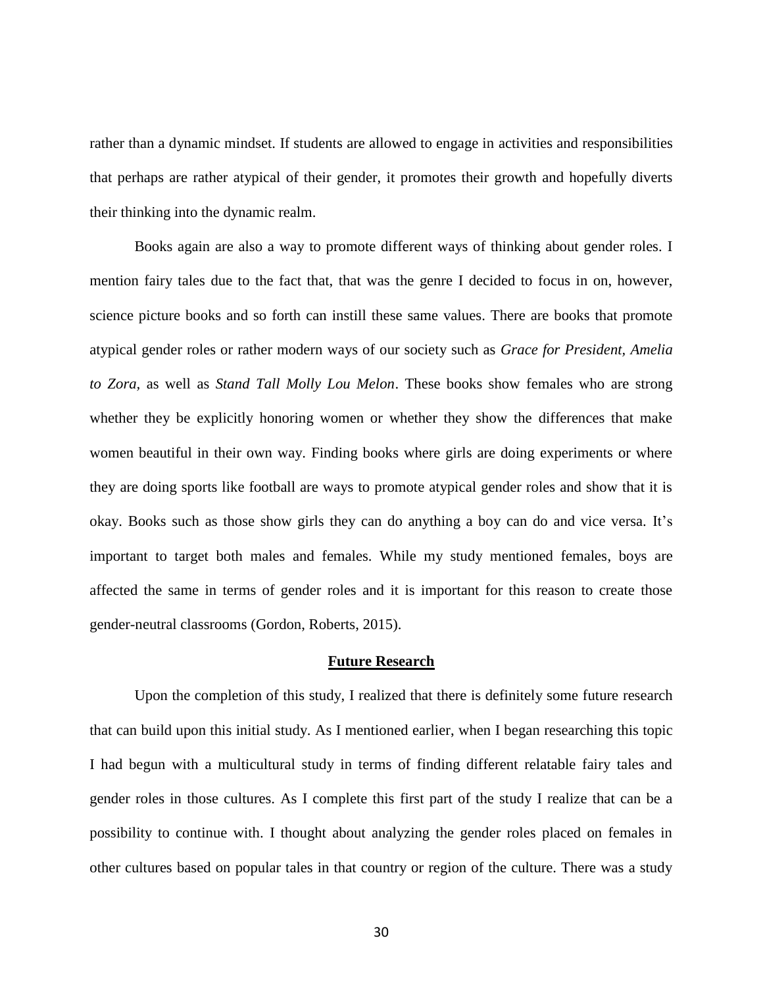rather than a dynamic mindset. If students are allowed to engage in activities and responsibilities that perhaps are rather atypical of their gender, it promotes their growth and hopefully diverts their thinking into the dynamic realm.

Books again are also a way to promote different ways of thinking about gender roles. I mention fairy tales due to the fact that, that was the genre I decided to focus in on, however, science picture books and so forth can instill these same values. There are books that promote atypical gender roles or rather modern ways of our society such as *Grace for President, Amelia to Zora,* as well as *Stand Tall Molly Lou Melon*. These books show females who are strong whether they be explicitly honoring women or whether they show the differences that make women beautiful in their own way. Finding books where girls are doing experiments or where they are doing sports like football are ways to promote atypical gender roles and show that it is okay. Books such as those show girls they can do anything a boy can do and vice versa. It's important to target both males and females. While my study mentioned females, boys are affected the same in terms of gender roles and it is important for this reason to create those gender-neutral classrooms (Gordon, Roberts, 2015).

#### **Future Research**

Upon the completion of this study, I realized that there is definitely some future research that can build upon this initial study. As I mentioned earlier, when I began researching this topic I had begun with a multicultural study in terms of finding different relatable fairy tales and gender roles in those cultures. As I complete this first part of the study I realize that can be a possibility to continue with. I thought about analyzing the gender roles placed on females in other cultures based on popular tales in that country or region of the culture. There was a study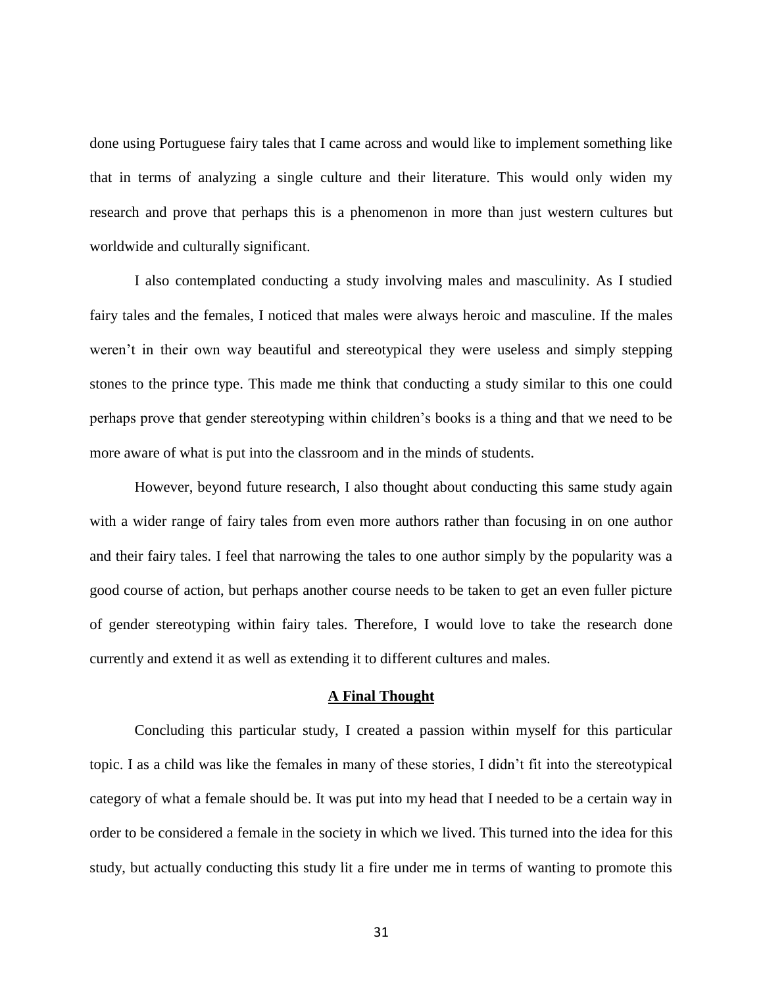done using Portuguese fairy tales that I came across and would like to implement something like that in terms of analyzing a single culture and their literature. This would only widen my research and prove that perhaps this is a phenomenon in more than just western cultures but worldwide and culturally significant.

I also contemplated conducting a study involving males and masculinity. As I studied fairy tales and the females, I noticed that males were always heroic and masculine. If the males weren't in their own way beautiful and stereotypical they were useless and simply stepping stones to the prince type. This made me think that conducting a study similar to this one could perhaps prove that gender stereotyping within children's books is a thing and that we need to be more aware of what is put into the classroom and in the minds of students.

However, beyond future research, I also thought about conducting this same study again with a wider range of fairy tales from even more authors rather than focusing in on one author and their fairy tales. I feel that narrowing the tales to one author simply by the popularity was a good course of action, but perhaps another course needs to be taken to get an even fuller picture of gender stereotyping within fairy tales. Therefore, I would love to take the research done currently and extend it as well as extending it to different cultures and males.

#### **A Final Thought**

Concluding this particular study, I created a passion within myself for this particular topic. I as a child was like the females in many of these stories, I didn't fit into the stereotypical category of what a female should be. It was put into my head that I needed to be a certain way in order to be considered a female in the society in which we lived. This turned into the idea for this study, but actually conducting this study lit a fire under me in terms of wanting to promote this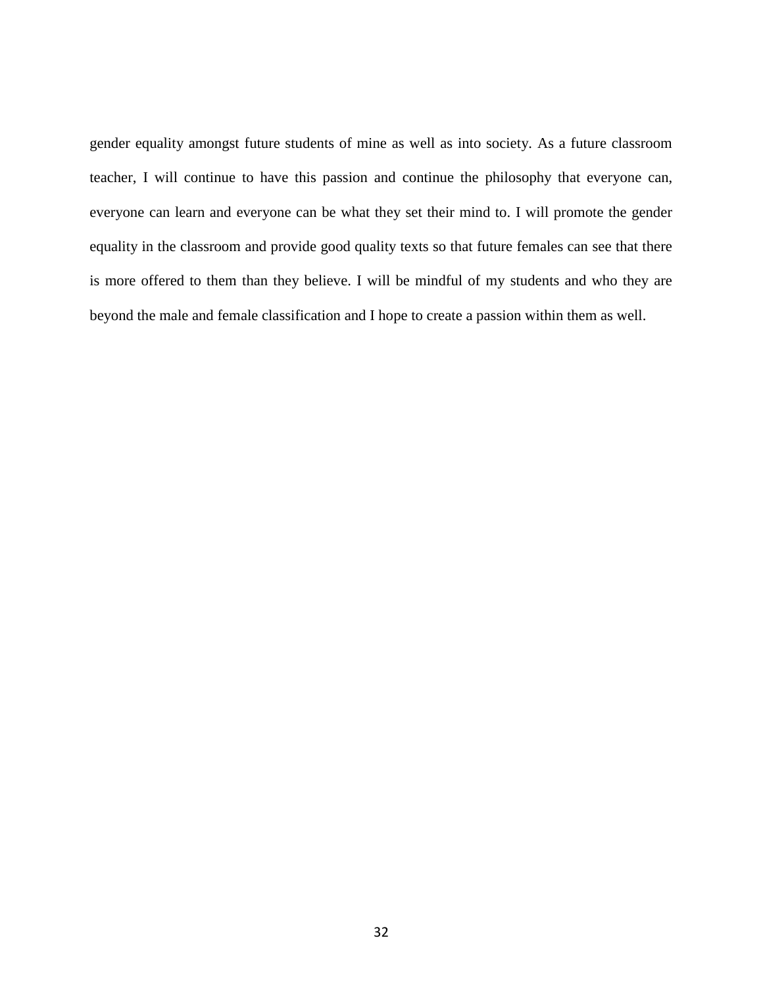gender equality amongst future students of mine as well as into society. As a future classroom teacher, I will continue to have this passion and continue the philosophy that everyone can, everyone can learn and everyone can be what they set their mind to. I will promote the gender equality in the classroom and provide good quality texts so that future females can see that there is more offered to them than they believe. I will be mindful of my students and who they are beyond the male and female classification and I hope to create a passion within them as well.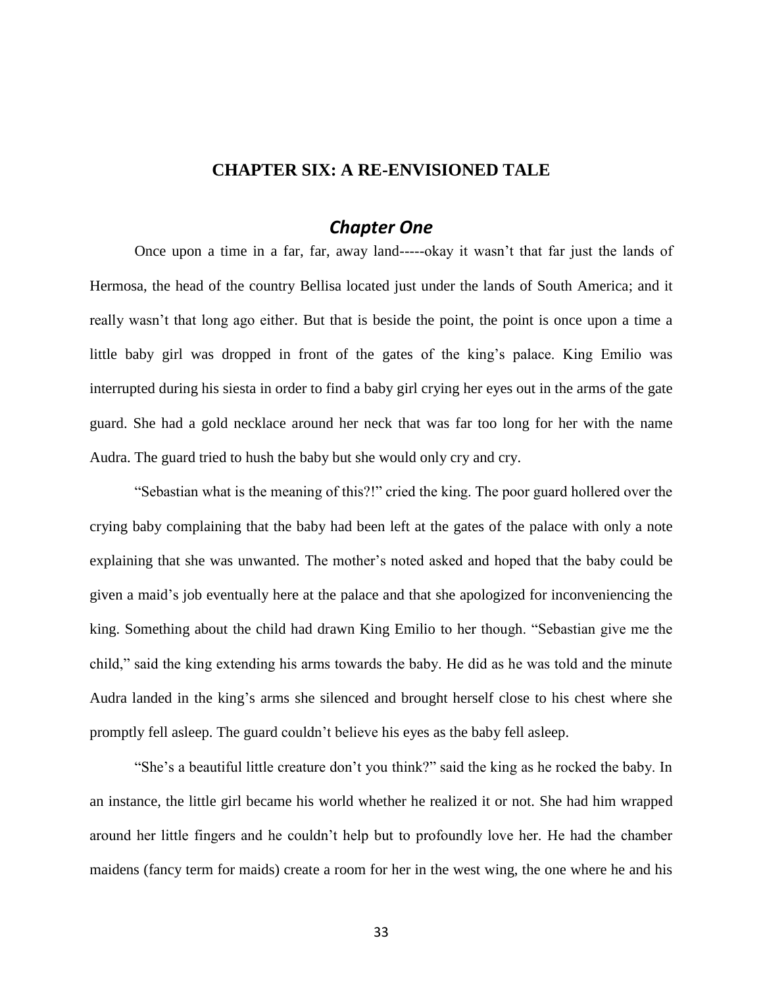### **CHAPTER SIX: A RE-ENVISIONED TALE**

# *Chapter One*

Once upon a time in a far, far, away land-----okay it wasn't that far just the lands of Hermosa, the head of the country Bellisa located just under the lands of South America; and it really wasn't that long ago either. But that is beside the point, the point is once upon a time a little baby girl was dropped in front of the gates of the king's palace. King Emilio was interrupted during his siesta in order to find a baby girl crying her eyes out in the arms of the gate guard. She had a gold necklace around her neck that was far too long for her with the name Audra. The guard tried to hush the baby but she would only cry and cry.

"Sebastian what is the meaning of this?!" cried the king. The poor guard hollered over the crying baby complaining that the baby had been left at the gates of the palace with only a note explaining that she was unwanted. The mother's noted asked and hoped that the baby could be given a maid's job eventually here at the palace and that she apologized for inconveniencing the king. Something about the child had drawn King Emilio to her though. "Sebastian give me the child," said the king extending his arms towards the baby. He did as he was told and the minute Audra landed in the king's arms she silenced and brought herself close to his chest where she promptly fell asleep. The guard couldn't believe his eyes as the baby fell asleep.

"She's a beautiful little creature don't you think?" said the king as he rocked the baby. In an instance, the little girl became his world whether he realized it or not. She had him wrapped around her little fingers and he couldn't help but to profoundly love her. He had the chamber maidens (fancy term for maids) create a room for her in the west wing, the one where he and his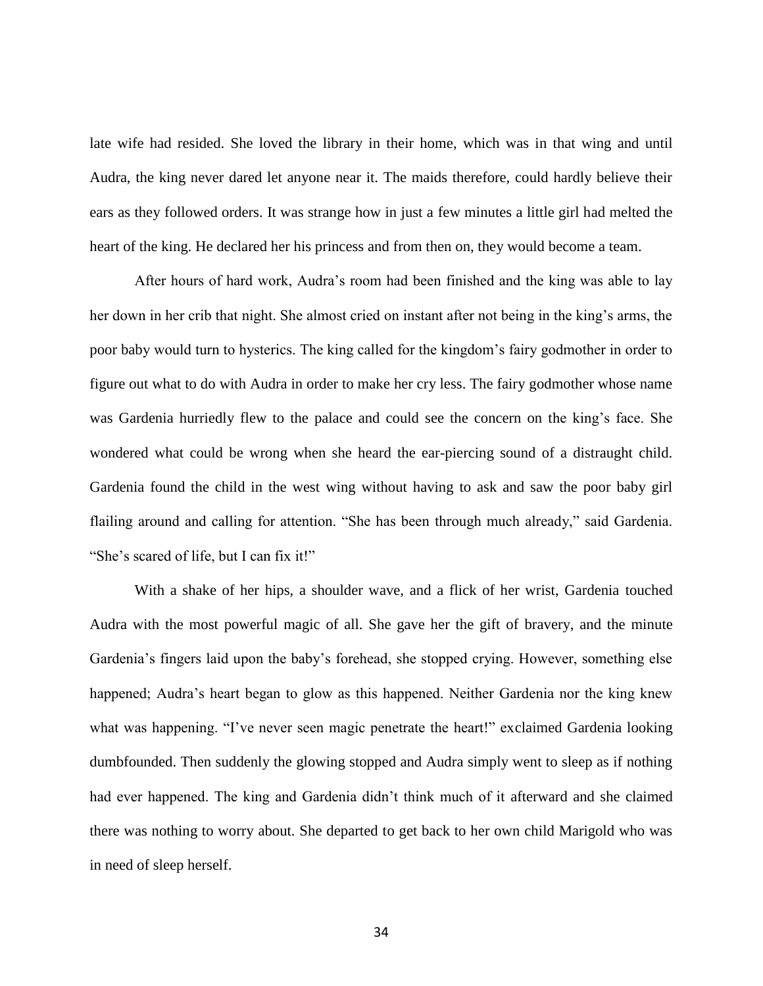late wife had resided. She loved the library in their home, which was in that wing and until Audra, the king never dared let anyone near it. The maids therefore, could hardly believe their ears as they followed orders. It was strange how in just a few minutes a little girl had melted the heart of the king. He declared her his princess and from then on, they would become a team.

After hours of hard work, Audra's room had been finished and the king was able to lay her down in her crib that night. She almost cried on instant after not being in the king's arms, the poor baby would turn to hysterics. The king called for the kingdom's fairy godmother in order to figure out what to do with Audra in order to make her cry less. The fairy godmother whose name was Gardenia hurriedly flew to the palace and could see the concern on the king's face. She wondered what could be wrong when she heard the ear-piercing sound of a distraught child. Gardenia found the child in the west wing without having to ask and saw the poor baby girl flailing around and calling for attention. "She has been through much already," said Gardenia. "She's scared of life, but I can fix it!"

With a shake of her hips, a shoulder wave, and a flick of her wrist, Gardenia touched Audra with the most powerful magic of all. She gave her the gift of bravery, and the minute Gardenia's fingers laid upon the baby's forehead, she stopped crying. However, something else happened; Audra's heart began to glow as this happened. Neither Gardenia nor the king knew what was happening. "I've never seen magic penetrate the heart!" exclaimed Gardenia looking dumbfounded. Then suddenly the glowing stopped and Audra simply went to sleep as if nothing had ever happened. The king and Gardenia didn't think much of it afterward and she claimed there was nothing to worry about. She departed to get back to her own child Marigold who was in need of sleep herself.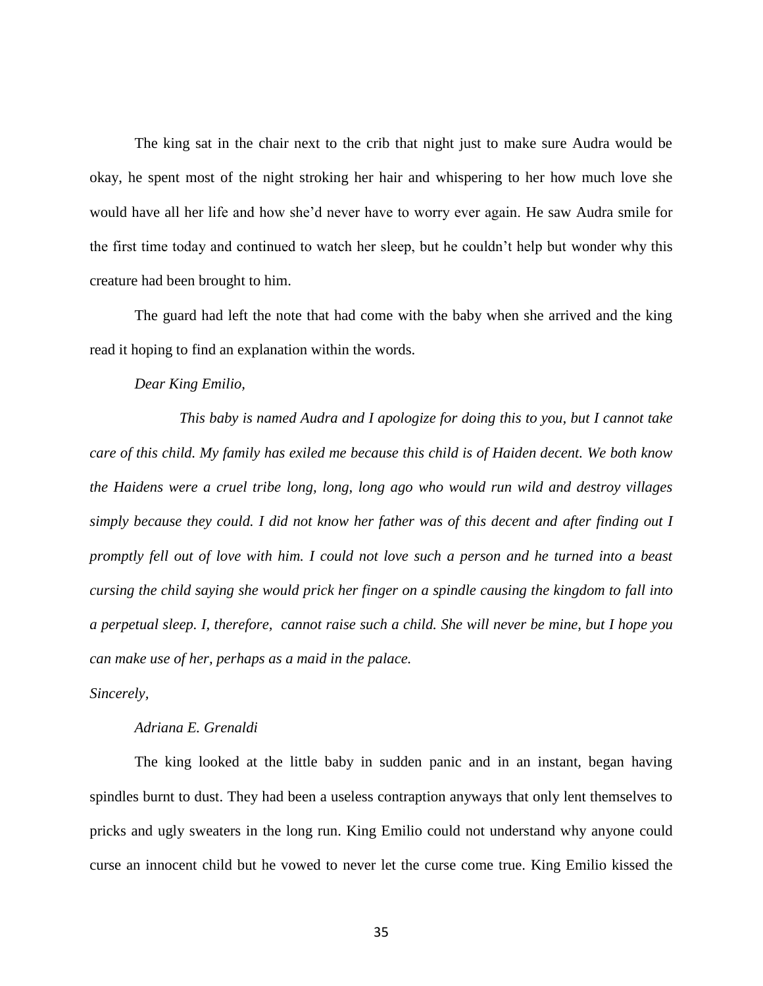The king sat in the chair next to the crib that night just to make sure Audra would be okay, he spent most of the night stroking her hair and whispering to her how much love she would have all her life and how she'd never have to worry ever again. He saw Audra smile for the first time today and continued to watch her sleep, but he couldn't help but wonder why this creature had been brought to him.

The guard had left the note that had come with the baby when she arrived and the king read it hoping to find an explanation within the words.

#### *Dear King Emilio,*

*This baby is named Audra and I apologize for doing this to you, but I cannot take care of this child. My family has exiled me because this child is of Haiden decent. We both know the Haidens were a cruel tribe long, long, long ago who would run wild and destroy villages simply because they could. I did not know her father was of this decent and after finding out I promptly fell out of love with him. I could not love such a person and he turned into a beast cursing the child saying she would prick her finger on a spindle causing the kingdom to fall into a perpetual sleep. I, therefore, cannot raise such a child. She will never be mine, but I hope you can make use of her, perhaps as a maid in the palace.*

#### *Sincerely,*

#### *Adriana E. Grenaldi*

The king looked at the little baby in sudden panic and in an instant, began having spindles burnt to dust. They had been a useless contraption anyways that only lent themselves to pricks and ugly sweaters in the long run. King Emilio could not understand why anyone could curse an innocent child but he vowed to never let the curse come true. King Emilio kissed the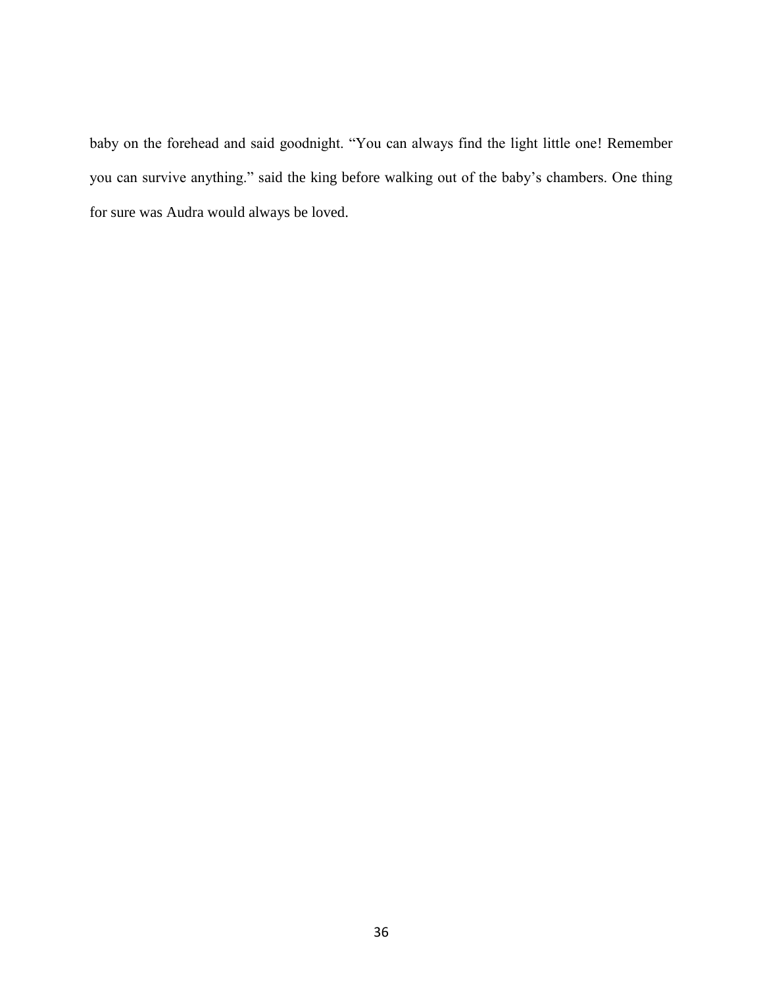baby on the forehead and said goodnight. "You can always find the light little one! Remember you can survive anything." said the king before walking out of the baby's chambers. One thing for sure was Audra would always be loved.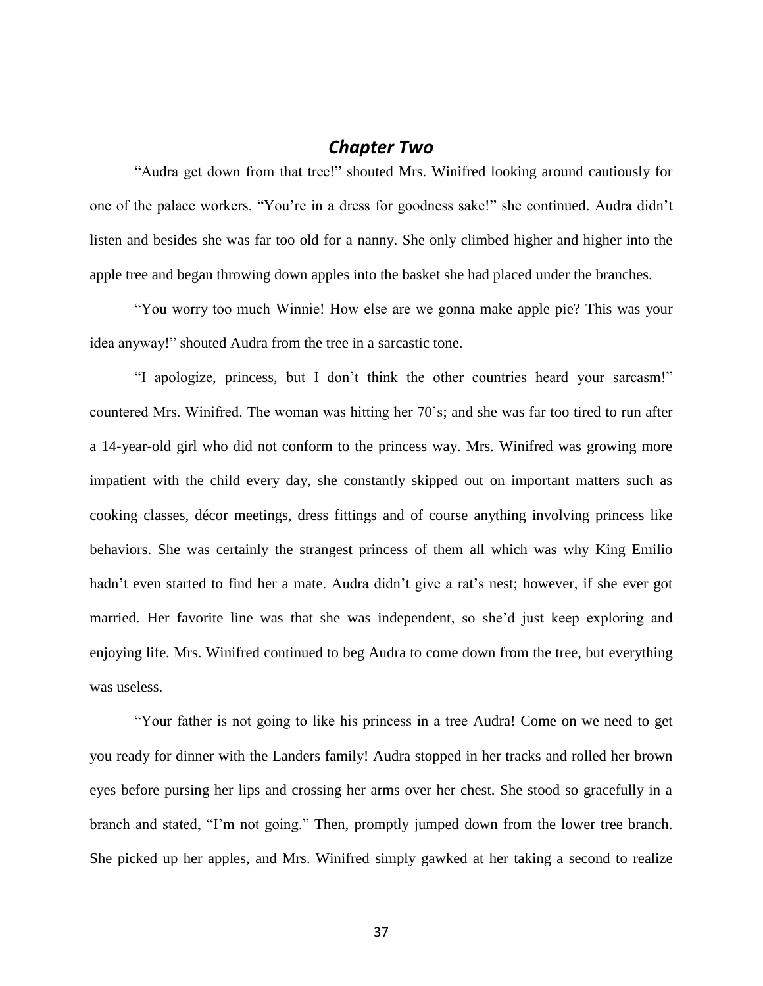# *Chapter Two*

"Audra get down from that tree!" shouted Mrs. Winifred looking around cautiously for one of the palace workers. "You're in a dress for goodness sake!" she continued. Audra didn't listen and besides she was far too old for a nanny. She only climbed higher and higher into the apple tree and began throwing down apples into the basket she had placed under the branches.

"You worry too much Winnie! How else are we gonna make apple pie? This was your idea anyway!" shouted Audra from the tree in a sarcastic tone.

"I apologize, princess, but I don't think the other countries heard your sarcasm!" countered Mrs. Winifred. The woman was hitting her 70's; and she was far too tired to run after a 14-year-old girl who did not conform to the princess way. Mrs. Winifred was growing more impatient with the child every day, she constantly skipped out on important matters such as cooking classes, décor meetings, dress fittings and of course anything involving princess like behaviors. She was certainly the strangest princess of them all which was why King Emilio hadn't even started to find her a mate. Audra didn't give a rat's nest; however, if she ever got married. Her favorite line was that she was independent, so she'd just keep exploring and enjoying life. Mrs. Winifred continued to beg Audra to come down from the tree, but everything was useless.

"Your father is not going to like his princess in a tree Audra! Come on we need to get you ready for dinner with the Landers family! Audra stopped in her tracks and rolled her brown eyes before pursing her lips and crossing her arms over her chest. She stood so gracefully in a branch and stated, "I'm not going." Then, promptly jumped down from the lower tree branch. She picked up her apples, and Mrs. Winifred simply gawked at her taking a second to realize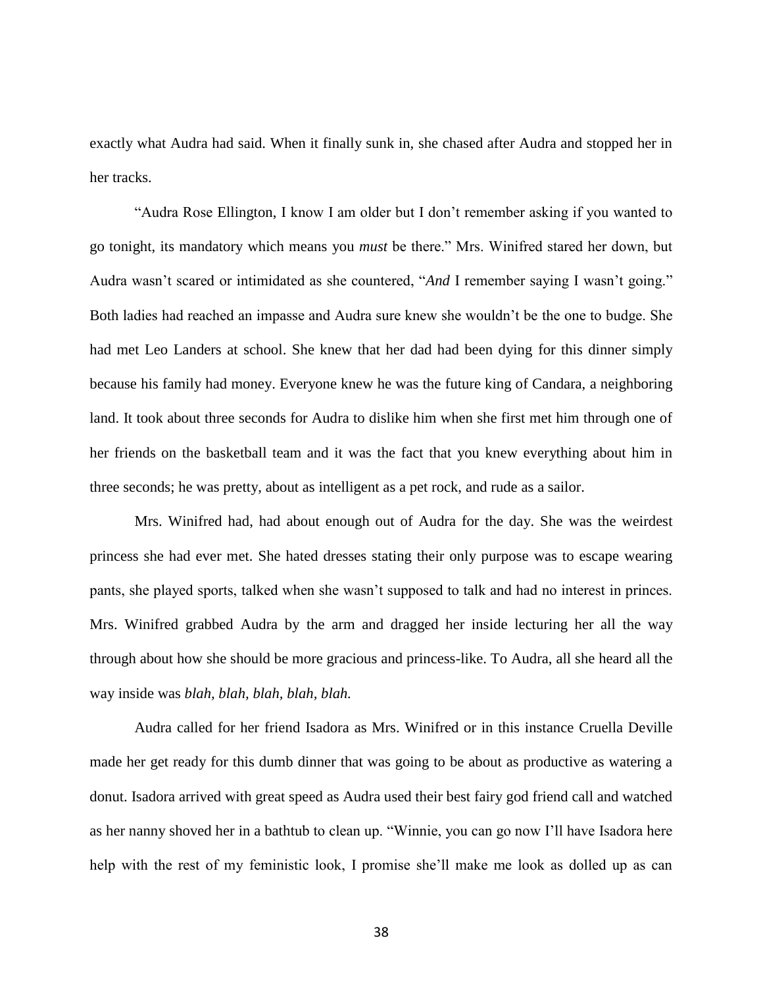exactly what Audra had said. When it finally sunk in, she chased after Audra and stopped her in her tracks.

"Audra Rose Ellington, I know I am older but I don't remember asking if you wanted to go tonight, its mandatory which means you *must* be there." Mrs. Winifred stared her down, but Audra wasn't scared or intimidated as she countered, "*And* I remember saying I wasn't going." Both ladies had reached an impasse and Audra sure knew she wouldn't be the one to budge. She had met Leo Landers at school. She knew that her dad had been dying for this dinner simply because his family had money. Everyone knew he was the future king of Candara, a neighboring land. It took about three seconds for Audra to dislike him when she first met him through one of her friends on the basketball team and it was the fact that you knew everything about him in three seconds; he was pretty, about as intelligent as a pet rock, and rude as a sailor.

Mrs. Winifred had, had about enough out of Audra for the day. She was the weirdest princess she had ever met. She hated dresses stating their only purpose was to escape wearing pants, she played sports, talked when she wasn't supposed to talk and had no interest in princes. Mrs. Winifred grabbed Audra by the arm and dragged her inside lecturing her all the way through about how she should be more gracious and princess-like. To Audra, all she heard all the way inside was *blah, blah, blah, blah, blah.*

Audra called for her friend Isadora as Mrs. Winifred or in this instance Cruella Deville made her get ready for this dumb dinner that was going to be about as productive as watering a donut. Isadora arrived with great speed as Audra used their best fairy god friend call and watched as her nanny shoved her in a bathtub to clean up. "Winnie, you can go now I'll have Isadora here help with the rest of my feministic look, I promise she'll make me look as dolled up as can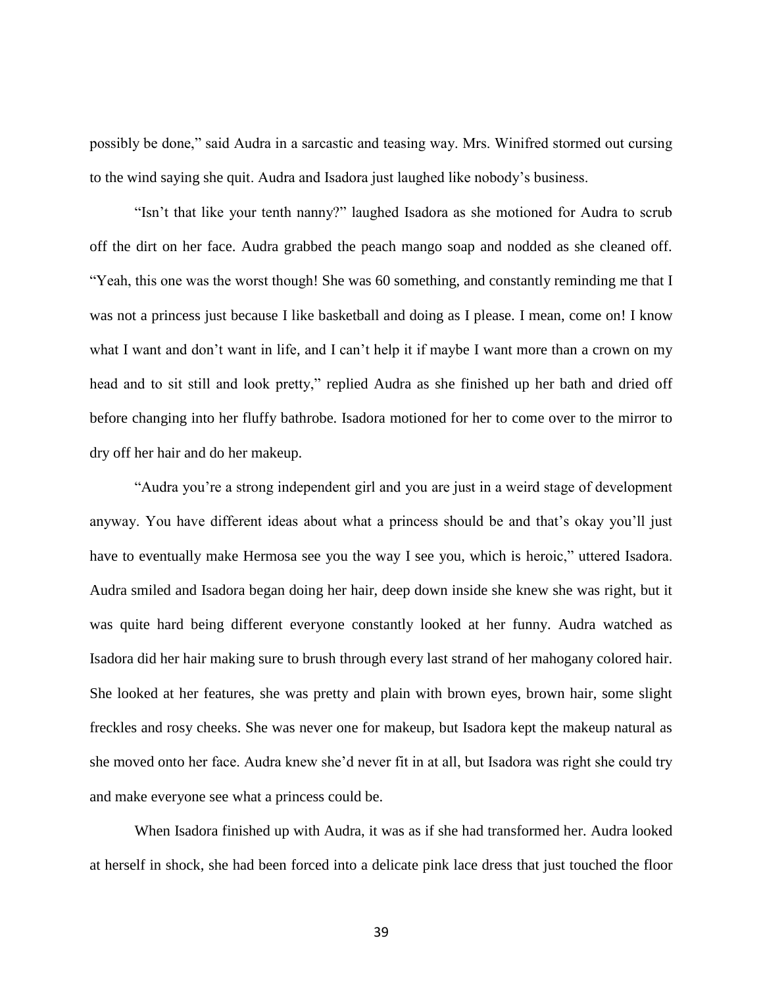possibly be done," said Audra in a sarcastic and teasing way. Mrs. Winifred stormed out cursing to the wind saying she quit. Audra and Isadora just laughed like nobody's business.

"Isn't that like your tenth nanny?" laughed Isadora as she motioned for Audra to scrub off the dirt on her face. Audra grabbed the peach mango soap and nodded as she cleaned off. "Yeah, this one was the worst though! She was 60 something, and constantly reminding me that I was not a princess just because I like basketball and doing as I please. I mean, come on! I know what I want and don't want in life, and I can't help it if maybe I want more than a crown on my head and to sit still and look pretty," replied Audra as she finished up her bath and dried off before changing into her fluffy bathrobe. Isadora motioned for her to come over to the mirror to dry off her hair and do her makeup.

"Audra you're a strong independent girl and you are just in a weird stage of development anyway. You have different ideas about what a princess should be and that's okay you'll just have to eventually make Hermosa see you the way I see you, which is heroic," uttered Isadora. Audra smiled and Isadora began doing her hair, deep down inside she knew she was right, but it was quite hard being different everyone constantly looked at her funny. Audra watched as Isadora did her hair making sure to brush through every last strand of her mahogany colored hair. She looked at her features, she was pretty and plain with brown eyes, brown hair, some slight freckles and rosy cheeks. She was never one for makeup, but Isadora kept the makeup natural as she moved onto her face. Audra knew she'd never fit in at all, but Isadora was right she could try and make everyone see what a princess could be.

When Isadora finished up with Audra, it was as if she had transformed her. Audra looked at herself in shock, she had been forced into a delicate pink lace dress that just touched the floor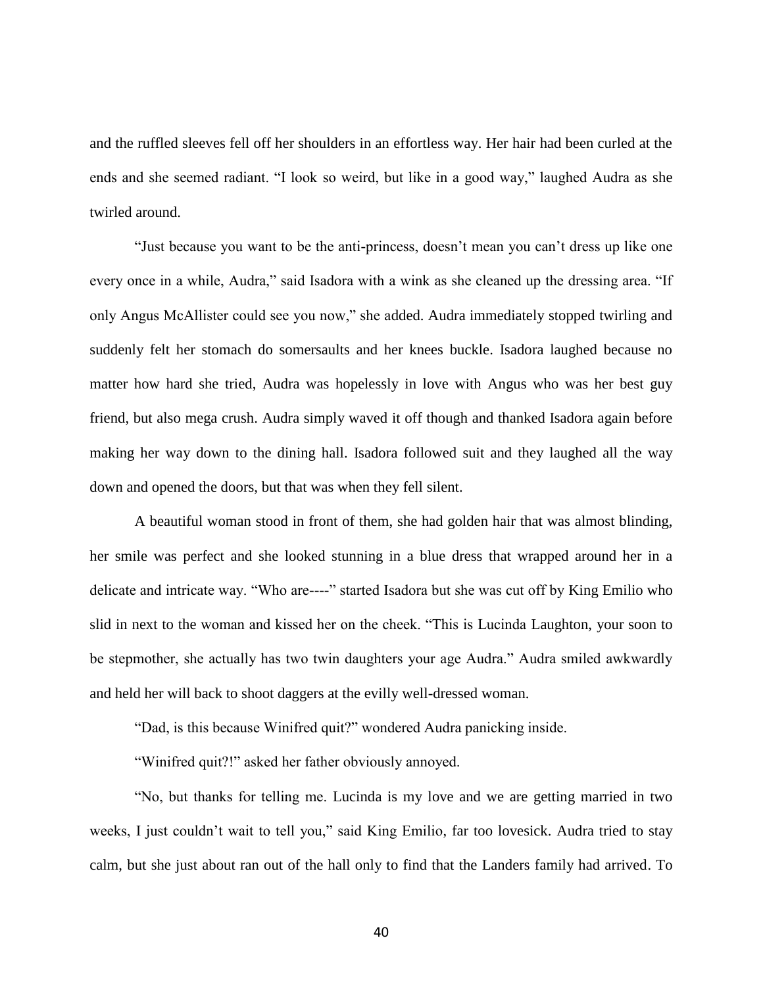and the ruffled sleeves fell off her shoulders in an effortless way. Her hair had been curled at the ends and she seemed radiant. "I look so weird, but like in a good way," laughed Audra as she twirled around.

"Just because you want to be the anti-princess, doesn't mean you can't dress up like one every once in a while, Audra," said Isadora with a wink as she cleaned up the dressing area. "If only Angus McAllister could see you now," she added. Audra immediately stopped twirling and suddenly felt her stomach do somersaults and her knees buckle. Isadora laughed because no matter how hard she tried, Audra was hopelessly in love with Angus who was her best guy friend, but also mega crush. Audra simply waved it off though and thanked Isadora again before making her way down to the dining hall. Isadora followed suit and they laughed all the way down and opened the doors, but that was when they fell silent.

A beautiful woman stood in front of them, she had golden hair that was almost blinding, her smile was perfect and she looked stunning in a blue dress that wrapped around her in a delicate and intricate way. "Who are----" started Isadora but she was cut off by King Emilio who slid in next to the woman and kissed her on the cheek. "This is Lucinda Laughton, your soon to be stepmother, she actually has two twin daughters your age Audra." Audra smiled awkwardly and held her will back to shoot daggers at the evilly well-dressed woman.

"Dad, is this because Winifred quit?" wondered Audra panicking inside.

"Winifred quit?!" asked her father obviously annoyed.

"No, but thanks for telling me. Lucinda is my love and we are getting married in two weeks, I just couldn't wait to tell you," said King Emilio, far too lovesick. Audra tried to stay calm, but she just about ran out of the hall only to find that the Landers family had arrived. To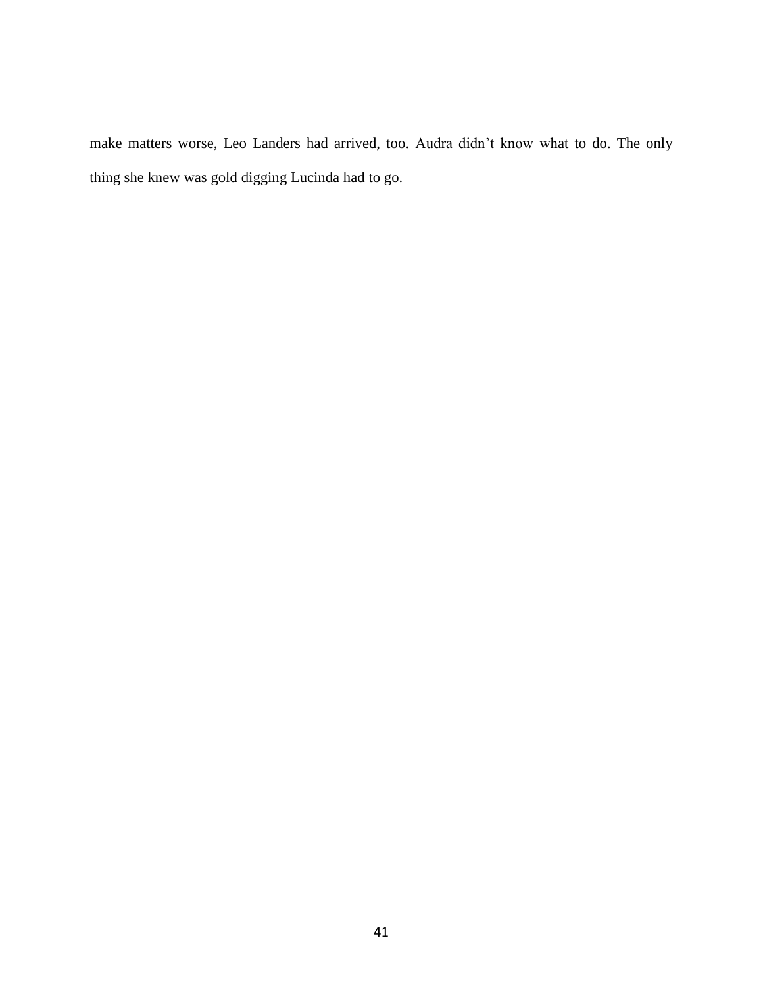make matters worse, Leo Landers had arrived, too. Audra didn't know what to do. The only thing she knew was gold digging Lucinda had to go.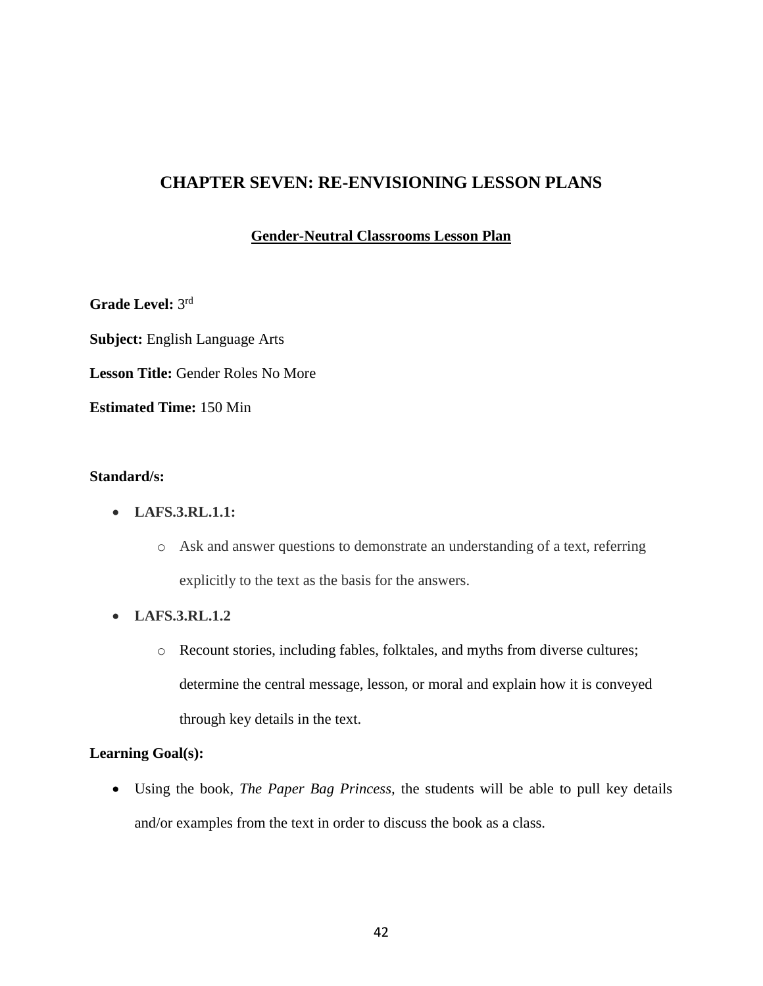# **CHAPTER SEVEN: RE-ENVISIONING LESSON PLANS**

# **Gender-Neutral Classrooms Lesson Plan**

**Grade Level:** 3 rd

**Subject:** English Language Arts **Lesson Title:** Gender Roles No More **Estimated Time:** 150 Min

# **Standard/s:**

- **LAFS.3.RL.1.1:**
	- o Ask and answer questions to demonstrate an understanding of a text, referring explicitly to the text as the basis for the answers.
- **LAFS.3.RL.1.2**
	- o Recount stories, including fables, folktales, and myths from diverse cultures; determine the central message, lesson, or moral and explain how it is conveyed through key details in the text.

## **Learning Goal(s):**

• Using the book, *The Paper Bag Princess,* the students will be able to pull key details and/or examples from the text in order to discuss the book as a class.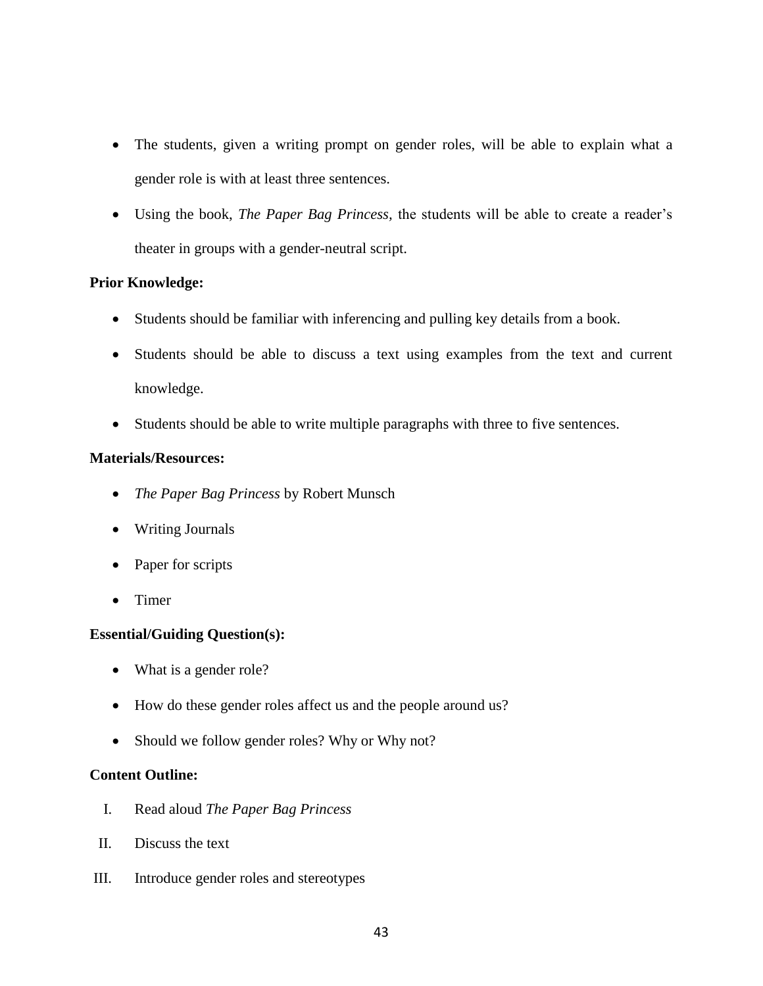- The students, given a writing prompt on gender roles, will be able to explain what a gender role is with at least three sentences.
- Using the book, *The Paper Bag Princess,* the students will be able to create a reader's theater in groups with a gender-neutral script.

# **Prior Knowledge:**

- Students should be familiar with inferencing and pulling key details from a book.
- Students should be able to discuss a text using examples from the text and current knowledge.
- Students should be able to write multiple paragraphs with three to five sentences.

## **Materials/Resources:**

- *The Paper Bag Princess* by Robert Munsch
- Writing Journals
- Paper for scripts
- Timer

### **Essential/Guiding Question(s):**

- What is a gender role?
- How do these gender roles affect us and the people around us?
- Should we follow gender roles? Why or Why not?

### **Content Outline:**

- I. Read aloud *The Paper Bag Princess*
- II. Discuss the text
- III. Introduce gender roles and stereotypes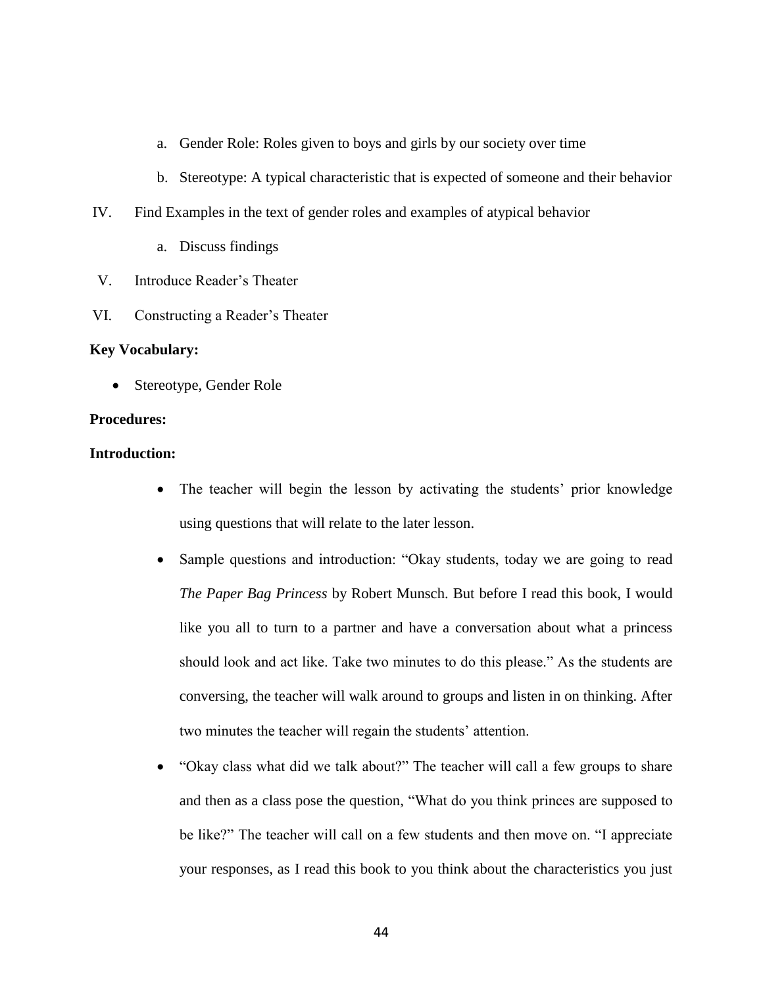- a. Gender Role: Roles given to boys and girls by our society over time
- b. Stereotype: A typical characteristic that is expected of someone and their behavior
- IV. Find Examples in the text of gender roles and examples of atypical behavior
	- a. Discuss findings
- V. Introduce Reader's Theater
- VI. Constructing a Reader's Theater

#### **Key Vocabulary:**

• Stereotype, Gender Role

#### **Procedures:**

#### **Introduction:**

- The teacher will begin the lesson by activating the students' prior knowledge using questions that will relate to the later lesson.
- Sample questions and introduction: "Okay students, today we are going to read *The Paper Bag Princess* by Robert Munsch. But before I read this book, I would like you all to turn to a partner and have a conversation about what a princess should look and act like. Take two minutes to do this please." As the students are conversing, the teacher will walk around to groups and listen in on thinking. After two minutes the teacher will regain the students' attention.
- "Okay class what did we talk about?" The teacher will call a few groups to share and then as a class pose the question, "What do you think princes are supposed to be like?" The teacher will call on a few students and then move on. "I appreciate your responses, as I read this book to you think about the characteristics you just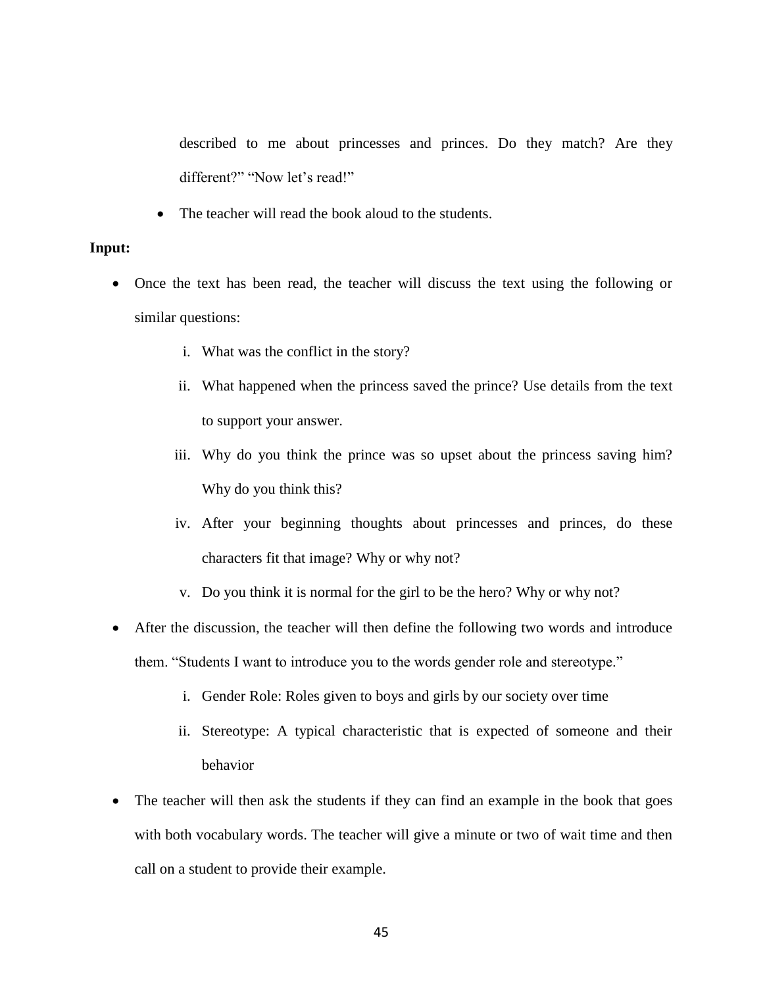described to me about princesses and princes. Do they match? Are they different?" "Now let's read!"

• The teacher will read the book aloud to the students.

## **Input:**

- Once the text has been read, the teacher will discuss the text using the following or similar questions:
	- i. What was the conflict in the story?
	- ii. What happened when the princess saved the prince? Use details from the text to support your answer.
	- iii. Why do you think the prince was so upset about the princess saving him? Why do you think this?
	- iv. After your beginning thoughts about princesses and princes, do these characters fit that image? Why or why not?
	- v. Do you think it is normal for the girl to be the hero? Why or why not?
- After the discussion, the teacher will then define the following two words and introduce them. "Students I want to introduce you to the words gender role and stereotype."
	- i. Gender Role: Roles given to boys and girls by our society over time
	- ii. Stereotype: A typical characteristic that is expected of someone and their behavior
- The teacher will then ask the students if they can find an example in the book that goes with both vocabulary words. The teacher will give a minute or two of wait time and then call on a student to provide their example.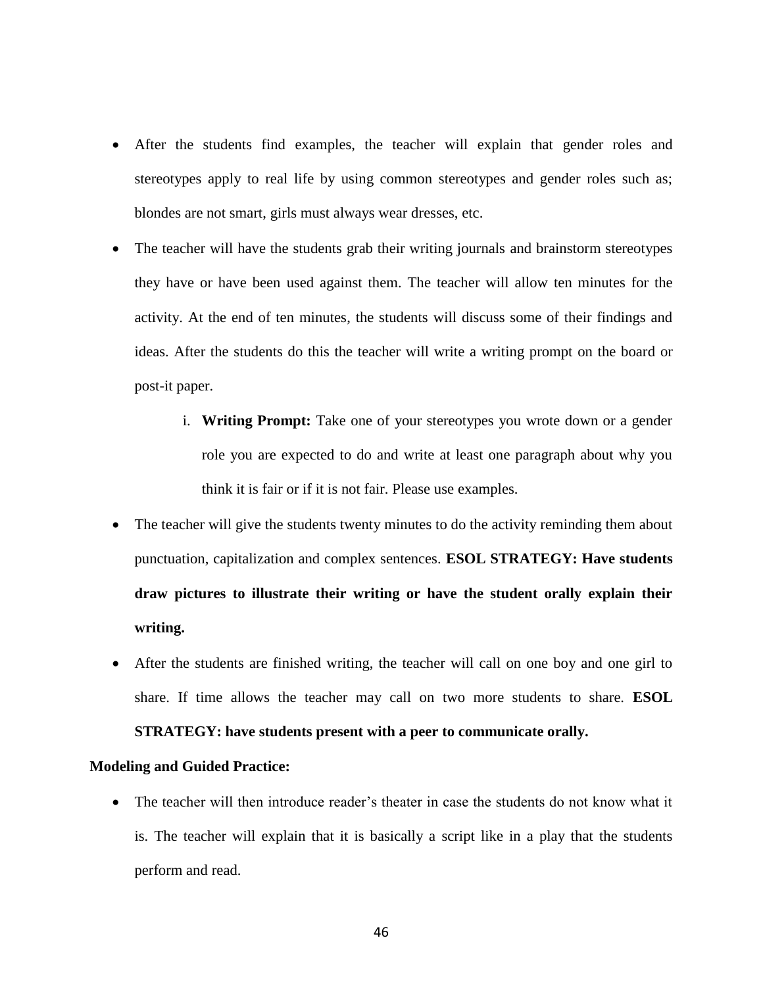- After the students find examples, the teacher will explain that gender roles and stereotypes apply to real life by using common stereotypes and gender roles such as; blondes are not smart, girls must always wear dresses, etc.
- The teacher will have the students grab their writing journals and brainstorm stereotypes they have or have been used against them. The teacher will allow ten minutes for the activity. At the end of ten minutes, the students will discuss some of their findings and ideas. After the students do this the teacher will write a writing prompt on the board or post-it paper.
	- i. **Writing Prompt:** Take one of your stereotypes you wrote down or a gender role you are expected to do and write at least one paragraph about why you think it is fair or if it is not fair. Please use examples.
- The teacher will give the students twenty minutes to do the activity reminding them about punctuation, capitalization and complex sentences. **ESOL STRATEGY: Have students draw pictures to illustrate their writing or have the student orally explain their writing.**
- After the students are finished writing, the teacher will call on one boy and one girl to share. If time allows the teacher may call on two more students to share. **ESOL**

#### **STRATEGY: have students present with a peer to communicate orally.**

#### **Modeling and Guided Practice:**

• The teacher will then introduce reader's theater in case the students do not know what it is. The teacher will explain that it is basically a script like in a play that the students perform and read.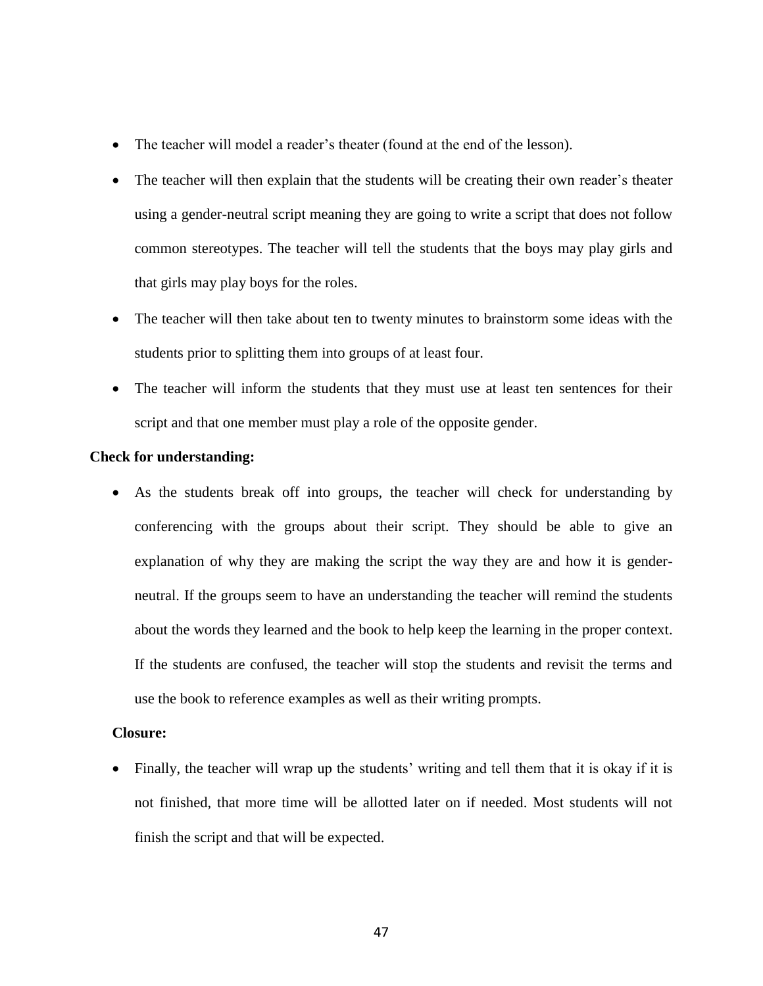- The teacher will model a reader's theater (found at the end of the lesson).
- The teacher will then explain that the students will be creating their own reader's theater using a gender-neutral script meaning they are going to write a script that does not follow common stereotypes. The teacher will tell the students that the boys may play girls and that girls may play boys for the roles.
- The teacher will then take about ten to twenty minutes to brainstorm some ideas with the students prior to splitting them into groups of at least four.
- The teacher will inform the students that they must use at least ten sentences for their script and that one member must play a role of the opposite gender.

### **Check for understanding:**

• As the students break off into groups, the teacher will check for understanding by conferencing with the groups about their script. They should be able to give an explanation of why they are making the script the way they are and how it is genderneutral. If the groups seem to have an understanding the teacher will remind the students about the words they learned and the book to help keep the learning in the proper context. If the students are confused, the teacher will stop the students and revisit the terms and use the book to reference examples as well as their writing prompts.

### **Closure:**

• Finally, the teacher will wrap up the students' writing and tell them that it is okay if it is not finished, that more time will be allotted later on if needed. Most students will not finish the script and that will be expected.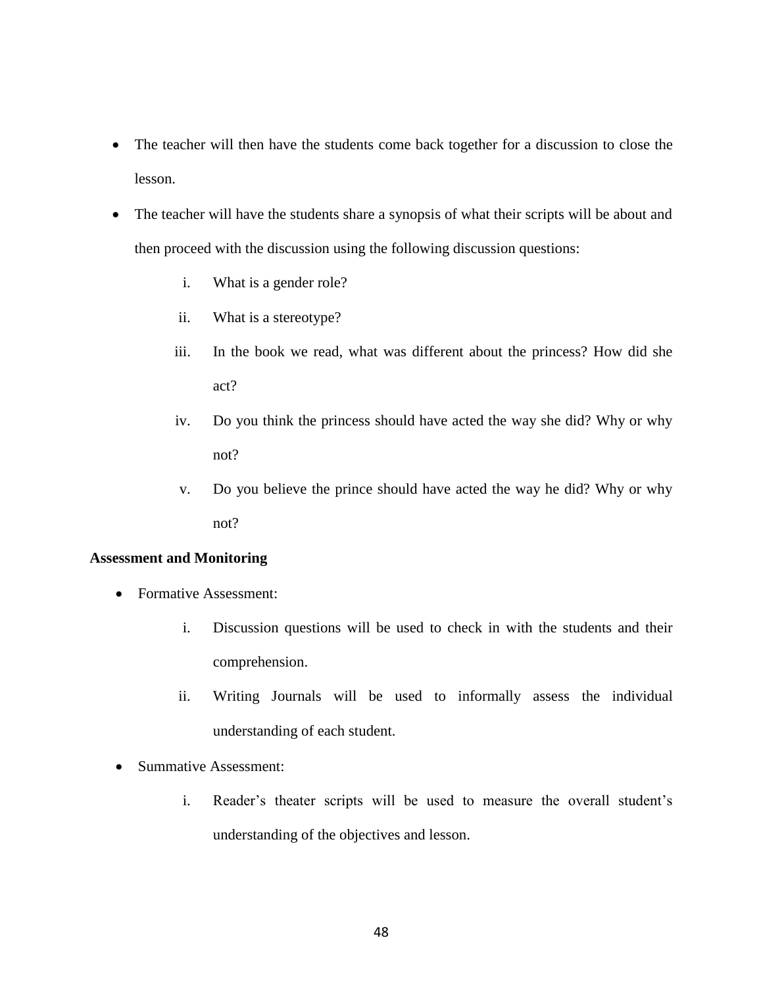- The teacher will then have the students come back together for a discussion to close the lesson.
- The teacher will have the students share a synopsis of what their scripts will be about and then proceed with the discussion using the following discussion questions:
	- i. What is a gender role?
	- ii. What is a stereotype?
	- iii. In the book we read, what was different about the princess? How did she act?
	- iv. Do you think the princess should have acted the way she did? Why or why not?
	- v. Do you believe the prince should have acted the way he did? Why or why not?

#### **Assessment and Monitoring**

- Formative Assessment:
	- i. Discussion questions will be used to check in with the students and their comprehension.
	- ii. Writing Journals will be used to informally assess the individual understanding of each student.
- Summative Assessment:
	- i. Reader's theater scripts will be used to measure the overall student's understanding of the objectives and lesson.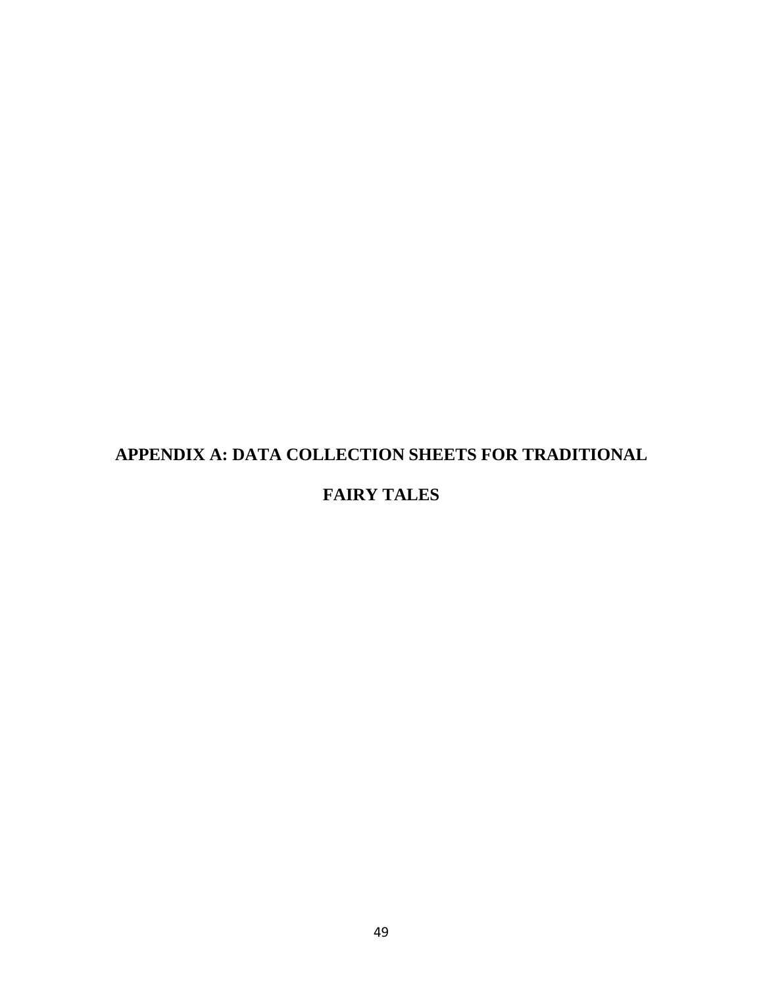# **APPENDIX A: DATA COLLECTION SHEETS FOR TRADITIONAL**

# **FAIRY TALES**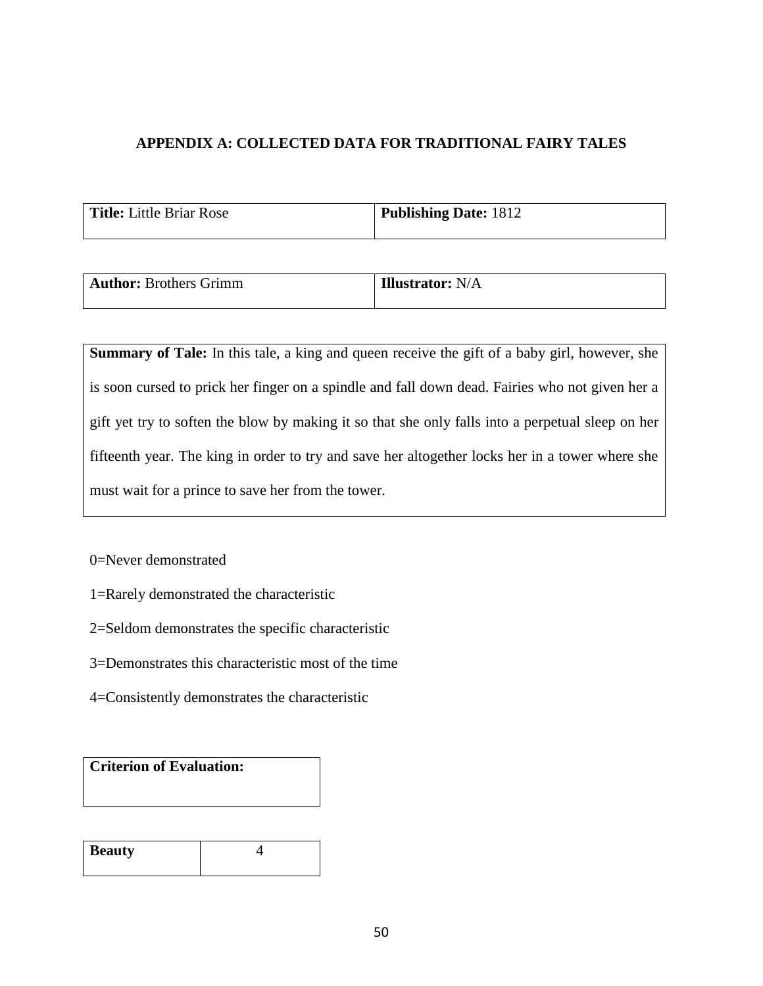# **APPENDIX A: COLLECTED DATA FOR TRADITIONAL FAIRY TALES**

| Title: Little Briar Rose | <b>Publishing Date: 1812</b> |
|--------------------------|------------------------------|
|                          |                              |

| <b>Author: Brothers Grimm</b> | <b>Illustrator:</b> N/A |
|-------------------------------|-------------------------|
|                               |                         |

**Summary of Tale:** In this tale, a king and queen receive the gift of a baby girl, however, she is soon cursed to prick her finger on a spindle and fall down dead. Fairies who not given her a gift yet try to soften the blow by making it so that she only falls into a perpetual sleep on her fifteenth year. The king in order to try and save her altogether locks her in a tower where she must wait for a prince to save her from the tower.

0=Never demonstrated

- 1=Rarely demonstrated the characteristic
- 2=Seldom demonstrates the specific characteristic
- 3=Demonstrates this characteristic most of the time
- 4=Consistently demonstrates the characteristic

# **Criterion of Evaluation:**

| <b>Beauty</b> |  |
|---------------|--|
|               |  |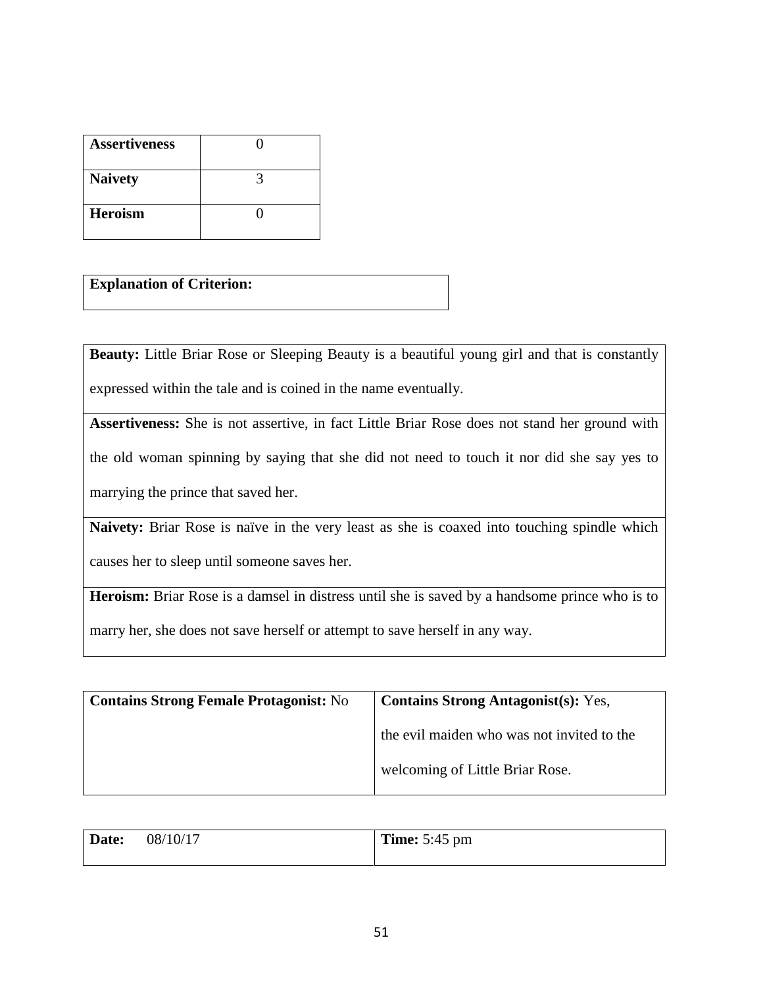| <b>Assertiveness</b> |  |
|----------------------|--|
| <b>Naivety</b>       |  |
| <b>Heroism</b>       |  |

# **Explanation of Criterion:**

Beauty: Little Briar Rose or Sleeping Beauty is a beautiful young girl and that is constantly expressed within the tale and is coined in the name eventually.

**Assertiveness:** She is not assertive, in fact Little Briar Rose does not stand her ground with the old woman spinning by saying that she did not need to touch it nor did she say yes to

marrying the prince that saved her.

Naivety: Briar Rose is naïve in the very least as she is coaxed into touching spindle which

causes her to sleep until someone saves her.

Heroism: Briar Rose is a damsel in distress until she is saved by a handsome prince who is to

marry her, she does not save herself or attempt to save herself in any way.

| <b>Contains Strong Female Protagonist: No</b> | <b>Contains Strong Antagonist(s): Yes,</b> |
|-----------------------------------------------|--------------------------------------------|
|                                               | the evil maiden who was not invited to the |
|                                               | welcoming of Little Briar Rose.            |

| Date: | 08/10/17 | <b>Time:</b> 5:45 pm |
|-------|----------|----------------------|
|       |          |                      |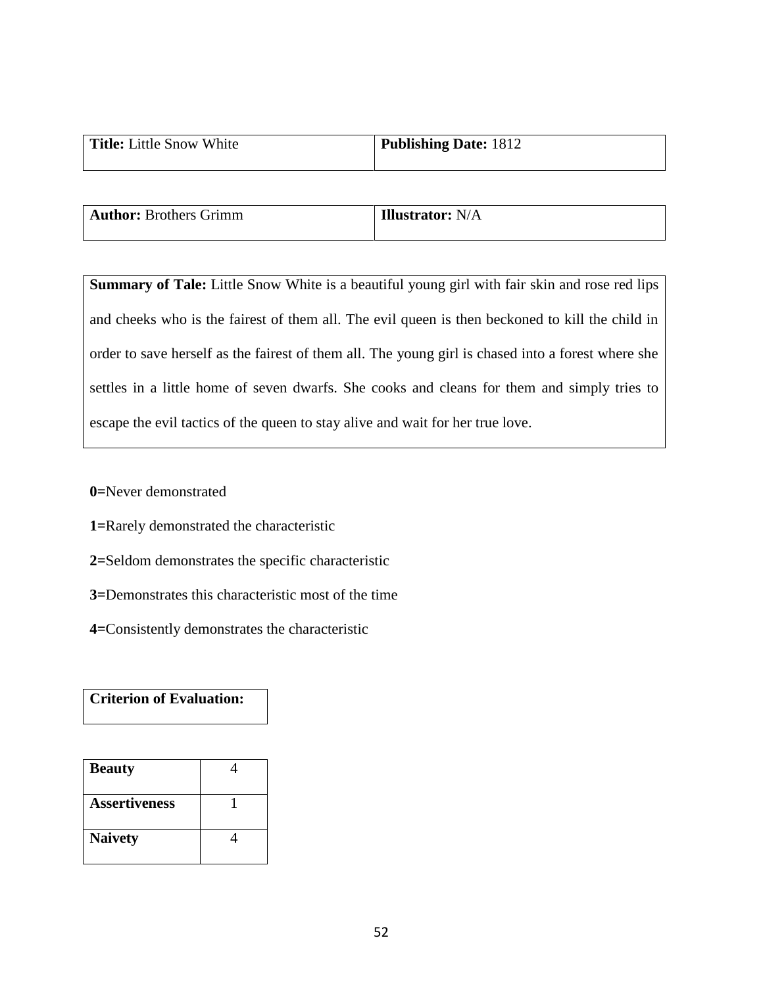|  | <b>Title:</b> Little Snow White | <b>Publishing Date: 1812</b> |
|--|---------------------------------|------------------------------|
|--|---------------------------------|------------------------------|

| <b>Author:</b> Brothers Grimm | <b>Illustrator:</b> N/A |
|-------------------------------|-------------------------|
|                               |                         |

**Summary of Tale:** Little Snow White is a beautiful young girl with fair skin and rose red lips and cheeks who is the fairest of them all. The evil queen is then beckoned to kill the child in order to save herself as the fairest of them all. The young girl is chased into a forest where she settles in a little home of seven dwarfs. She cooks and cleans for them and simply tries to escape the evil tactics of the queen to stay alive and wait for her true love.

**0=**Never demonstrated

**1=**Rarely demonstrated the characteristic

**2=**Seldom demonstrates the specific characteristic

**3=**Demonstrates this characteristic most of the time

**4=**Consistently demonstrates the characteristic

**Criterion of Evaluation:**

| <b>Beauty</b>        |  |
|----------------------|--|
| <b>Assertiveness</b> |  |
| <b>Naivety</b>       |  |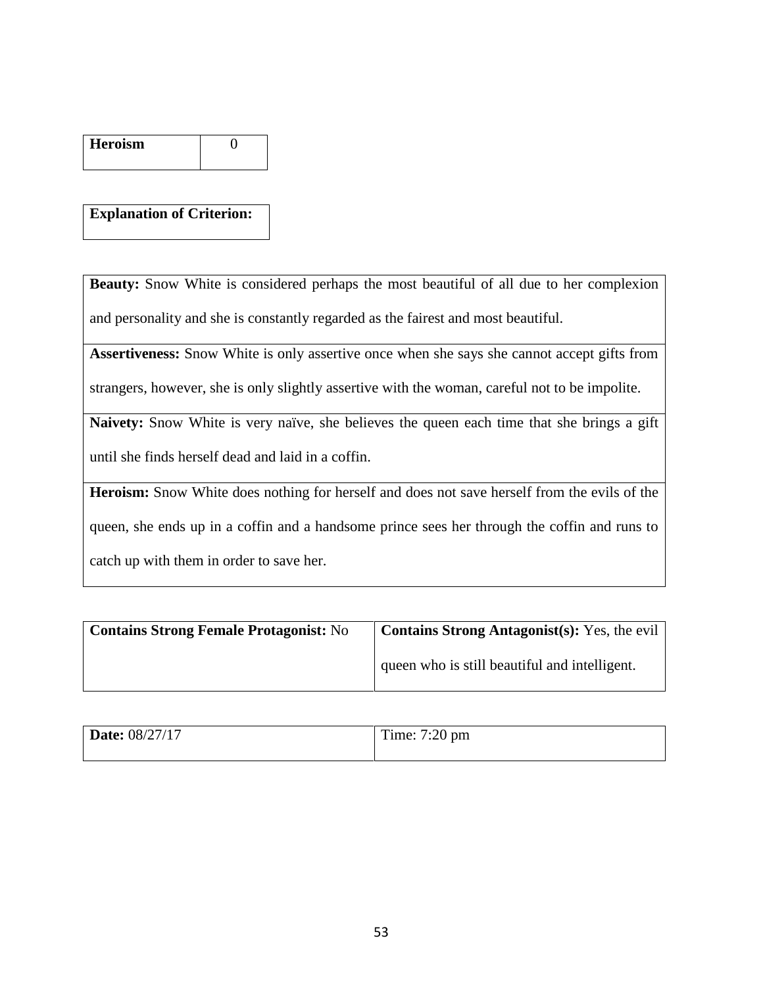| <b>Heroism</b> |  |
|----------------|--|
|                |  |

# **Explanation of Criterion:**

**Beauty:** Snow White is considered perhaps the most beautiful of all due to her complexion and personality and she is constantly regarded as the fairest and most beautiful.

**Assertiveness:** Snow White is only assertive once when she says she cannot accept gifts from

strangers, however, she is only slightly assertive with the woman, careful not to be impolite.

**Naivety:** Snow White is very naïve, she believes the queen each time that she brings a gift until she finds herself dead and laid in a coffin.

**Heroism:** Snow White does nothing for herself and does not save herself from the evils of the queen, she ends up in a coffin and a handsome prince sees her through the coffin and runs to catch up with them in order to save her.

| <b>Contains Strong Female Protagonist: No</b> | <b>Contains Strong Antagonist(s): Yes, the evil</b> |
|-----------------------------------------------|-----------------------------------------------------|
|                                               | queen who is still beautiful and intelligent.       |

| <b>Date: 08/27/17</b> | Time: $7:20 \text{ pm}$ |
|-----------------------|-------------------------|
|                       |                         |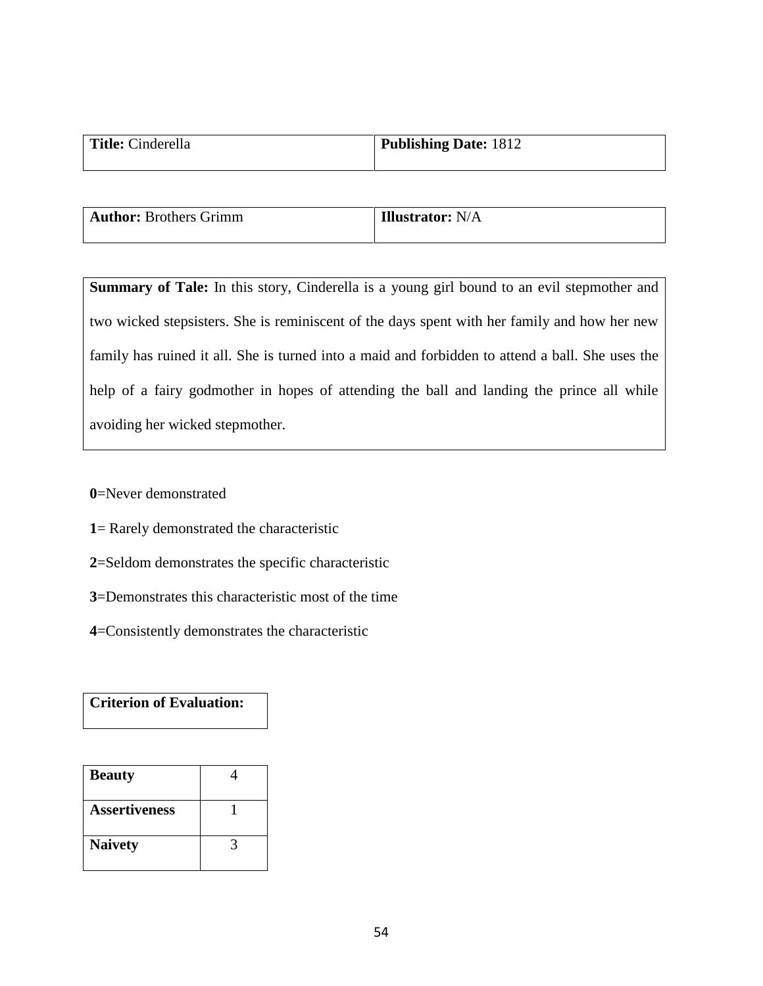| <b>Title:</b> Cinderella | <b>Publishing Date: 1812</b> |
|--------------------------|------------------------------|
|                          |                              |

| <b>Author:</b> Brothers Grimm | <b>Illustrator:</b> N/A |
|-------------------------------|-------------------------|
|                               |                         |

**Summary of Tale:** In this story, Cinderella is a young girl bound to an evil stepmother and two wicked stepsisters. She is reminiscent of the days spent with her family and how her new family has ruined it all. She is turned into a maid and forbidden to attend a ball. She uses the help of a fairy godmother in hopes of attending the ball and landing the prince all while avoiding her wicked stepmother.

**0**=Never demonstrated

- **1**= Rarely demonstrated the characteristic
- **2**=Seldom demonstrates the specific characteristic
- **3**=Demonstrates this characteristic most of the time
- **4**=Consistently demonstrates the characteristic

**Criterion of Evaluation:**

| <b>Beauty</b>        |  |
|----------------------|--|
| <b>Assertiveness</b> |  |
| <b>Naivety</b>       |  |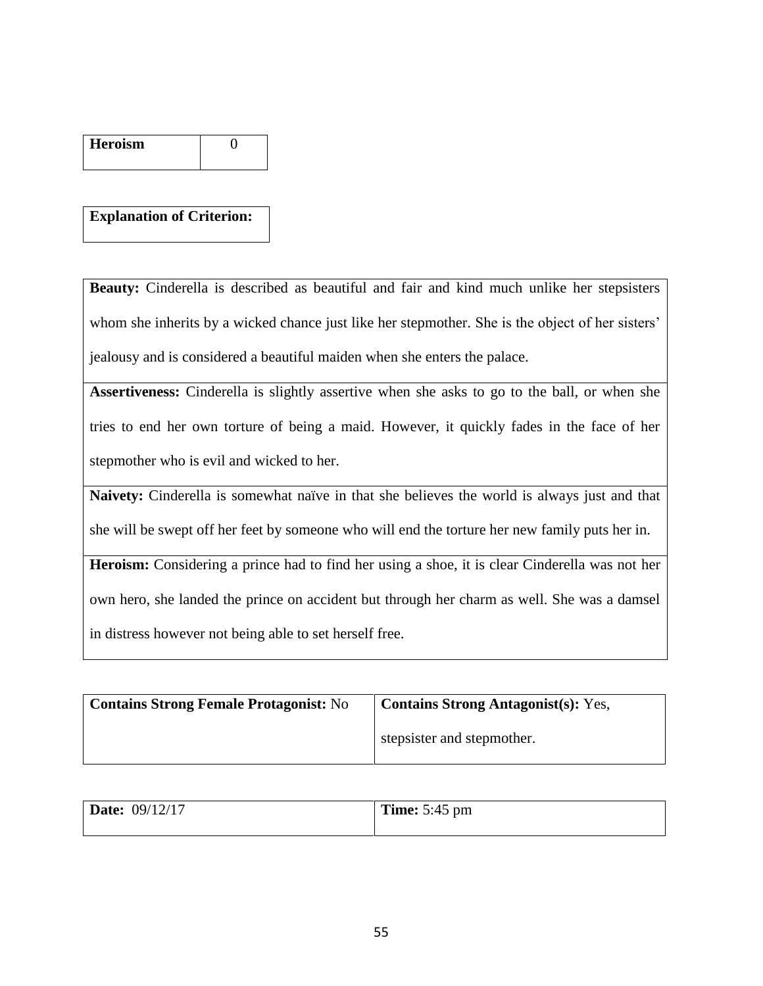| <b>Heroism</b> |  |
|----------------|--|
|                |  |

# **Explanation of Criterion:**

**Beauty:** Cinderella is described as beautiful and fair and kind much unlike her stepsisters whom she inherits by a wicked chance just like her stepmother. She is the object of her sisters' jealousy and is considered a beautiful maiden when she enters the palace.

**Assertiveness:** Cinderella is slightly assertive when she asks to go to the ball, or when she tries to end her own torture of being a maid. However, it quickly fades in the face of her stepmother who is evil and wicked to her.

**Naivety:** Cinderella is somewhat naïve in that she believes the world is always just and that she will be swept off her feet by someone who will end the torture her new family puts her in.

Heroism: Considering a prince had to find her using a shoe, it is clear Cinderella was not her own hero, she landed the prince on accident but through her charm as well. She was a damsel in distress however not being able to set herself free.

**Contains Strong Female Protagonist:** No **Contains Strong Antagonist(s):** Yes, stepsister and stepmother.

| Date:<br>09/12/17 | <b>Time:</b> 5:45 pm |
|-------------------|----------------------|
|                   |                      |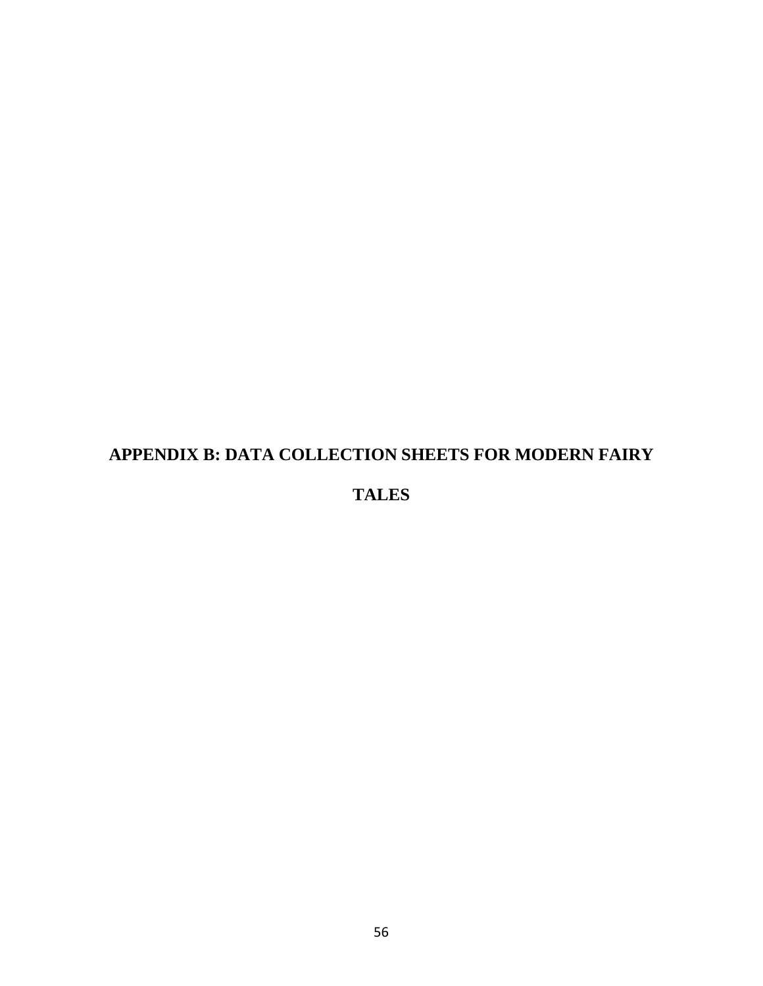# **APPENDIX B: DATA COLLECTION SHEETS FOR MODERN FAIRY**

**TALES**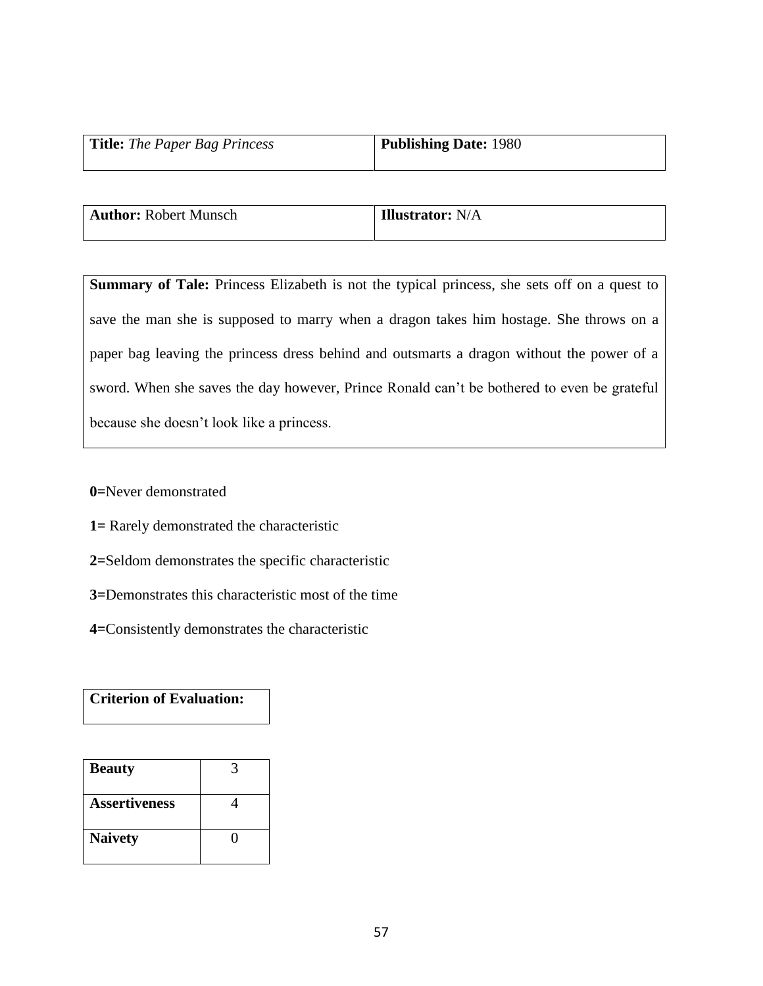| <b>Title:</b> The Paper Bag Princess | <b>Publishing Date: 1980</b> |
|--------------------------------------|------------------------------|
|                                      |                              |

| <b>Author: Robert Munsch</b> | <b>Illustrator:</b> N/A |
|------------------------------|-------------------------|
|                              |                         |

**Summary of Tale:** Princess Elizabeth is not the typical princess, she sets off on a quest to save the man she is supposed to marry when a dragon takes him hostage. She throws on a paper bag leaving the princess dress behind and outsmarts a dragon without the power of a sword. When she saves the day however, Prince Ronald can't be bothered to even be grateful because she doesn't look like a princess.

**0=**Never demonstrated

**1=** Rarely demonstrated the characteristic

**2=**Seldom demonstrates the specific characteristic

**3=**Demonstrates this characteristic most of the time

**4=**Consistently demonstrates the characteristic

**Criterion of Evaluation:**

| <b>Beauty</b>        |  |
|----------------------|--|
| <b>Assertiveness</b> |  |
| <b>Naivety</b>       |  |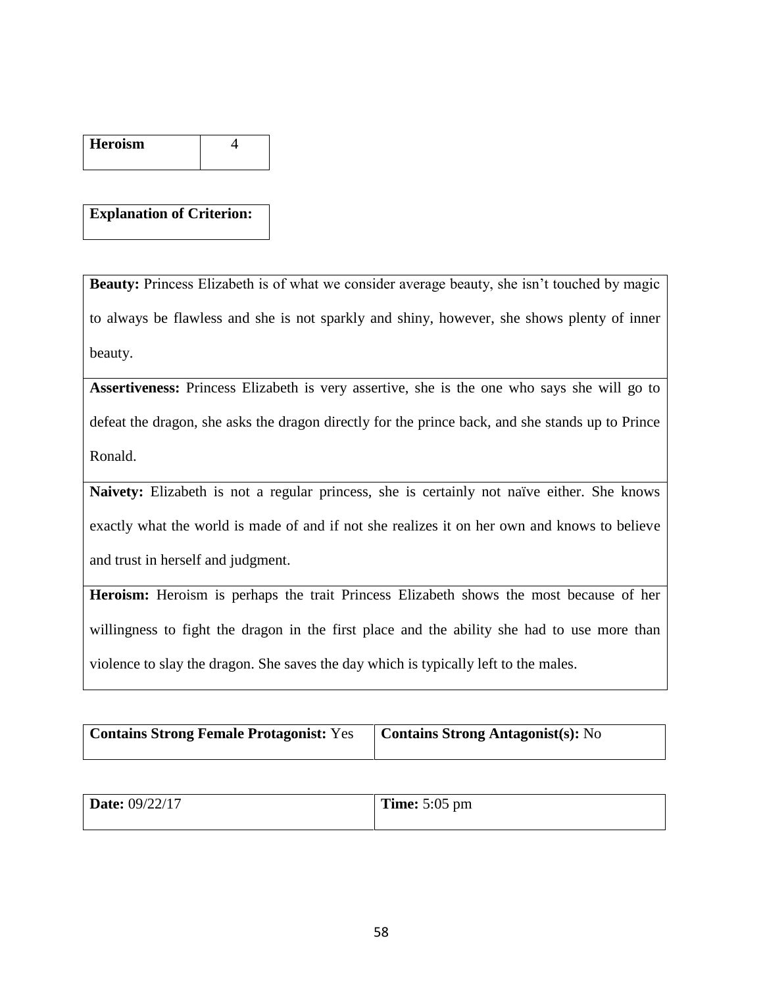| <b>Heroism</b> |  |
|----------------|--|
|                |  |

# **Explanation of Criterion:**

**Beauty:** Princess Elizabeth is of what we consider average beauty, she isn't touched by magic to always be flawless and she is not sparkly and shiny, however, she shows plenty of inner beauty.

**Assertiveness:** Princess Elizabeth is very assertive, she is the one who says she will go to defeat the dragon, she asks the dragon directly for the prince back, and she stands up to Prince Ronald.

**Naivety:** Elizabeth is not a regular princess, she is certainly not naïve either. She knows exactly what the world is made of and if not she realizes it on her own and knows to believe and trust in herself and judgment.

**Heroism:** Heroism is perhaps the trait Princess Elizabeth shows the most because of her willingness to fight the dragon in the first place and the ability she had to use more than violence to slay the dragon. She saves the day which is typically left to the males.

| <b>Contains Strong Female Protagonist: Yes</b> | <b>Contains Strong Antagonist(s): No</b> |
|------------------------------------------------|------------------------------------------|
|                                                |                                          |

| <b>Date:</b> 09/22/17 | <b>Time:</b> $5:05 \text{ pm}$ |
|-----------------------|--------------------------------|
|                       |                                |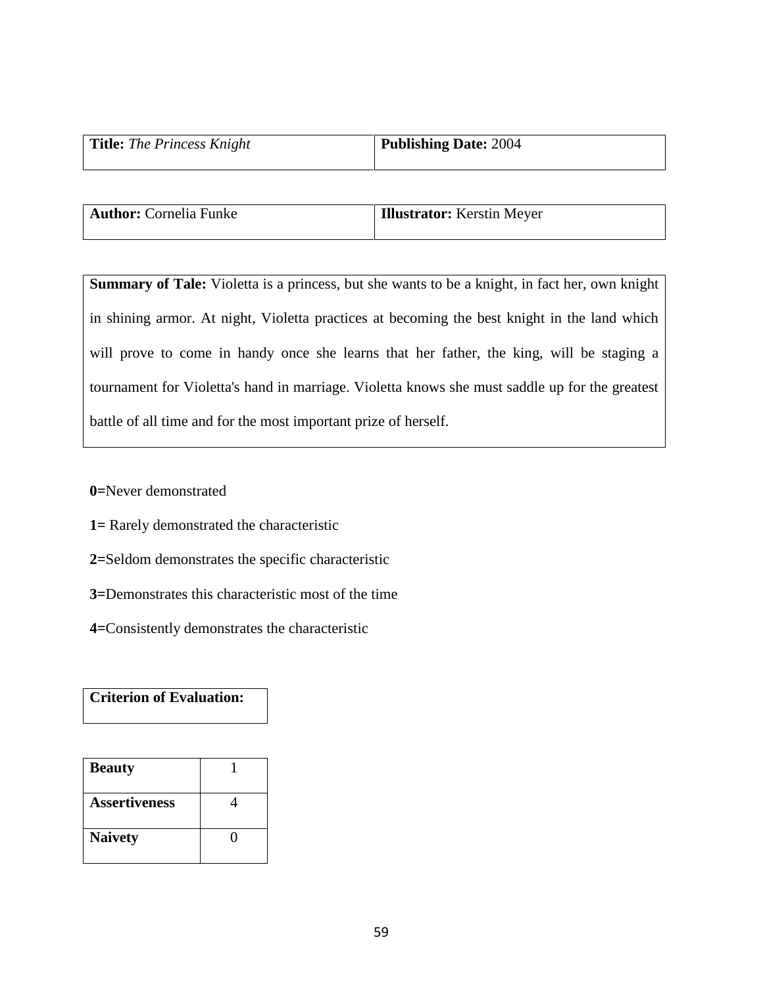| <b>Title:</b> The Princess Knight | <b>Publishing Date: 2004</b> |
|-----------------------------------|------------------------------|
|                                   |                              |

| <b>Author:</b> Cornelia Funke | Illustrator: Kerstin Meyer |
|-------------------------------|----------------------------|
|                               |                            |

**Summary of Tale:** Violetta is a princess, but she wants to be a knight, in fact her, own knight in shining armor. At night, Violetta practices at becoming the best knight in the land which will prove to come in handy once she learns that her father, the king, will be staging a tournament for Violetta's hand in marriage. Violetta knows she must saddle up for the greatest battle of all time and for the most important prize of herself.

**0=**Never demonstrated

**1=** Rarely demonstrated the characteristic

**2=**Seldom demonstrates the specific characteristic

**3=**Demonstrates this characteristic most of the time

**4=**Consistently demonstrates the characteristic

**Criterion of Evaluation:**

| <b>Beauty</b>        |   |
|----------------------|---|
| <b>Assertiveness</b> |   |
| <b>Naivety</b>       | 0 |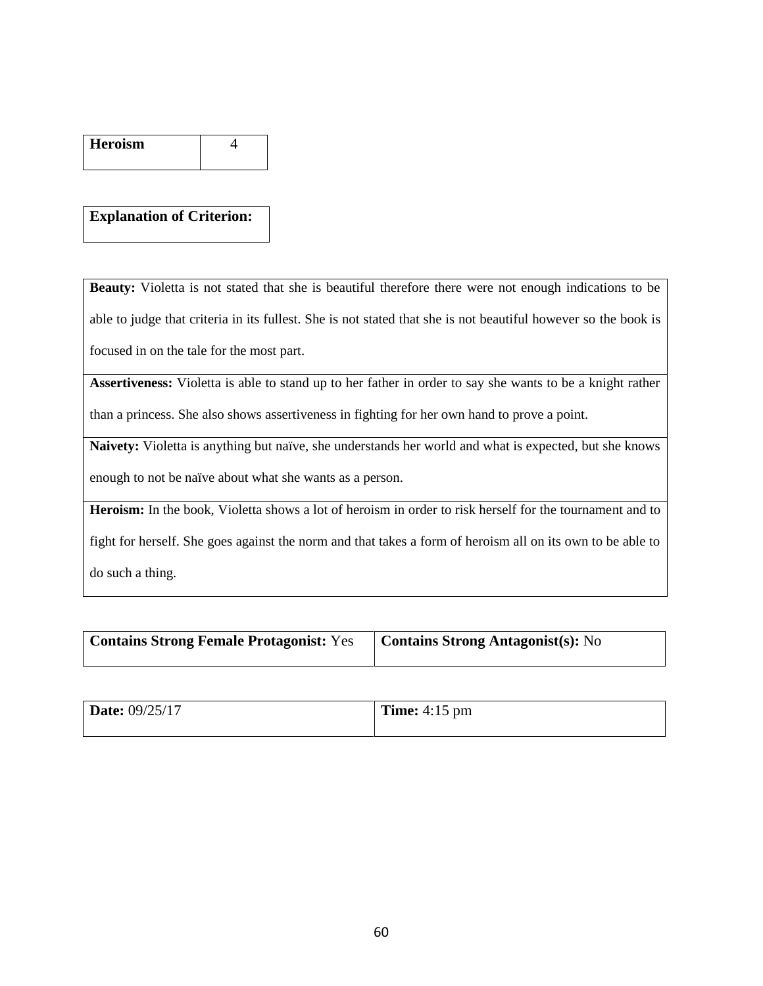| <b>Heroism</b> |  |
|----------------|--|
|                |  |

# **Explanation of Criterion:**

**Beauty:** Violetta is not stated that she is beautiful therefore there were not enough indications to be able to judge that criteria in its fullest. She is not stated that she is not beautiful however so the book is focused in on the tale for the most part.

**Assertiveness:** Violetta is able to stand up to her father in order to say she wants to be a knight rather

than a princess. She also shows assertiveness in fighting for her own hand to prove a point.

**Naivety:** Violetta is anything but naïve, she understands her world and what is expected, but she knows

enough to not be naïve about what she wants as a person.

**Heroism:** In the book, Violetta shows a lot of heroism in order to risk herself for the tournament and to

fight for herself. She goes against the norm and that takes a form of heroism all on its own to be able to

do such a thing.

| <b>Contains Strong Female Protagonist: Yes</b> | <b>Contains Strong Antagonist(s): No</b> |
|------------------------------------------------|------------------------------------------|
|                                                |                                          |

| <b>Date: 09/25/17</b> | <b>Time:</b> $4:15 \text{ pm}$ |
|-----------------------|--------------------------------|
|                       |                                |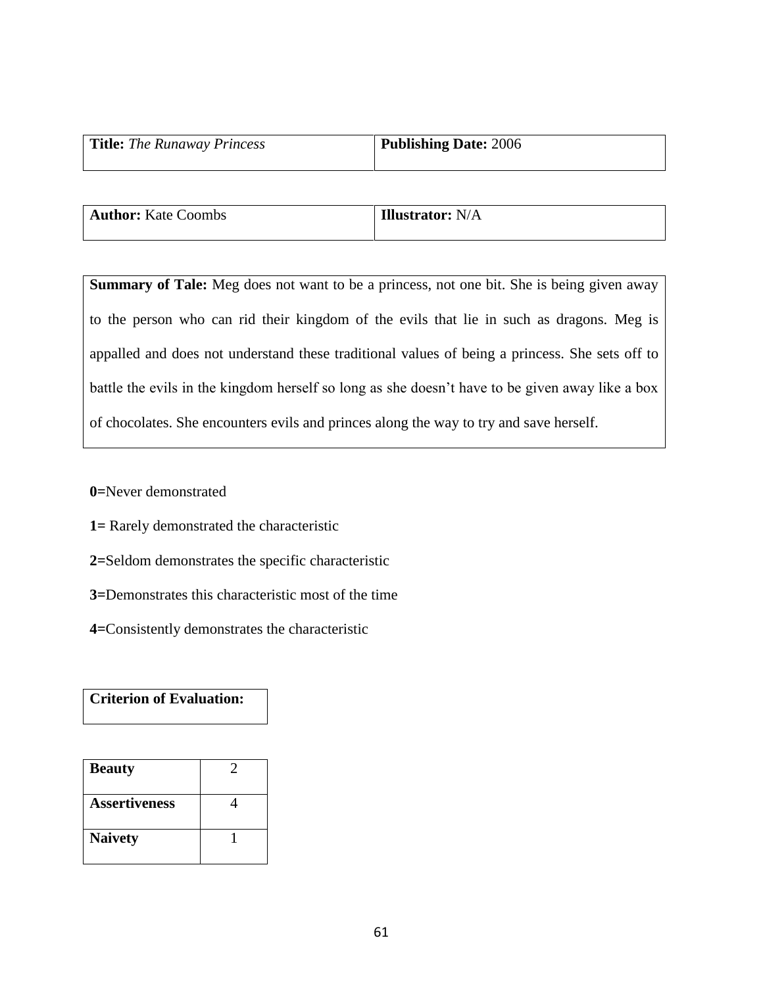| <b>Title:</b> The Runaway Princess | <b>Publishing Date: 2006</b> |
|------------------------------------|------------------------------|
|                                    |                              |

| <b>Author:</b> Kate Coombs | <b>Illustrator:</b> N/A |
|----------------------------|-------------------------|
|                            |                         |

**Summary of Tale:** Meg does not want to be a princess, not one bit. She is being given away to the person who can rid their kingdom of the evils that lie in such as dragons. Meg is appalled and does not understand these traditional values of being a princess. She sets off to battle the evils in the kingdom herself so long as she doesn't have to be given away like a box of chocolates. She encounters evils and princes along the way to try and save herself.

**0=**Never demonstrated

- **1=** Rarely demonstrated the characteristic
- **2=**Seldom demonstrates the specific characteristic
- **3=**Demonstrates this characteristic most of the time
- **4=**Consistently demonstrates the characteristic

**Criterion of Evaluation:**

| <b>Beauty</b>        |  |
|----------------------|--|
| <b>Assertiveness</b> |  |
| <b>Naivety</b>       |  |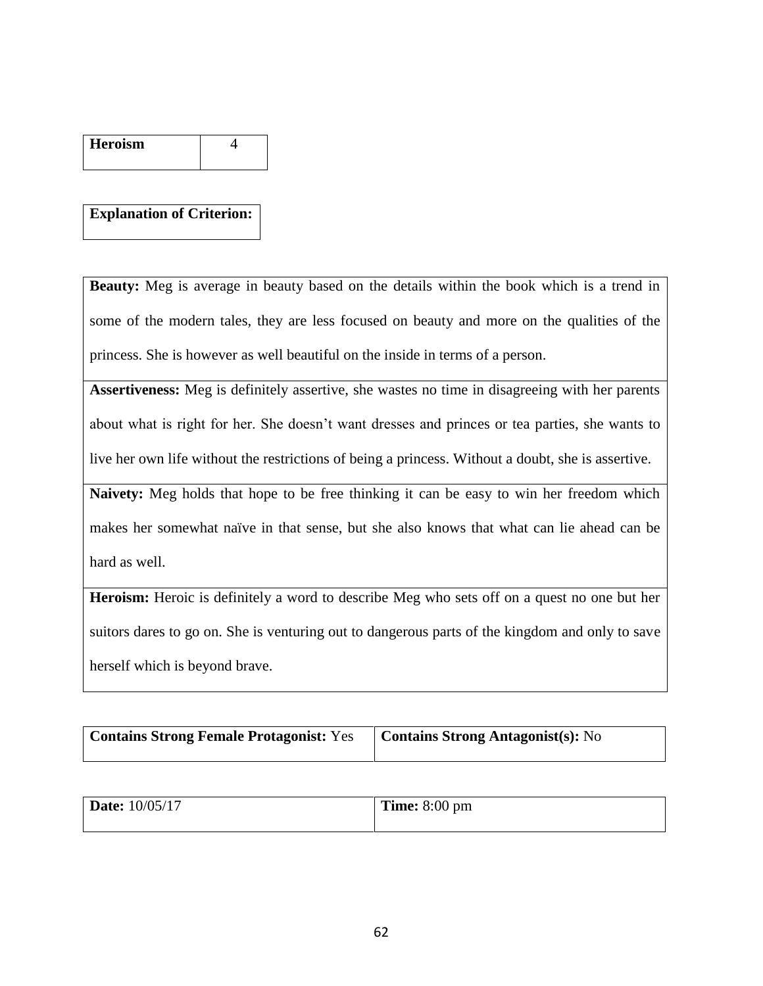| <b>Heroism</b> |  |
|----------------|--|
|                |  |

# **Explanation of Criterion:**

**Beauty:** Meg is average in beauty based on the details within the book which is a trend in some of the modern tales, they are less focused on beauty and more on the qualities of the princess. She is however as well beautiful on the inside in terms of a person.

**Assertiveness:** Meg is definitely assertive, she wastes no time in disagreeing with her parents about what is right for her. She doesn't want dresses and princes or tea parties, she wants to live her own life without the restrictions of being a princess. Without a doubt, she is assertive.

**Naivety:** Meg holds that hope to be free thinking it can be easy to win her freedom which makes her somewhat naïve in that sense, but she also knows that what can lie ahead can be hard as well.

Heroism: Heroic is definitely a word to describe Meg who sets off on a quest no one but her suitors dares to go on. She is venturing out to dangerous parts of the kingdom and only to save herself which is beyond brave.

| <b>Contains Strong Female Protagonist: Yes</b> | <b>Contains Strong Antagonist(s): No</b> |
|------------------------------------------------|------------------------------------------|
|                                                |                                          |

| <b>Date:</b> $10/05/17$ | <b>Time:</b> $8:00 \text{ pm}$ |
|-------------------------|--------------------------------|
|                         |                                |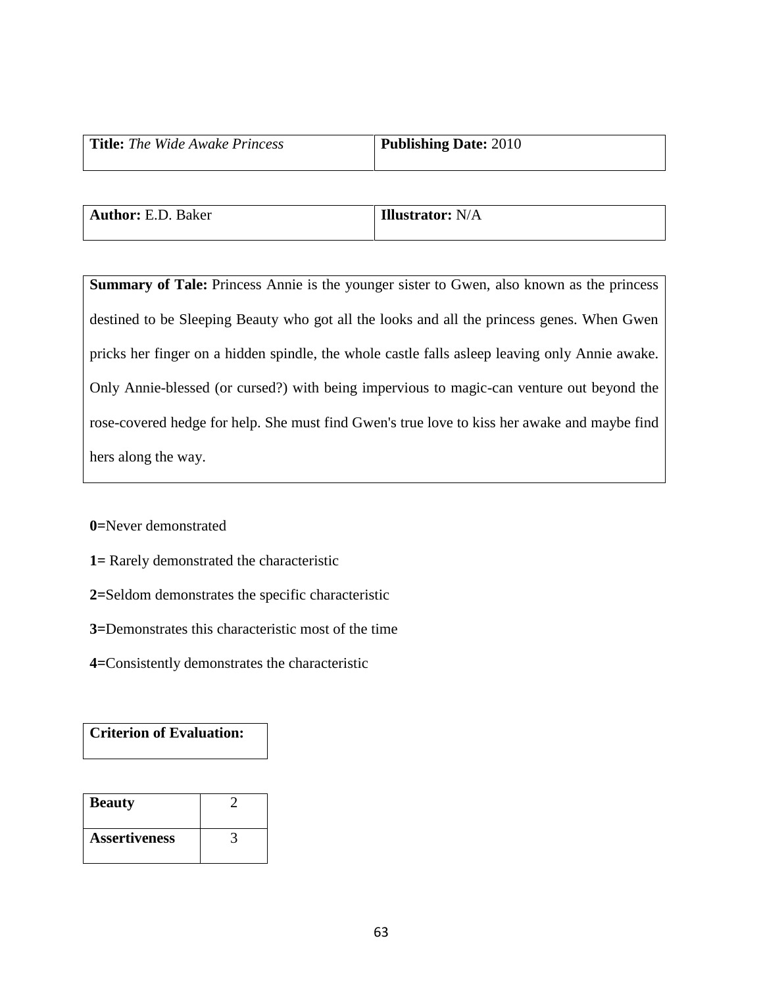| <b>Title:</b> The Wide Awake Princess | <b>Publishing Date: 2010</b> |
|---------------------------------------|------------------------------|
|                                       |                              |

| $\Lambda$ uthor: $F$<br>$\overline{\phantom{a}}$<br>ъ.<br>Baker | $\sim \sim N/A$ |
|-----------------------------------------------------------------|-----------------|
|                                                                 |                 |

**Summary of Tale:** Princess Annie is the younger sister to Gwen, also known as the princess destined to be Sleeping Beauty who got all the looks and all the princess genes. When Gwen pricks her finger on a hidden spindle, the whole castle falls asleep leaving only Annie awake. Only Annie-blessed (or cursed?) with being impervious to magic-can venture out beyond the rose-covered hedge for help. She must find Gwen's true love to kiss her awake and maybe find hers along the way.

**0=**Never demonstrated

- **1=** Rarely demonstrated the characteristic
- **2=**Seldom demonstrates the specific characteristic
- **3=**Demonstrates this characteristic most of the time
- **4=**Consistently demonstrates the characteristic

**Criterion of Evaluation:**

| <b>Beauty</b>        |  |
|----------------------|--|
| <b>Assertiveness</b> |  |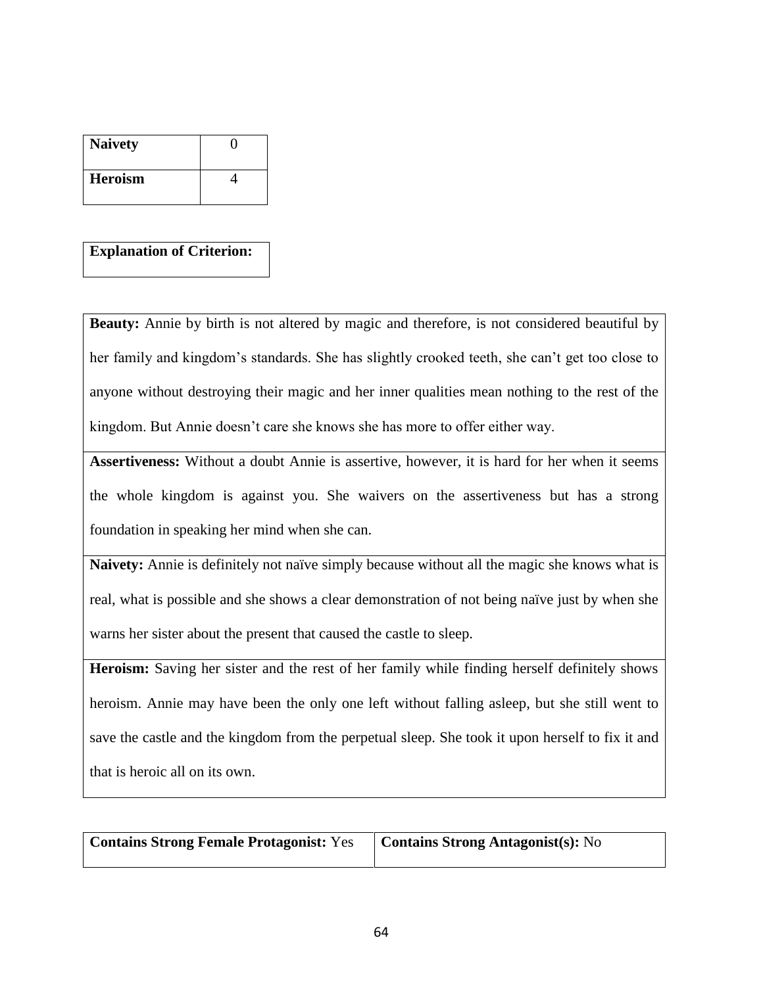| <b>Naivety</b> |  |
|----------------|--|
| <b>Heroism</b> |  |

## **Explanation of Criterion:**

**Beauty:** Annie by birth is not altered by magic and therefore, is not considered beautiful by her family and kingdom's standards. She has slightly crooked teeth, she can't get too close to anyone without destroying their magic and her inner qualities mean nothing to the rest of the kingdom. But Annie doesn't care she knows she has more to offer either way.

**Assertiveness:** Without a doubt Annie is assertive, however, it is hard for her when it seems the whole kingdom is against you. She waivers on the assertiveness but has a strong foundation in speaking her mind when she can.

**Naivety:** Annie is definitely not naïve simply because without all the magic she knows what is real, what is possible and she shows a clear demonstration of not being naïve just by when she warns her sister about the present that caused the castle to sleep.

**Heroism:** Saving her sister and the rest of her family while finding herself definitely shows heroism. Annie may have been the only one left without falling asleep, but she still went to save the castle and the kingdom from the perpetual sleep. She took it upon herself to fix it and that is heroic all on its own.

| Contains Strong Female Protagonist: Yes   Contains Strong Antagonist(s): No |  |
|-----------------------------------------------------------------------------|--|
|                                                                             |  |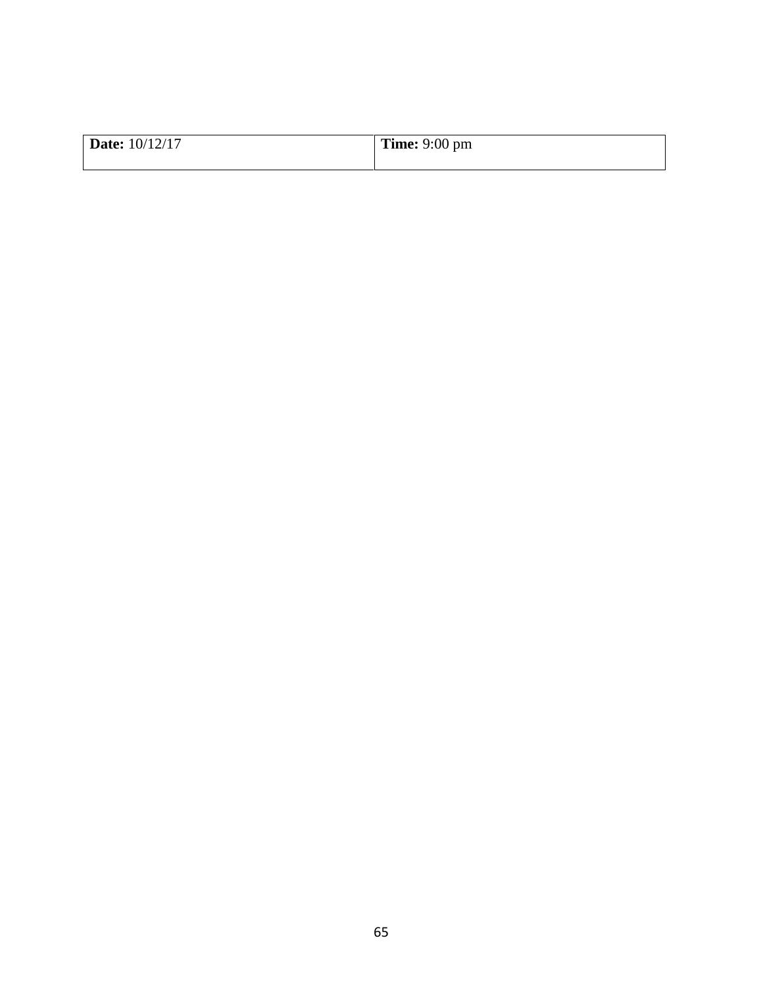| <b>Date:</b> 10/12/17 | <b>Time:</b> 9:00 pm |
|-----------------------|----------------------|
|                       |                      |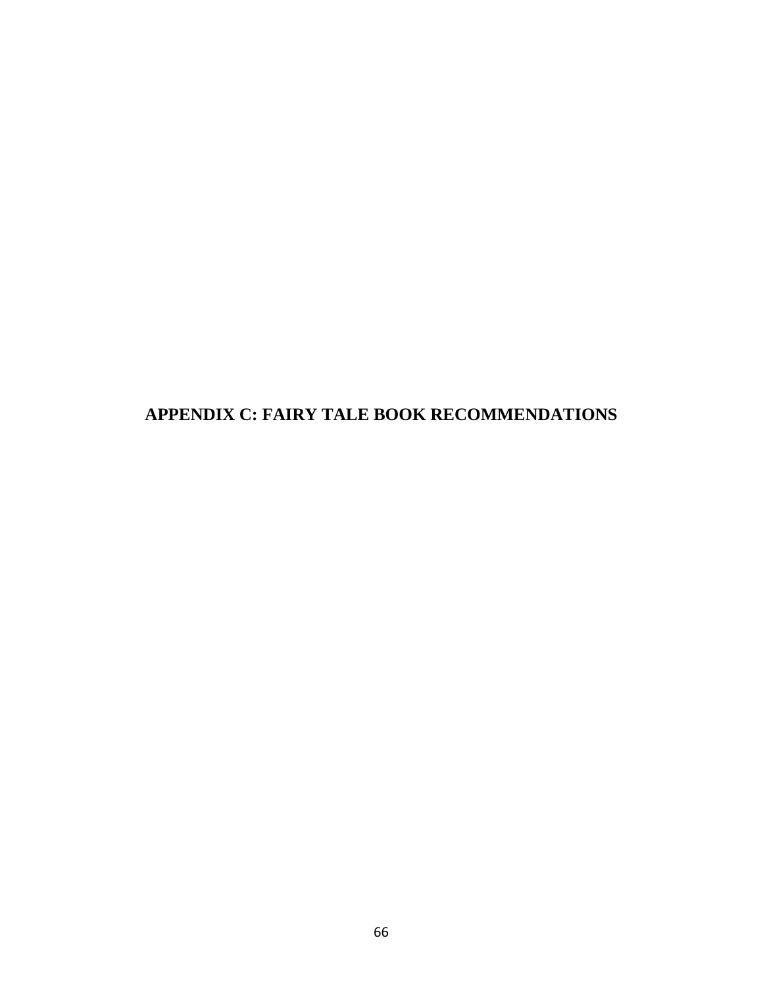**APPENDIX C: FAIRY TALE BOOK RECOMMENDATIONS**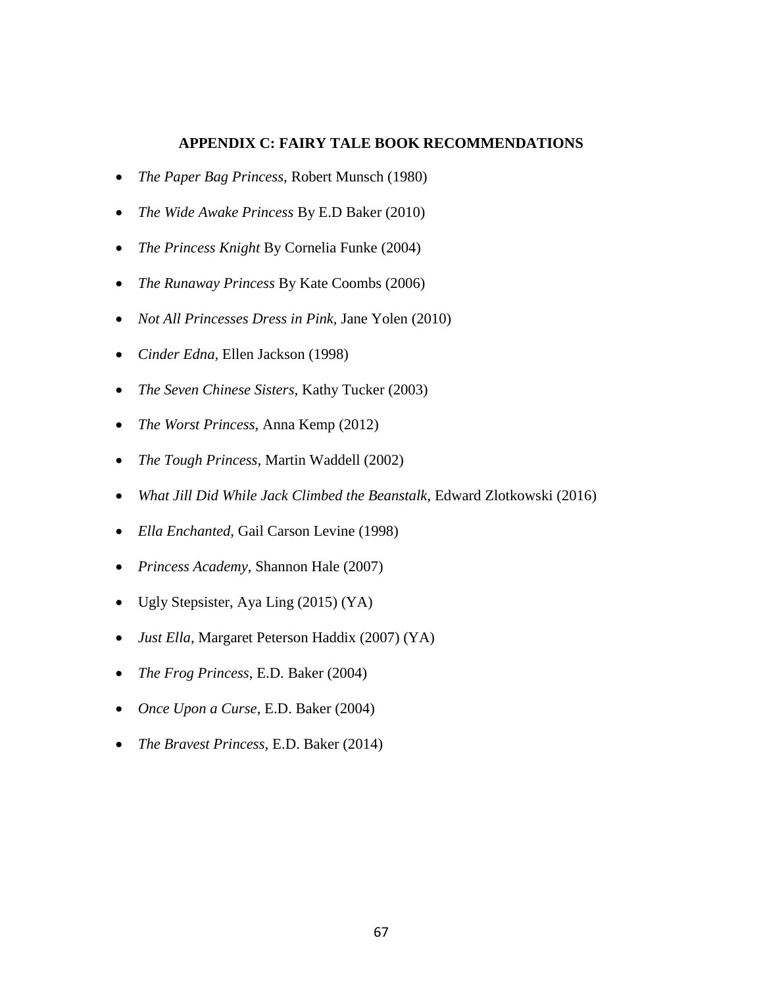## **APPENDIX C: FAIRY TALE BOOK RECOMMENDATIONS**

- *The Paper Bag Princess*, Robert Munsch (1980)
- *The Wide Awake Princess* By E.D Baker (2010)
- *The Princess Knight* By Cornelia Funke (2004)
- *The Runaway Princess* By Kate Coombs (2006)
- *Not All Princesses Dress in Pink,* Jane Yolen (2010)
- *Cinder Edna,* Ellen Jackson (1998)
- *The Seven Chinese Sisters,* Kathy Tucker (2003)
- *The Worst Princess,* Anna Kemp (2012)
- *The Tough Princess,* Martin Waddell (2002)
- *What Jill Did While Jack Climbed the Beanstalk,* Edward Zlotkowski (2016)
- *Ella Enchanted,* Gail Carson Levine (1998)
- *Princess Academy,* Shannon Hale (2007)
- Ugly Stepsister, Aya Ling (2015) (YA)
- *Just Ella*, Margaret Peterson Haddix (2007) (YA)
- *The Frog Princess*, E.D. Baker (2004)
- *Once Upon a Curse*, E.D. Baker (2004)
- *The Bravest Princess,* E.D. Baker (2014)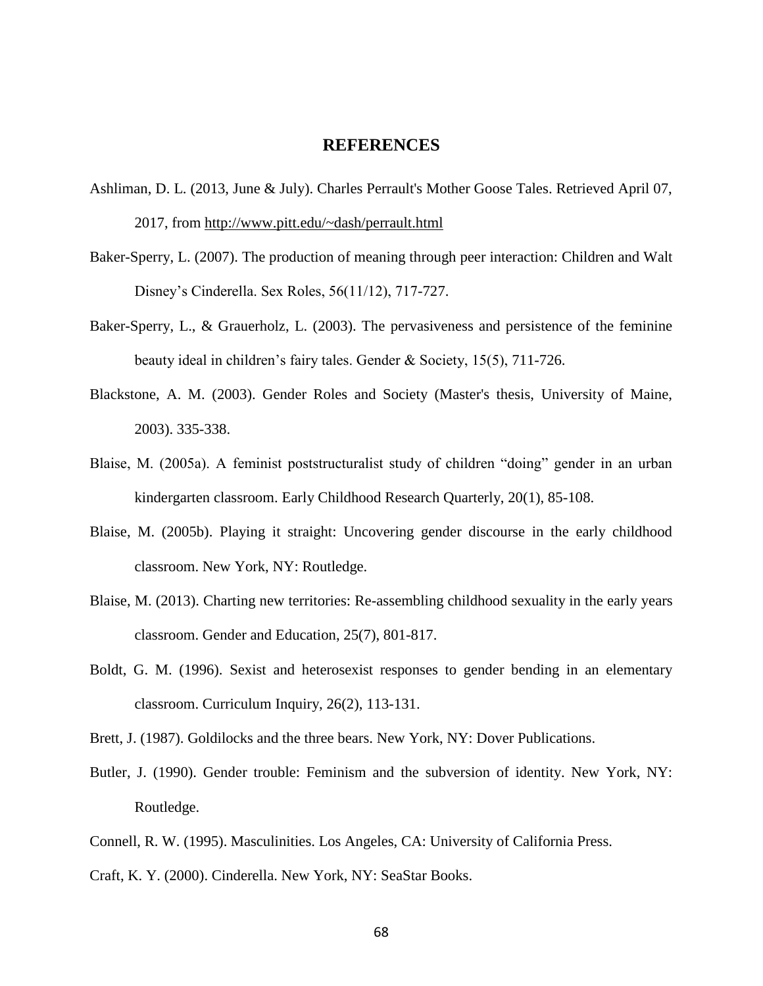## **REFERENCES**

- Ashliman, D. L. (2013, June & July). Charles Perrault's Mother Goose Tales. Retrieved April 07, 2017, from<http://www.pitt.edu/~dash/perrault.html>
- Baker-Sperry, L. (2007). The production of meaning through peer interaction: Children and Walt Disney's Cinderella. Sex Roles, 56(11/12), 717-727.
- Baker-Sperry, L., & Grauerholz, L. (2003). The pervasiveness and persistence of the feminine beauty ideal in children's fairy tales. Gender & Society, 15(5), 711-726.
- Blackstone, A. M. (2003). Gender Roles and Society (Master's thesis, University of Maine, 2003). 335-338.
- Blaise, M. (2005a). A feminist poststructuralist study of children "doing" gender in an urban kindergarten classroom. Early Childhood Research Quarterly, 20(1), 85-108.
- Blaise, M. (2005b). Playing it straight: Uncovering gender discourse in the early childhood classroom. New York, NY: Routledge.
- Blaise, M. (2013). Charting new territories: Re-assembling childhood sexuality in the early years classroom. Gender and Education, 25(7), 801-817.
- Boldt, G. M. (1996). Sexist and heterosexist responses to gender bending in an elementary classroom. Curriculum Inquiry, 26(2), 113-131.
- Brett, J. (1987). Goldilocks and the three bears. New York, NY: Dover Publications.
- Butler, J. (1990). Gender trouble: Feminism and the subversion of identity. New York, NY: Routledge.
- Connell, R. W. (1995). Masculinities. Los Angeles, CA: University of California Press.
- Craft, K. Y. (2000). Cinderella. New York, NY: SeaStar Books.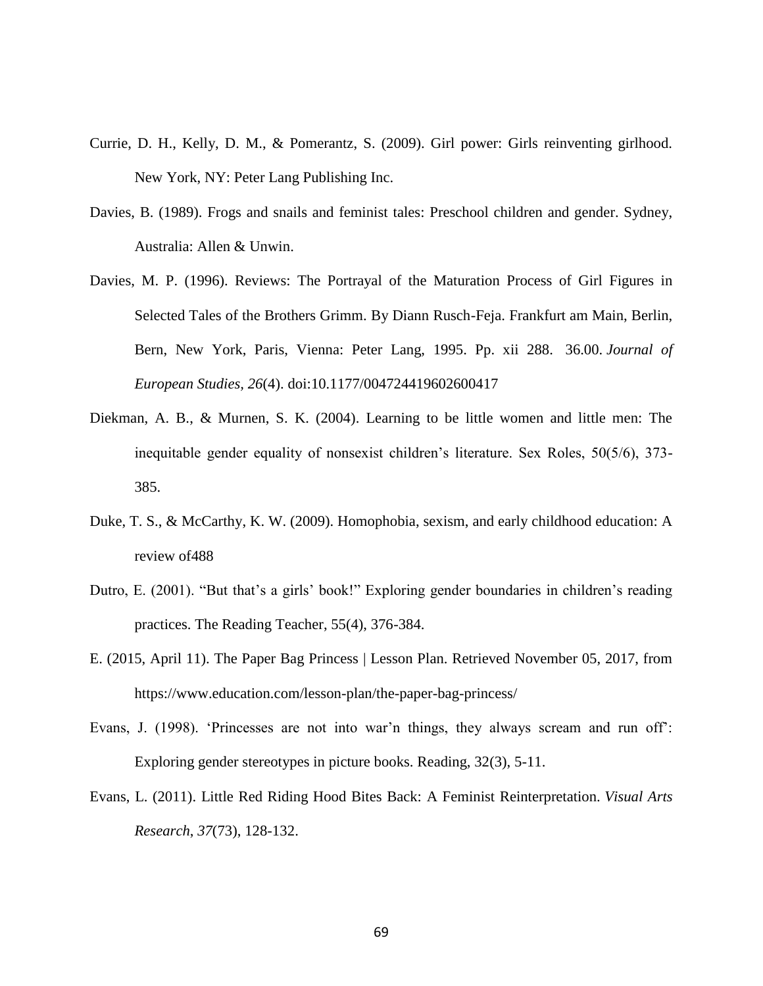- Currie, D. H., Kelly, D. M., & Pomerantz, S. (2009). Girl power: Girls reinventing girlhood. New York, NY: Peter Lang Publishing Inc.
- Davies, B. (1989). Frogs and snails and feminist tales: Preschool children and gender. Sydney, Australia: Allen & Unwin.
- Davies, M. P. (1996). Reviews: The Portrayal of the Maturation Process of Girl Figures in Selected Tales of the Brothers Grimm. By Diann Rusch-Feja. Frankfurt am Main, Berlin, Bern, New York, Paris, Vienna: Peter Lang, 1995. Pp. xii 288. 36.00. *Journal of European Studies, 26*(4). doi:10.1177/004724419602600417
- Diekman, A. B., & Murnen, S. K. (2004). Learning to be little women and little men: The inequitable gender equality of nonsexist children's literature. Sex Roles, 50(5/6), 373- 385.
- Duke, T. S., & McCarthy, K. W. (2009). Homophobia, sexism, and early childhood education: A review of488
- Dutro, E. (2001). "But that's a girls' book!" Exploring gender boundaries in children's reading practices. The Reading Teacher, 55(4), 376-384.
- E. (2015, April 11). The Paper Bag Princess | Lesson Plan. Retrieved November 05, 2017, from https://www.education.com/lesson-plan/the-paper-bag-princess/
- Evans, J. (1998). 'Princesses are not into war'n things, they always scream and run off': Exploring gender stereotypes in picture books. Reading, 32(3), 5-11.
- Evans, L. (2011). Little Red Riding Hood Bites Back: A Feminist Reinterpretation. *Visual Arts Research*, *37*(73), 128-132.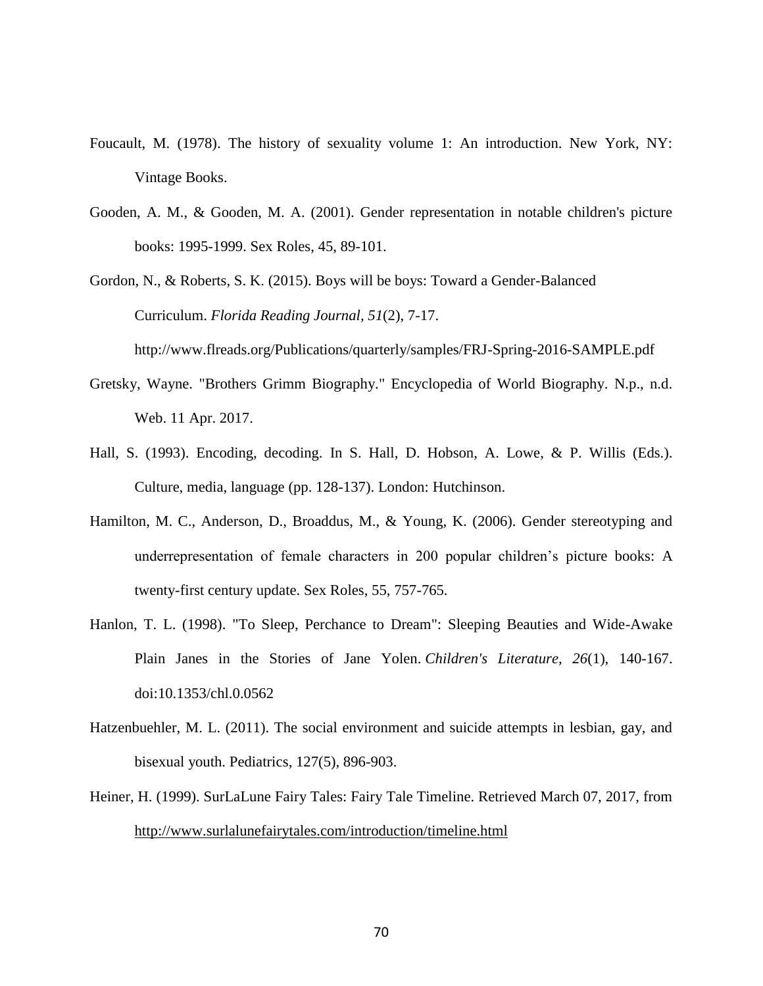- Foucault, M. (1978). The history of sexuality volume 1: An introduction. New York, NY: Vintage Books.
- Gooden, A. M., & Gooden, M. A. (2001). Gender representation in notable children's picture books: 1995-1999. Sex Roles, 45, 89-101.
- Gordon, N., & Roberts, S. K. (2015). Boys will be boys: Toward a Gender-Balanced Curriculum. *Florida Reading Journal, 51*(2), 7-17.

http://www.flreads.org/Publications/quarterly/samples/FRJ-Spring-2016-SAMPLE.pdf

- Gretsky, Wayne. "Brothers Grimm Biography." Encyclopedia of World Biography. N.p., n.d. Web. 11 Apr. 2017.
- Hall, S. (1993). Encoding, decoding. In S. Hall, D. Hobson, A. Lowe, & P. Willis (Eds.). Culture, media, language (pp. 128-137). London: Hutchinson.
- Hamilton, M. C., Anderson, D., Broaddus, M., & Young, K. (2006). Gender stereotyping and underrepresentation of female characters in 200 popular children's picture books: A twenty-first century update. Sex Roles, 55, 757-765.
- Hanlon, T. L. (1998). "To Sleep, Perchance to Dream": Sleeping Beauties and Wide-Awake Plain Janes in the Stories of Jane Yolen. *Children's Literature, 26*(1), 140-167. doi:10.1353/chl.0.0562
- Hatzenbuehler, M. L. (2011). The social environment and suicide attempts in lesbian, gay, and bisexual youth. Pediatrics, 127(5), 896-903.
- Heiner, H. (1999). SurLaLune Fairy Tales: Fairy Tale Timeline. Retrieved March 07, 2017, from <http://www.surlalunefairytales.com/introduction/timeline.html>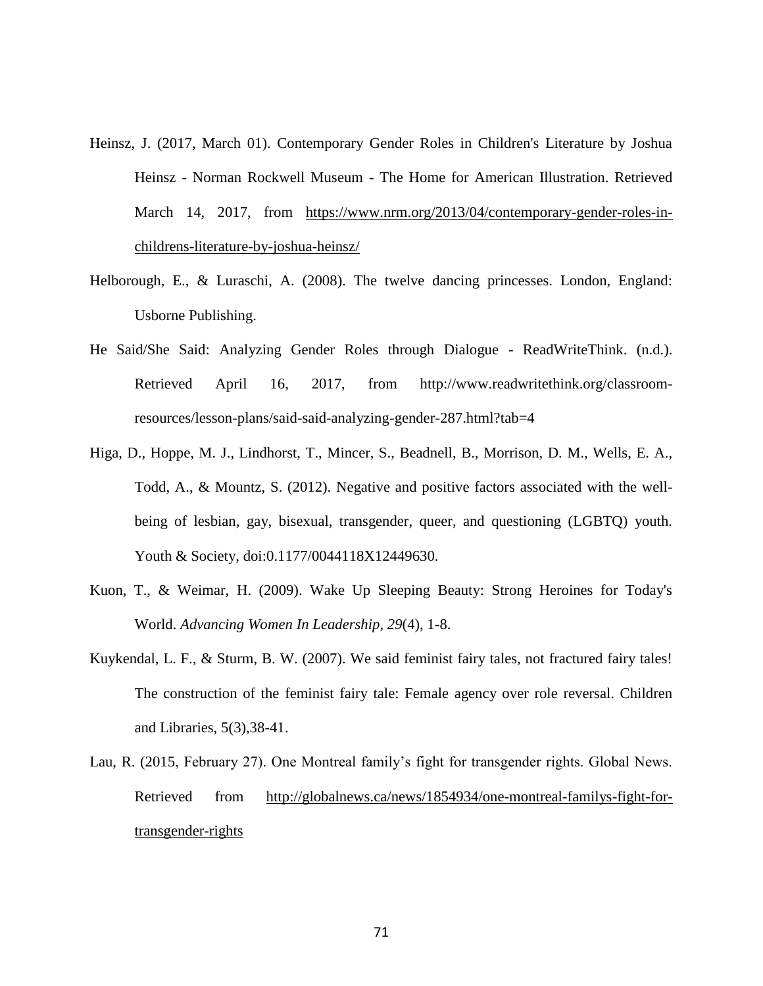- Heinsz, J. (2017, March 01). Contemporary Gender Roles in Children's Literature by Joshua Heinsz - Norman Rockwell Museum - The Home for American Illustration. Retrieved March 14, 2017, from [https://www.nrm.org/2013/04/contemporary-gender-roles-in](https://www.nrm.org/2013/04/contemporary-gender-roles-in-childrens-literature-by-joshua-heinsz/)[childrens-literature-by-joshua-heinsz/](https://www.nrm.org/2013/04/contemporary-gender-roles-in-childrens-literature-by-joshua-heinsz/)
- Helborough, E., & Luraschi, A. (2008). The twelve dancing princesses. London, England: Usborne Publishing.
- He Said/She Said: Analyzing Gender Roles through Dialogue ReadWriteThink. (n.d.). Retrieved April 16, 2017, from http://www.readwritethink.org/classroomresources/lesson-plans/said-said-analyzing-gender-287.html?tab=4
- Higa, D., Hoppe, M. J., Lindhorst, T., Mincer, S., Beadnell, B., Morrison, D. M., Wells, E. A., Todd, A., & Mountz, S. (2012). Negative and positive factors associated with the wellbeing of lesbian, gay, bisexual, transgender, queer, and questioning (LGBTQ) youth. Youth & Society, doi:0.1177/0044118X12449630.
- Kuon, T., & Weimar, H. (2009). Wake Up Sleeping Beauty: Strong Heroines for Today's World. *Advancing Women In Leadership*, *29*(4), 1-8.
- Kuykendal, L. F., & Sturm, B. W. (2007). We said feminist fairy tales, not fractured fairy tales! The construction of the feminist fairy tale: Female agency over role reversal. Children and Libraries, 5(3),38-41.
- Lau, R. (2015, February 27). One Montreal family's fight for transgender rights. Global News. Retrieved from [http://globalnews.ca/news/1854934/one-montreal-familys-fight-for](http://globalnews.ca/news/1854934/one-montreal-familys-fight-for-transgender-rights)[transgender-rights](http://globalnews.ca/news/1854934/one-montreal-familys-fight-for-transgender-rights)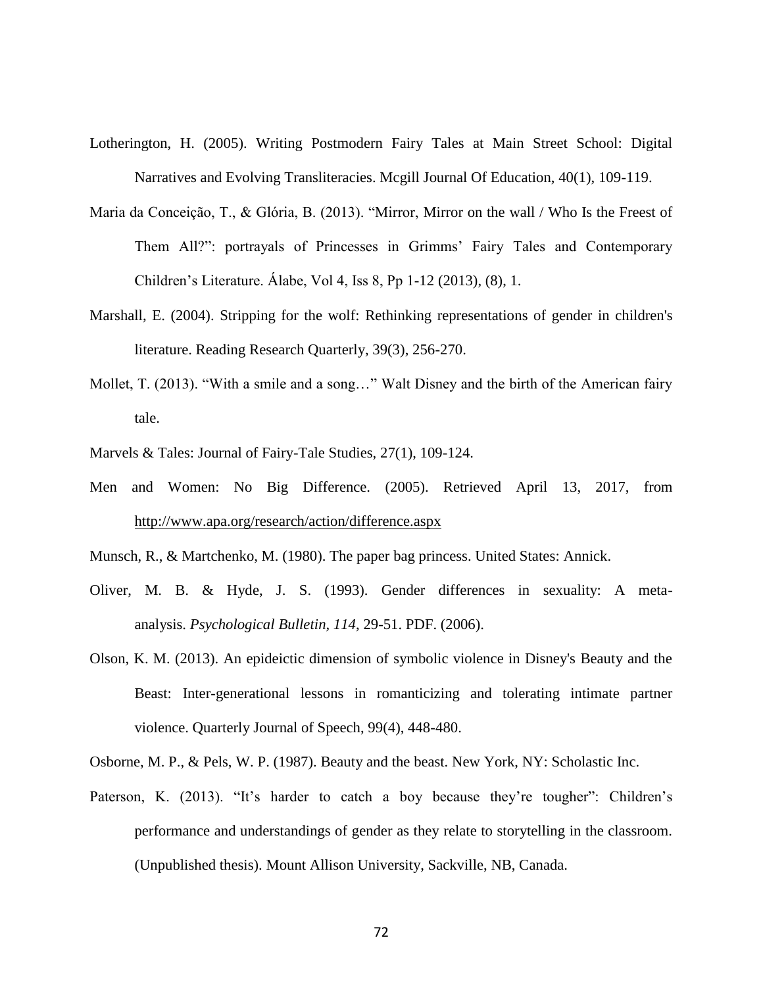- Lotherington, H. (2005). Writing Postmodern Fairy Tales at Main Street School: Digital Narratives and Evolving Transliteracies. Mcgill Journal Of Education, 40(1), 109-119.
- Maria da Conceição, T., & Glória, B. (2013). "Mirror, Mirror on the wall / Who Is the Freest of Them All?": portrayals of Princesses in Grimms' Fairy Tales and Contemporary Children's Literature. Álabe, Vol 4, Iss 8, Pp 1-12 (2013), (8), 1.
- Marshall, E. (2004). Stripping for the wolf: Rethinking representations of gender in children's literature. Reading Research Quarterly, 39(3), 256-270.
- Mollet, T. (2013). "With a smile and a song…" Walt Disney and the birth of the American fairy tale.
- Marvels & Tales: Journal of Fairy-Tale Studies, 27(1), 109-124.
- Men and Women: No Big Difference. (2005). Retrieved April 13, 2017, from <http://www.apa.org/research/action/difference.aspx>
- Munsch, R., & Martchenko, M. (1980). The paper bag princess. United States: Annick.
- Oliver, M. B. & Hyde, J. S. (1993). Gender differences in sexuality: A metaanalysis. *Psychological Bulletin, 114*, 29-51. PDF. (2006).
- Olson, K. M. (2013). An epideictic dimension of symbolic violence in Disney's Beauty and the Beast: Inter-generational lessons in romanticizing and tolerating intimate partner violence. Quarterly Journal of Speech, 99(4), 448-480.
- Osborne, M. P., & Pels, W. P. (1987). Beauty and the beast. New York, NY: Scholastic Inc.
- Paterson, K. (2013). "It's harder to catch a boy because they're tougher": Children's performance and understandings of gender as they relate to storytelling in the classroom. (Unpublished thesis). Mount Allison University, Sackville, NB, Canada.